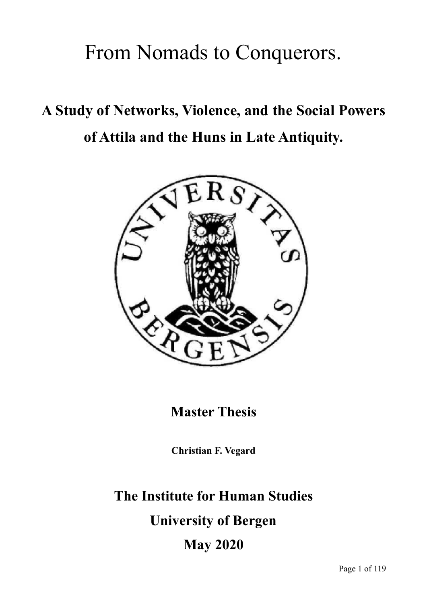# From Nomads to Conquerors.

# **A Study of Networks, Violence, and the Social Powers of Attila and the Huns in Late Antiquity.**



**Master Thesis**

**Christian F. Vegard**

# **The Institute for Human Studies**

**University of Bergen** 

**May 2020**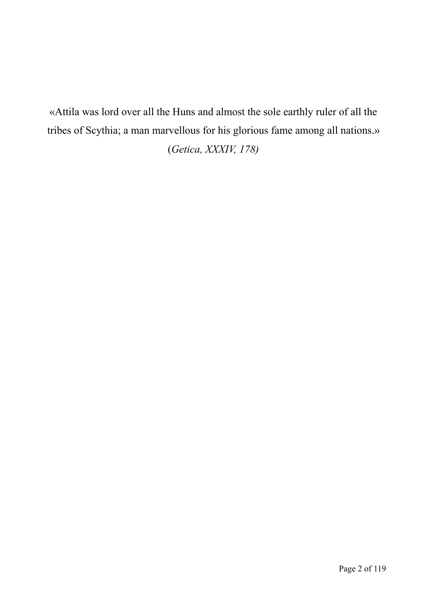«Attila was lord over all the Huns and almost the sole earthly ruler of all the tribes of Scythia; a man marvellous for his glorious fame among all nations.» (*Getica, XXXIV, 178)*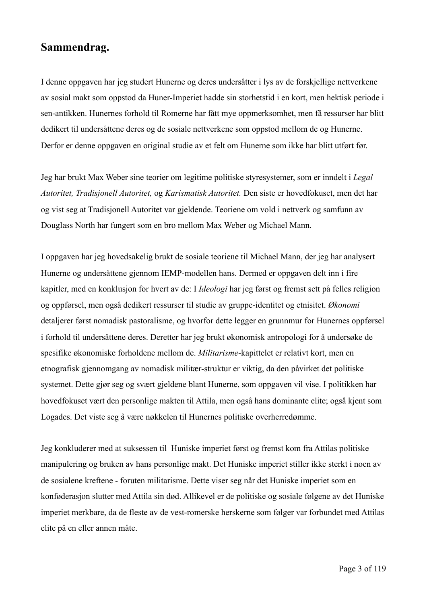## **Sammendrag.**

I denne oppgaven har jeg studert Hunerne og deres undersåtter i lys av de forskjellige nettverkene av sosial makt som oppstod da Huner-Imperiet hadde sin storhetstid i en kort, men hektisk periode i sen-antikken. Hunernes forhold til Romerne har fått mye oppmerksomhet, men få ressurser har blitt dedikert til undersåttene deres og de sosiale nettverkene som oppstod mellom de og Hunerne. Derfor er denne oppgaven en original studie av et felt om Hunerne som ikke har blitt utført før.

Jeg har brukt Max Weber sine teorier om legitime politiske styresystemer, som er inndelt i *Legal Autoritet, Tradisjonell Autoritet,* og *Karismatisk Autoritet.* Den siste er hovedfokuset, men det har og vist seg at Tradisjonell Autoritet var gjeldende. Teoriene om vold i nettverk og samfunn av Douglass North har fungert som en bro mellom Max Weber og Michael Mann.

I oppgaven har jeg hovedsakelig brukt de sosiale teoriene til Michael Mann, der jeg har analysert Hunerne og undersåttene gjennom IEMP-modellen hans. Dermed er oppgaven delt inn i fire kapitler, med en konklusjon for hvert av de: I *Ideologi* har jeg først og fremst sett på felles religion og oppførsel, men også dedikert ressurser til studie av gruppe-identitet og etnisitet. *Økonomi*  detaljerer først nomadisk pastoralisme, og hvorfor dette legger en grunnmur for Hunernes oppførsel i forhold til undersåttene deres. Deretter har jeg brukt økonomisk antropologi for å undersøke de spesifike økonomiske forholdene mellom de. *Militarisme*-kapittelet er relativt kort, men en etnografisk gjennomgang av nomadisk militær-struktur er viktig, da den påvirket det politiske systemet. Dette gjør seg og svært gjeldene blant Hunerne, som oppgaven vil vise. I politikken har hovedfokuset vært den personlige makten til Attila, men også hans dominante elite; også kjent som Logades. Det viste seg å være nøkkelen til Hunernes politiske overherredømme.

Jeg konkluderer med at suksessen til Huniske imperiet først og fremst kom fra Attilas politiske manipulering og bruken av hans personlige makt. Det Huniske imperiet stiller ikke sterkt i noen av de sosialene kreftene - foruten militarisme. Dette viser seg når det Huniske imperiet som en konføderasjon slutter med Attila sin død. Allikevel er de politiske og sosiale følgene av det Huniske imperiet merkbare, da de fleste av de vest-romerske herskerne som følger var forbundet med Attilas elite på en eller annen måte.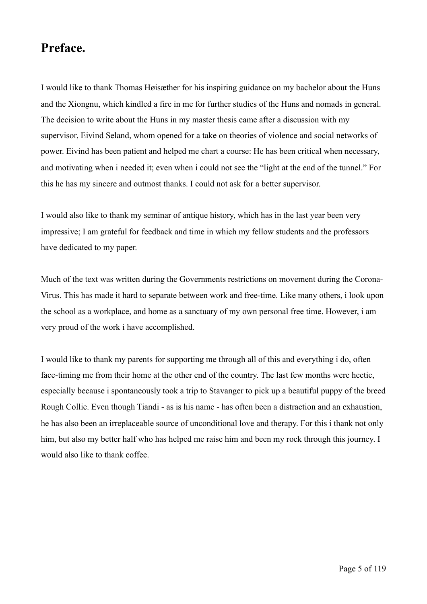# **Preface.**

I would like to thank Thomas Høisæther for his inspiring guidance on my bachelor about the Huns and the Xiongnu, which kindled a fire in me for further studies of the Huns and nomads in general. The decision to write about the Huns in my master thesis came after a discussion with my supervisor, Eivind Seland, whom opened for a take on theories of violence and social networks of power. Eivind has been patient and helped me chart a course: He has been critical when necessary, and motivating when i needed it; even when i could not see the "light at the end of the tunnel." For this he has my sincere and outmost thanks. I could not ask for a better supervisor.

I would also like to thank my seminar of antique history, which has in the last year been very impressive; I am grateful for feedback and time in which my fellow students and the professors have dedicated to my paper.

Much of the text was written during the Governments restrictions on movement during the Corona-Virus. This has made it hard to separate between work and free-time. Like many others, i look upon the school as a workplace, and home as a sanctuary of my own personal free time. However, i am very proud of the work i have accomplished.

I would like to thank my parents for supporting me through all of this and everything i do, often face-timing me from their home at the other end of the country. The last few months were hectic, especially because i spontaneously took a trip to Stavanger to pick up a beautiful puppy of the breed Rough Collie. Even though Tiandi - as is his name - has often been a distraction and an exhaustion, he has also been an irreplaceable source of unconditional love and therapy. For this i thank not only him, but also my better half who has helped me raise him and been my rock through this journey. I would also like to thank coffee.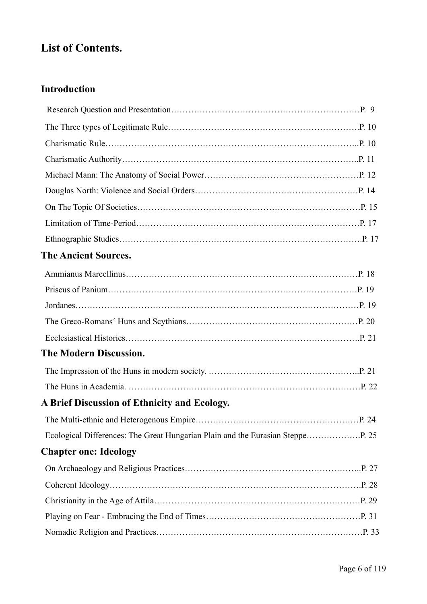# **List of Contents.**

# **Introduction**

| <b>The Ancient Sources.</b>                  |  |
|----------------------------------------------|--|
|                                              |  |
|                                              |  |
|                                              |  |
|                                              |  |
|                                              |  |
| <b>The Modern Discussion.</b>                |  |
|                                              |  |
|                                              |  |
| A Brief Discussion of Ethnicity and Ecology. |  |
|                                              |  |
|                                              |  |
| <b>Chapter one: Ideology</b>                 |  |
|                                              |  |
|                                              |  |
|                                              |  |
|                                              |  |
|                                              |  |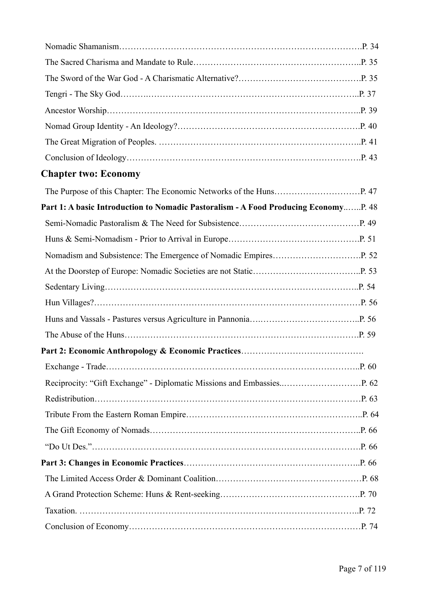| <b>Chapter two: Economy</b>                                                         |  |
|-------------------------------------------------------------------------------------|--|
|                                                                                     |  |
| Part 1: A basic Introduction to Nomadic Pastoralism - A Food Producing EconomyP. 48 |  |
|                                                                                     |  |
|                                                                                     |  |
|                                                                                     |  |
|                                                                                     |  |
|                                                                                     |  |
|                                                                                     |  |
|                                                                                     |  |
|                                                                                     |  |
|                                                                                     |  |
|                                                                                     |  |
|                                                                                     |  |
|                                                                                     |  |
|                                                                                     |  |
|                                                                                     |  |
|                                                                                     |  |
|                                                                                     |  |
|                                                                                     |  |
|                                                                                     |  |
|                                                                                     |  |
|                                                                                     |  |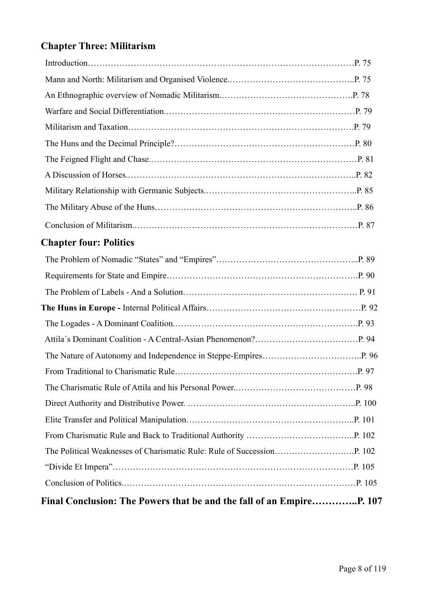# **Chapter Three: Militarism**

| <b>Chapter four: Politics</b> |  |
|-------------------------------|--|
|                               |  |
|                               |  |
|                               |  |
|                               |  |
|                               |  |
|                               |  |
|                               |  |
|                               |  |
|                               |  |
|                               |  |
|                               |  |
|                               |  |
|                               |  |
|                               |  |
|                               |  |
|                               |  |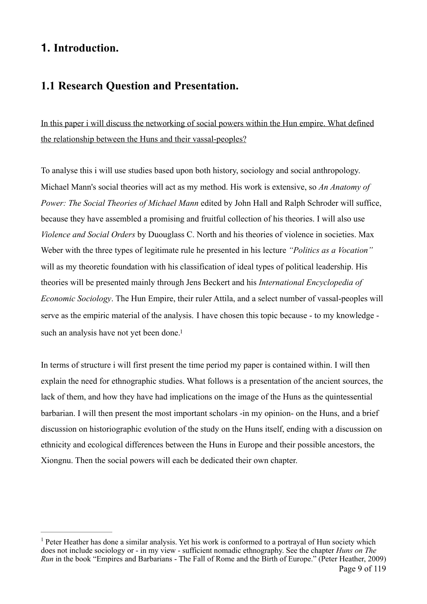# **1. Introduction.**

# **1.1 Research Question and Presentation.**

In this paper i will discuss the networking of social powers within the Hun empire. What defined the relationship between the Huns and their vassal-peoples?

To analyse this i will use studies based upon both history, sociology and social anthropology. Michael Mann's social theories will act as my method. His work is extensive, so *An Anatomy of Power: The Social Theories of Michael Mann* edited by John Hall and Ralph Schroder will suffice, because they have assembled a promising and fruitful collection of his theories. I will also use *Violence and Social Orders* by Duouglass C. North and his theories of violence in societies. Max Weber with the three types of legitimate rule he presented in his lecture *"Politics as a Vocation"*  will as my theoretic foundation with his classification of ideal types of political leadership. His theories will be presented mainly through Jens Beckert and his *International Encyclopedia of Economic Sociology*. The Hun Empire, their ruler Attila, and a select number of vassal-peoples will serve as the empiric material of the analysis. I have chosen this topic because - to my knowledge such an analysis have not yet been done.<sup>1</sup>

<span id="page-8-1"></span>In terms of structure i will first present the time period my paper is contained within. I will then explain the need for ethnographic studies. What follows is a presentation of the ancient sources, the lack of them, and how they have had implications on the image of the Huns as the quintessential barbarian. I will then present the most important scholars -in my opinion- on the Huns, and a brief discussion on historiographic evolution of the study on the Huns itself, ending with a discussion on ethnicity and ecological differences between the Huns in Europe and their possible ancestors, the Xiongnu. Then the social powers will each be dedicated their own chapter.

<span id="page-8-0"></span> $<sup>1</sup>$  $<sup>1</sup>$  $<sup>1</sup>$  Peter Heather has done a similar analysis. Yet his work is conformed to a portraval of Hun society which</sup> does not include sociology or - in my view - sufficient nomadic ethnography. See the chapter *Huns on The Run* in the book "Empires and Barbarians - The Fall of Rome and the Birth of Europe." (Peter Heather, 2009) Page 9 of 119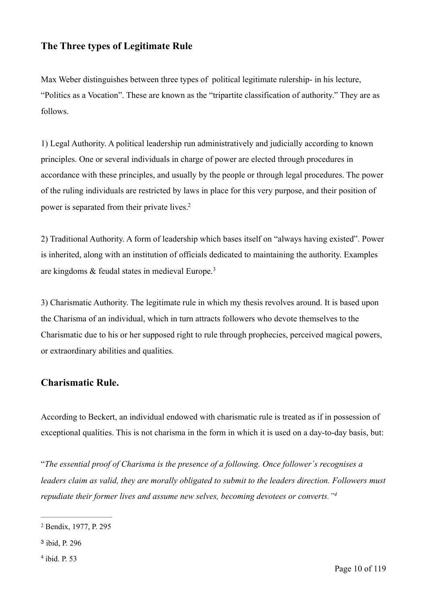## **The Three types of Legitimate Rule**

Max Weber distinguishes between three types of political legitimate rulership- in his lecture, "Politics as a Vocation". These are known as the "tripartite classification of authority." They are as follows.

1) Legal Authority. A political leadership run administratively and judicially according to known principles. One or several individuals in charge of power are elected through procedures in accordance with these principles, and usually by the people or through legal procedures. The power of the ruling individuals are restricted by laws in place for this very purpose, and their position of power is separated from their private lives[.2](#page-9-0)

<span id="page-9-3"></span>2) Traditional Authority. A form of leadership which bases itself on "always having existed". Power is inherited, along with an institution of officials dedicated to maintaining the authority. Examples are kingdoms  $&$  feudal states in medieval Europe.<sup>[3](#page-9-1)</sup>

<span id="page-9-4"></span>3) Charismatic Authority. The legitimate rule in which my thesis revolves around. It is based upon the Charisma of an individual, which in turn attracts followers who devote themselves to the Charismatic due to his or her supposed right to rule through prophecies, perceived magical powers, or extraordinary abilities and qualities.

#### **Charismatic Rule.**

According to Beckert, an individual endowed with charismatic rule is treated as if in possession of exceptional qualities. This is not charisma in the form in which it is used on a day-to-day basis, but:

"*The essential proof of Charisma is the presence of a following. Once follower´s recognises a leaders claim as valid, they are morally obligated to submit to the leaders direction. Followers must repudiate their former lives and assume new selves, becoming devotees or converts.["4](#page-9-2)*

<span id="page-9-2"></span> $4$  ibid. P. 53

<span id="page-9-5"></span><span id="page-9-0"></span><sup>&</sup>lt;sup>[2](#page-9-3)</sup> Bendix, 1977, P. 295

<span id="page-9-1"></span><sup>&</sup>lt;sup>[3](#page-9-4)</sup> ibid, P. 296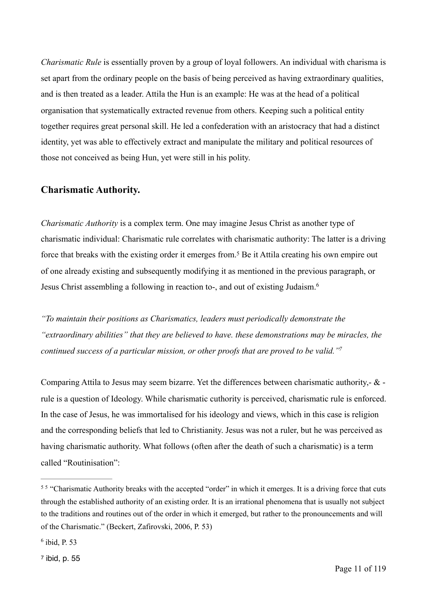*Charismatic Rule* is essentially proven by a group of loyal followers. An individual with charisma is set apart from the ordinary people on the basis of being perceived as having extraordinary qualities, and is then treated as a leader. Attila the Hun is an example: He was at the head of a political organisation that systematically extracted revenue from others. Keeping such a political entity together requires great personal skill. He led a confederation with an aristocracy that had a distinct identity, yet was able to effectively extract and manipulate the military and political resources of those not conceived as being Hun, yet were still in his polity.

#### **Charismatic Authority.**

<span id="page-10-3"></span>*Charismatic Authority* is a complex term. One may imagine Jesus Christ as another type of charismatic individual: Charismatic rule correlates with charismatic authority: The latter is a driving force that breaks with the existing order it emerges from[.](#page-10-0)<sup>[5](#page-10-0)</sup> Be it Attila creating his own empire out of one already existing and subsequently modifying it as mentioned in the previous paragraph, or Jesus Christ assembling a following in reaction to-, and out of existing Judaism. 6

<span id="page-10-4"></span>*"To maintain their positions as Charismatics, leaders must periodically demonstrate the "extraordinary abilities" that they are believed to have. these demonstrations may be miracles, the continued success of a particular mission, or other proofs that are proved to be valid.["7](#page-10-2)*

<span id="page-10-5"></span>Comparing Attila to Jesus may seem bizarre. Yet the differences between charismatic authority,-  $\&$  rule is a question of Ideology. While charismatic cuthority is perceived, charismatic rule is enforced. In the case of Jesus, he was immortalised for his ideology and views, which in this case is religion and the corresponding beliefs that led to Christianity. Jesus was not a ruler, but he was perceived as having charismatic authority. What follows (often after the death of such a charismatic) is a term called "Routinisation":

<span id="page-10-0"></span><sup>&</sup>lt;sup>[5](#page-10-3)5</sup> "Charismatic Authority breaks with the accepted "order" in which it emerges. It is a driving force that cuts through the established authority of an existing order. It is an irrational phenomena that is usually not subject to the traditions and routines out of the order in which it emerged, but rather to the pronouncements and will of the Charismatic." (Beckert, Zafirovski, 2006, P. 53)

<span id="page-10-1"></span> $6$  ibid, P. 53

<span id="page-10-2"></span>[<sup>7</sup>](#page-10-5) ibid, p. 55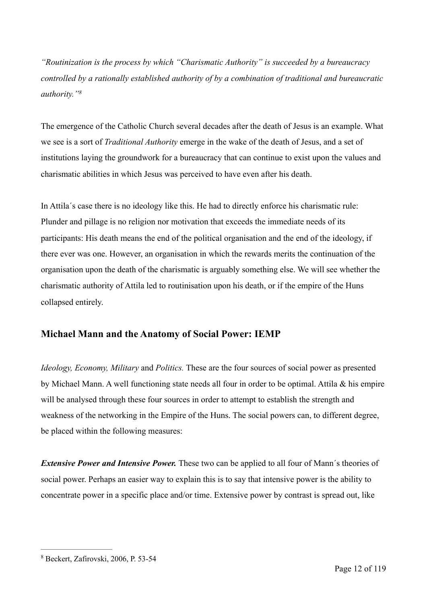*"Routinization is the process by which "Charismatic Authority" is succeeded by a bureaucracy controlled by a rationally established authority of by a combination of traditional and bureaucratic authority.["](#page-11-0) [8](#page-11-0)*

<span id="page-11-1"></span>The emergence of the Catholic Church several decades after the death of Jesus is an example. What we see is a sort of *Traditional Authority* emerge in the wake of the death of Jesus, and a set of institutions laying the groundwork for a bureaucracy that can continue to exist upon the values and charismatic abilities in which Jesus was perceived to have even after his death.

In Attila´s case there is no ideology like this. He had to directly enforce his charismatic rule: Plunder and pillage is no religion nor motivation that exceeds the immediate needs of its participants: His death means the end of the political organisation and the end of the ideology, if there ever was one. However, an organisation in which the rewards merits the continuation of the organisation upon the death of the charismatic is arguably something else. We will see whether the charismatic authority of Attila led to routinisation upon his death, or if the empire of the Huns collapsed entirely.

#### **Michael Mann and the Anatomy of Social Power: IEMP**

*Ideology, Economy, Military* and *Politics.* These are the four sources of social power as presented by Michael Mann. A well functioning state needs all four in order to be optimal. Attila & his empire will be analysed through these four sources in order to attempt to establish the strength and weakness of the networking in the Empire of the Huns. The social powers can, to different degree, be placed within the following measures:

*Extensive Power and Intensive Power.* These two can be applied to all four of Mann's theories of social power. Perhaps an easier way to explain this is to say that intensive power is the ability to concentrate power in a specific place and/or time. Extensive power by contrast is spread out, like

<span id="page-11-0"></span>Beckert, Zafirovski, 2006, P. 53-54 [8](#page-11-1)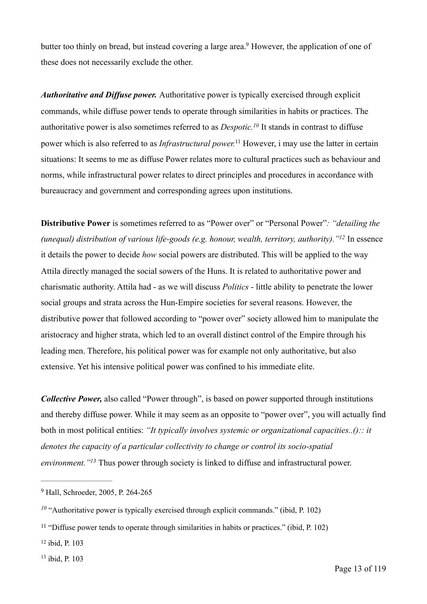<span id="page-12-5"></span>butter too thinly on bread, but instead covering a large area[.](#page-12-0)<sup>[9](#page-12-0)</sup> However, the application of one of these does not necessarily exclude the other.

<span id="page-12-7"></span><span id="page-12-6"></span>*Authoritative and Diffuse power.* Authoritative power is typically exercised through explicit commands, while diffuse power tends to operate through similarities in habits or practices. The authoritative power is also sometimes referred to as *Despotic*.<sup>[10](#page-12-1)</sup> It stands in contrast to diffuse power which is also referred to as *Infrastructural power*.<sup>[11](#page-12-2)</sup> However, i may use the latter in certain situations: It seems to me as diffuse Power relates more to cultural practices such as behaviour and norms, while infrastructural power relates to direct principles and procedures in accordance with bureaucracy and government and corresponding agrees upon institutions.

<span id="page-12-8"></span>**Distributive Power** is sometimes referred to as "Power over" or "Personal Power"*: "detailing the (unequal) distribution of various life-goods (e.g. honour, wealth, territory, authority).* "<sup>[12](#page-12-3)</sup> In essence it details the power to decide *how* social powers are distributed. This will be applied to the way Attila directly managed the social sowers of the Huns. It is related to authoritative power and charismatic authority. Attila had - as we will discuss *Politics* - little ability to penetrate the lower social groups and strata across the Hun-Empire societies for several reasons. However, the distributive power that followed according to "power over" society allowed him to manipulate the aristocracy and higher strata, which led to an overall distinct control of the Empire through his leading men. Therefore, his political power was for example not only authoritative, but also extensive. Yet his intensive political power was confined to his immediate elite.

*Collective Power,* also called "Power through", is based on power supported through institutions and thereby diffuse power. While it may seem as an opposite to "power over", you will actually find both in most political entities: *"It typically involves systemic or organizational capacities..():: it denotes the capacity of a particular collectivity to change or control its socio-spatial environment.*"<sup>[13](#page-12-4)</sup> Thus power through society is linked to diffuse and infrastructural power.

<span id="page-12-4"></span> $13$  ibid, P. 103

<span id="page-12-9"></span><span id="page-12-0"></span><sup>&</sup>lt;sup>[9](#page-12-5)</sup> Hall, Schroeder, 2005, P. 264-265

<span id="page-12-1"></span> $10$  "Authoritative power is typically exercised through explicit commands." (ibid, P. 102)

<span id="page-12-2"></span> $11$  "Diffuse power tends to operate through similarities in habits or practices." (ibid, P. 102)

<span id="page-12-3"></span> $12$  ibid, P.  $103$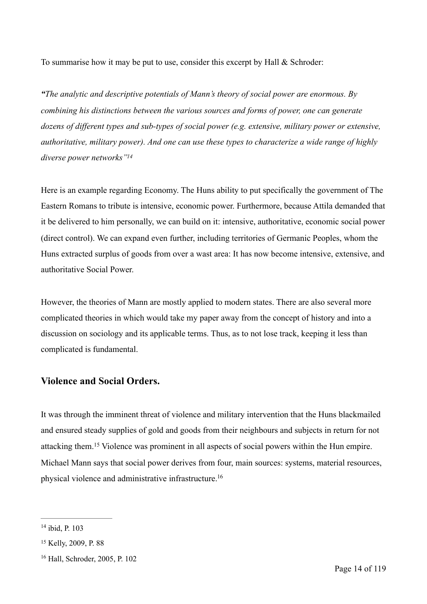To summarise how it may be put to use, consider this excerpt by Hall & Schroder:

*"The analytic and descriptive potentials of Mann's theory of social power are enormous. By combining his distinctions between the various sources and forms of power, one can generate dozens of different types and sub-types of social power (e.g. extensive, military power or extensive, authoritative, military power). And one can use these types to characterize a wide range of highly diverse power networks["14](#page-13-0)*

<span id="page-13-3"></span>Here is an example regarding Economy. The Huns ability to put specifically the government of The Eastern Romans to tribute is intensive, economic power. Furthermore, because Attila demanded that it be delivered to him personally, we can build on it: intensive, authoritative, economic social power (direct control). We can expand even further, including territories of Germanic Peoples, whom the Huns extracted surplus of goods from over a wast area: It has now become intensive, extensive, and authoritative Social Power.

However, the theories of Mann are mostly applied to modern states. There are also several more complicated theories in which would take my paper away from the concept of history and into a discussion on sociology and its applicable terms. Thus, as to not lose track, keeping it less than complicated is fundamental.

#### **Violence and Social Orders.**

<span id="page-13-4"></span>It was through the imminent threat of violence and military intervention that the Huns blackmailed and ensured steady supplies of gold and goods from their neighbours and subjects in return for not attackingthem.<sup>[15](#page-13-1)</sup> Violence was prominent in all aspects of social powers within the Hun empire. Michael Mann says that social power derives from four, main sources: systems, material resources, physical violence and administrative infrastructure[.16](#page-13-2)

<span id="page-13-5"></span><span id="page-13-0"></span> $14$  ibid, P. 103

<span id="page-13-1"></span><sup>&</sup>lt;sup>[15](#page-13-4)</sup> Kelly, 2009, P. 88

<span id="page-13-2"></span> $16$  Hall, Schroder, 2005, P. 102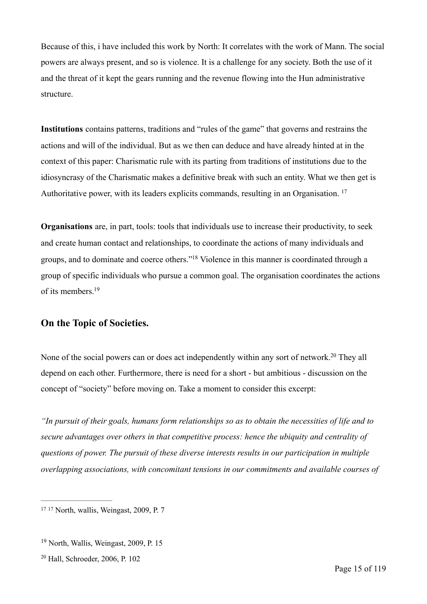Because of this, i have included this work by North: It correlates with the work of Mann. The social powers are always present, and so is violence. It is a challenge for any society. Both the use of it and the threat of it kept the gears running and the revenue flowing into the Hun administrative structure.

**Institutions** contains patterns, traditions and "rules of the game" that governs and restrains the actions and will of the individual. But as we then can deduce and have already hinted at in the context of this paper: Charismatic rule with its parting from traditions of institutions due to the idiosyncrasy of the Charismatic makes a definitive break with such an entity. What we then get is Authoritative power, with its leaders explicits commands, resulting in an Organisation.<sup>17</sup>

<span id="page-14-3"></span>**Organisations** are, in part, tools: tools that individuals use to increase their productivity, to seek and create human contact and relationships, to coordinate the actions of many individuals and groups, and to dominate and coerce others."<sup>18</sup> Violence in this manner is coordinated through a group of specific individuals who pursue a common goal. The organisation coordinates the actions of its members[.19](#page-14-1)

#### <span id="page-14-4"></span>**On the Topic of Societies.**

<span id="page-14-5"></span>None of the social powers can or does act independently within any sort of network[.](#page-14-2)<sup>[20](#page-14-2)</sup> They all depend on each other. Furthermore, there is need for a short - but ambitious - discussion on the concept of "society" before moving on. Take a moment to consider this excerpt:

*"In pursuit of their goals, humans form relationships so as to obtain the necessities of life and to secure advantages over others in that competitive process: hence the ubiquity and centrality of questions of power. The pursuit of these diverse interests results in our participation in multiple overlapping associations, with concomitant tensions in our commitments and available courses of* 

<span id="page-14-2"></span> $20$  Hall, Schroeder, 2006, P. 102

<span id="page-14-0"></span><sup>&</sup>lt;sup>[17](#page-14-3) 17</sup> North, wallis, Weingast, 2009, P. 7

<span id="page-14-1"></span> $19$  North, Wallis, Weingast, 2009, P. 15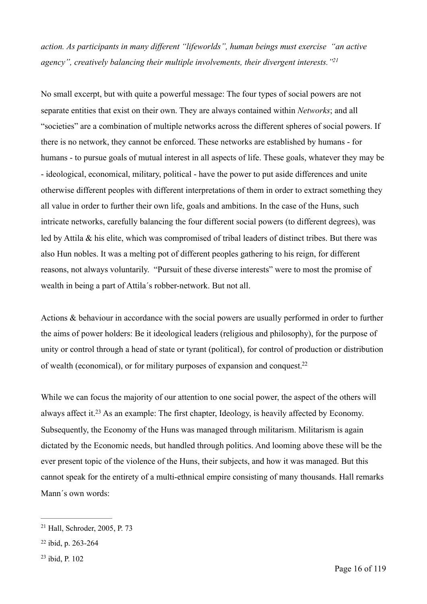<span id="page-15-3"></span>*action. As participants in many different "lifeworlds", human beings must exercise "an active agency", creatively balancing their multiple involvements, their divergent interests.["21](#page-15-0)*

No small excerpt, but with quite a powerful message: The four types of social powers are not separate entities that exist on their own. They are always contained within *Networks*; and all "societies" are a combination of multiple networks across the different spheres of social powers. If there is no network, they cannot be enforced. These networks are established by humans - for humans - to pursue goals of mutual interest in all aspects of life. These goals, whatever they may be - ideological, economical, military, political - have the power to put aside differences and unite otherwise different peoples with different interpretations of them in order to extract something they all value in order to further their own life, goals and ambitions. In the case of the Huns, such intricate networks, carefully balancing the four different social powers (to different degrees), was led by Attila & his elite, which was compromised of tribal leaders of distinct tribes. But there was also Hun nobles. It was a melting pot of different peoples gathering to his reign, for different reasons, not always voluntarily. "Pursuit of these diverse interests" were to most the promise of wealth in being a part of Attila´s robber-network. But not all.

Actions & behaviour in accordance with the social powers are usually performed in order to further the aims of power holders: Be it ideological leaders (religious and philosophy), for the purpose of unity or control through a head of state or tyrant (political), for control of production or distribution of wealth (economical), or for military purposes of expansion and conquest.<sup>22</sup>

<span id="page-15-5"></span><span id="page-15-4"></span>While we can focus the majority of our attention to one social power, the aspect of the others will always affect it[.](#page-15-2)<sup>[23](#page-15-2)</sup> As an example: The first chapter, Ideology, is heavily affected by Economy. Subsequently, the Economy of the Huns was managed through militarism. Militarism is again dictated by the Economic needs, but handled through politics. And looming above these will be the ever present topic of the violence of the Huns, their subjects, and how it was managed. But this cannot speak for the entirety of a multi-ethnical empire consisting of many thousands. Hall remarks Mann's own words:

<span id="page-15-2"></span> $23$  ibid, P. 102

<span id="page-15-0"></span> $21$  Hall, Schroder, 2005, P. 73

<span id="page-15-1"></span> $22$  ibid, p. 263-264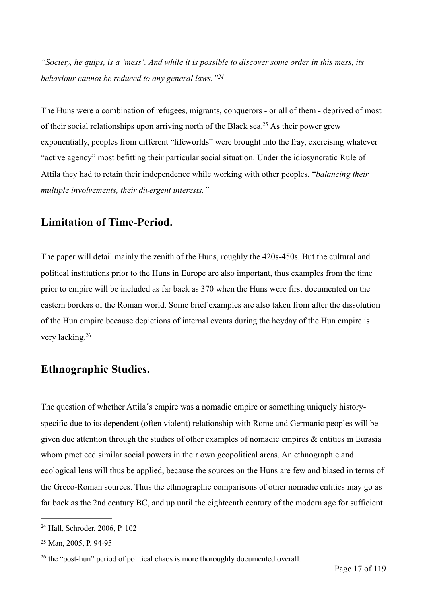<span id="page-16-3"></span>*"Society, he quips, is a 'mess'. And while it is possible to discover some order in this mess, its behaviour cannot be reduced to any general laws."[24](#page-16-0)*

<span id="page-16-4"></span>The Huns were a combination of refugees, migrants, conquerors - or all of them - deprived of most of their social relationships upon arriving north of the Black sea[.](#page-16-1)<sup>[25](#page-16-1)</sup> As their power grew exponentially, peoples from different "lifeworlds" were brought into the fray, exercising whatever "active agency" most befitting their particular social situation. Under the idiosyncratic Rule of Attila they had to retain their independence while working with other peoples, "*balancing their multiple involvements, their divergent interests."* 

## **Limitation of Time-Period.**

The paper will detail mainly the zenith of the Huns, roughly the 420s-450s. But the cultural and political institutions prior to the Huns in Europe are also important, thus examples from the time prior to empire will be included as far back as 370 when the Huns were first documented on the eastern borders of the Roman world. Some brief examples are also taken from after the dissolution of the Hun empire because depictions of internal events during the heyday of the Hun empire is very lacking[.](#page-16-2)<sup>[26](#page-16-2)</sup>

# <span id="page-16-5"></span>**Ethnographic Studies.**

The question of whether Attila´s empire was a nomadic empire or something uniquely historyspecific due to its dependent (often violent) relationship with Rome and Germanic peoples will be given due attention through the studies of other examples of nomadic empires & entities in Eurasia whom practiced similar social powers in their own geopolitical areas. An ethnographic and ecological lens will thus be applied, because the sources on the Huns are few and biased in terms of the Greco-Roman sources. Thus the ethnographic comparisons of other nomadic entities may go as far back as the 2nd century BC, and up until the eighteenth century of the modern age for sufficient

<span id="page-16-0"></span> $24$  Hall, Schroder, 2006, P. 102

<span id="page-16-1"></span><sup>&</sup>lt;sup>[25](#page-16-4)</sup> Man, 2005, P. 94-95

<span id="page-16-2"></span> $26$  the "post-hun" period of political chaos is more thoroughly documented overall.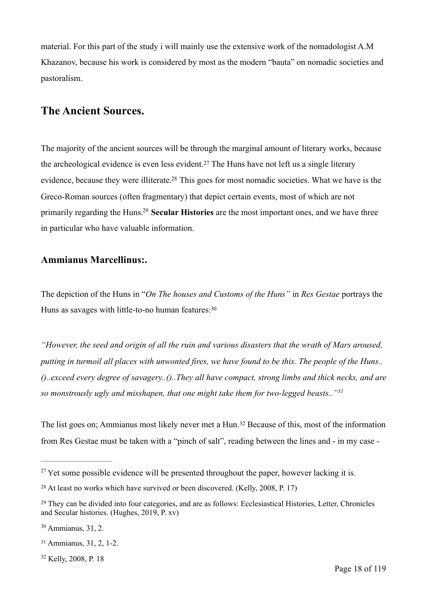material. For this part of the study i will mainly use the extensive work of the nomadologist A.M Khazanov, because his work is considered by most as the modern "bauta" on nomadic societies and pastoralism.

## **The Ancient Sources.**

<span id="page-17-7"></span><span id="page-17-6"></span>The majority of the ancient sources will be through the marginal amount of literary works, because thearcheological evidence is even less evident.<sup>[27](#page-17-0)</sup> The Huns have not left us a single literary evidence, because they were illiterate[.](#page-17-1)<sup>[28](#page-17-1)</sup> This goes for most nomadic societies. What we have is the Greco-Roman sources (often fragmentary) that depict certain events, most of which are not primarily regarding the Huns.<sup>[29](#page-17-2)</sup> Secular Histories are the most important ones, and we have three in particular who have valuable information.

#### <span id="page-17-8"></span>**Ammianus Marcellinus:.**

<span id="page-17-9"></span>The depiction of the Huns in "*On The houses and Customs of the Huns"* in *Res Gestae* portrays the Huns as savages with little-to-no human features: 30

*"However, the seed and origin of all the ruin and various disasters that the wrath of Mars aroused, putting in turmoil all places with unwonted fires, we have found to be this. The people of the Huns.. ()..exceed every degree of savagery..()..They all have compact, strong limbs and thick necks, and are so monstrously ugly and misshapen, that one might take them for two-legged beasts.."[31](#page-17-4)*

<span id="page-17-11"></span><span id="page-17-10"></span>Thelist goes on; Ammianus most likely never met a Hun.<sup>[32](#page-17-5)</sup> Because of this, most of the information from Res Gestae must be taken with a "pinch of salt", reading between the lines and - in my case -

<span id="page-17-5"></span><sup>[32](#page-17-11)</sup> Kelly, 2008, P. 18

<span id="page-17-0"></span> $27$  Yet some possible evidence will be presented throughout the paper, however lacking it is.

<span id="page-17-1"></span> $28$  At least no works which have survived or been discovered. (Kelly, 2008, P. 17)

<span id="page-17-2"></span><sup>&</sup>lt;sup>[29](#page-17-8)</sup> They can be divided into four categories, and are as follows: Ecclesiastical Histories, Letter, Chronicles and Secular histories. (Hughes, 2019, P. xv)

<span id="page-17-3"></span> $30$  Ammianus, 31, 2.

<span id="page-17-4"></span><sup>&</sup>lt;sup>[31](#page-17-10)</sup> Ammianus, 31, 2, 1-2.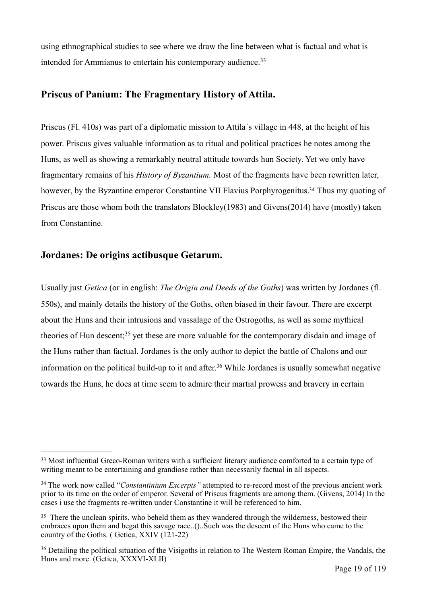<span id="page-18-4"></span>using ethnographical studies to see where we draw the line between what is factual and what is intended for Ammianus to entertain his contemporary audience.<sup>[33](#page-18-0)</sup>

#### **Priscus of Panium: The Fragmentary History of Attila.**

Priscus (Fl. 410s) was part of a diplomatic mission to Attila´s village in 448, at the height of his power. Priscus gives valuable information as to ritual and political practices he notes among the Huns, as well as showing a remarkably neutral attitude towards hun Society. Yet we only have fragmentary remains of his *History of Byzantium.* Most of the fragments have been rewritten later, however, by the Byzantine emperor Constantine VII Flavius Porphyrogenitus[.](#page-18-1)<sup>[34](#page-18-1)</sup> Thus my quoting of Priscus are those whom both the translators Blockley(1983) and Givens(2014) have (mostly) taken from Constantine.

#### <span id="page-18-5"></span>**Jordanes: De origins actibusque Getarum.**

<span id="page-18-7"></span><span id="page-18-6"></span>Usually just *Getica* (or in english: *The Origin and Deeds of the Goths*) was written by Jordanes (fl. 550s), and mainly details the history of the Goths, often biased in their favour. There are excerpt about the Huns and their intrusions and vassalage of the Ostrogoths, as well as some mythical theoriesof Hun descent;<sup>[35](#page-18-2)</sup> yet these are more valuable for the contemporary disdain and image of the Huns rather than factual. Jordanes is the only author to depict the battle of Chalons and our informationon the political build-up to it and after.<sup>[36](#page-18-3)</sup> While Jordanes is usually somewhat negative towards the Huns, he does at time seem to admire their martial prowess and bravery in certain

<span id="page-18-0"></span><sup>&</sup>lt;sup>[33](#page-18-4)</sup> Most influential Greco-Roman writers with a sufficient literary audience comforted to a certain type of writing meant to be entertaining and grandiose rather than necessarily factual in all aspects.

<span id="page-18-1"></span><sup>&</sup>lt;sup>[34](#page-18-5)</sup> The work now called "*Constantinium Excerpts*" attempted to re-record most of the previous ancient work prior to its time on the order of emperor. Several of Priscus fragments are among them. (Givens, 2014) In the cases i use the fragments re-written under Constantine it will be referenced to him.

<span id="page-18-2"></span><sup>&</sup>lt;sup>[35](#page-18-6)</sup> There the unclean spirits, who beheld them as they wandered through the wilderness, bestowed their embraces upon them and begat this savage race..()..Such was the descent of the Huns who came to the country of the Goths. ( Getica, XXIV (121-22)

<span id="page-18-3"></span><sup>&</sup>lt;sup>[36](#page-18-7)</sup> Detailing the political situation of the Visigoths in relation to The Western Roman Empire, the Vandals, the Huns and more. (Getica, XXXVI-XLII)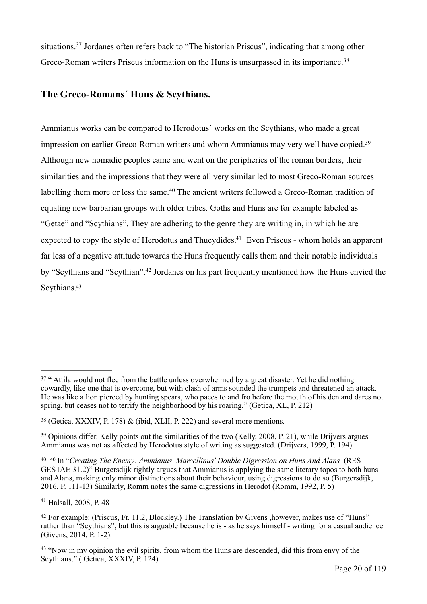<span id="page-19-8"></span><span id="page-19-7"></span>situations[.](#page-19-0)<sup>[37](#page-19-0)</sup> Jordanes often refers back to "The historian Priscus", indicating that among other Greco-Roman writers Priscus information on the Huns is unsurpassed in its importance.<sup>[38](#page-19-1)</sup>

#### **The Greco-Romans´ Huns & Scythians.**

<span id="page-19-11"></span><span id="page-19-10"></span><span id="page-19-9"></span>Ammianus works can be compared to Herodotus´ works on the Scythians, who made a great impression on earlier Greco-Roman writers and whom Ammianus may very well have copied[.39](#page-19-2) Although new nomadic peoples came and went on the peripheries of the roman borders, their similarities and the impressions that they were all very similar led to most Greco-Roman sources labellingthem more or less the same.<sup>[40](#page-19-3)</sup> The ancient writers followed a Greco-Roman tradition of equating new barbarian groups with older tribes. Goths and Huns are for example labeled as "Getae" and "Scythians". They are adhering to the genre they are writing in, in which he are expected to copy the style of Herodotus and Thucydides[.](#page-19-4)<sup>[41](#page-19-4)</sup> Even Priscus - whom holds an apparent far less of a negative attitude towards the Huns frequently calls them and their notable individuals by"Scythians and "Scythian".<sup>[42](#page-19-5)</sup> Jordanes on his part frequently mentioned how the Huns envied the Scythians.<sup>43</sup>

<span id="page-19-4"></span> $41$  Halsall, 2008, P. 48

<span id="page-19-13"></span><span id="page-19-12"></span><span id="page-19-0"></span><sup>&</sup>lt;sup>[37](#page-19-7)</sup> " Attila would not flee from the battle unless overwhelmed by a great disaster. Yet he did nothing cowardly, like one that is overcome, but with clash of arms sounded the trumpets and threatened an attack. He was like a lion pierced by hunting spears, who paces to and fro before the mouth of his den and dares not spring, but ceases not to terrify the neighborhood by his roaring." (Getica, XL, P. 212)

<span id="page-19-1"></span><sup>&</sup>lt;sup>[38](#page-19-8)</sup> (Getica, XXXIV, P. 178) & (ibid, XLII, P. 222) and several more mentions.

<span id="page-19-2"></span><sup>&</sup>lt;sup>[39](#page-19-9)</sup> Opinions differ. Kelly points out the similarities of the two (Kelly, 2008, P. 21), while Drijvers argues Ammianus was not as affected by Herodotus style of writing as suggested. (Drijvers, 1999, P. 194)

<span id="page-19-3"></span><sup>&</sup>lt;sup>[40](#page-19-10)</sup> <sup>40</sup> In "*Creating The Enemy: Ammianus Marcellinus' Double Digression on Huns And Alans* (RES GESTAE 31.2)" Burgersdijk rightly argues that Ammianus is applying the same literary topos to both huns and Alans, making only minor distinctions about their behaviour, using digressions to do so (Burgersdijk, 2016, P. 111-13) Similarly, Romm notes the same digressions in Herodot (Romm, 1992, P. 5)

<span id="page-19-5"></span><sup>&</sup>lt;sup>[42](#page-19-12)</sup> For example: (Priscus, Fr. 11.2, Blockley.) The Translation by Givens , however, makes use of "Huns" rather than "Scythians", but this is arguable because he is - as he says himself - writing for a casual audience (Givens, 2014, P. 1-2).

<span id="page-19-6"></span> $43$  "Now in my opinion the evil spirits, from whom the Huns are descended, did this from envy of the Scythians." ( Getica, XXXIV, P. 124)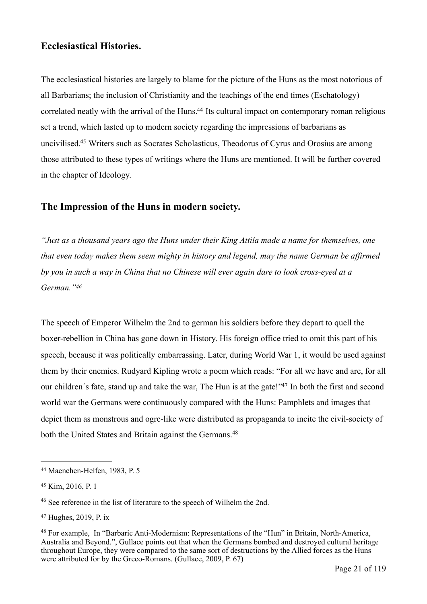#### **Ecclesiastical Histories.**

<span id="page-20-5"></span>The ecclesiastical histories are largely to blame for the picture of the Huns as the most notorious of all Barbarians; the inclusion of Christianity and the teachings of the end times (Eschatology) correlated neatly with the arrival of the Huns[.](#page-20-0)<sup>[44](#page-20-0)</sup> Its cultural impact on contemporary roman religious set a trend, which lasted up to modern society regarding the impressions of barbarians as uncivilised[.](#page-20-1)<sup>[45](#page-20-1)</sup> Writers such as Socrates Scholasticus, Theodorus of Cyrus and Orosius are among those attributed to these types of writings where the Huns are mentioned. It will be further covered in the chapter of Ideology.

#### <span id="page-20-6"></span>**The Impression of the Huns in modern society.**

*"Just as a thousand years ago the Huns under their King Attila made a name for themselves, one that even today makes them seem mighty in history and legend, may the name German be affirmed by you in such a way in China that no Chinese will ever again dare to look cross-eyed at a German.["46](#page-20-2)*

<span id="page-20-8"></span><span id="page-20-7"></span>The speech of Emperor Wilhelm the 2nd to german his soldiers before they depart to quell the boxer-rebellion in China has gone down in History. His foreign office tried to omit this part of his speech, because it was politically embarrassing. Later, during World War 1, it would be used against them by their enemies. Rudyard Kipling wrote a poem which reads: "For all we have and are, for all our children's fate, stand up and take the war, The Hun is at the gate!["](#page-20-3)[47](#page-20-3) In both the first and second world war the Germans were continuously compared with the Huns: Pamphlets and images that depict them as monstrous and ogre-like were distributed as propaganda to incite the civil-society of both the United States and Britain against the Germans.<sup>48</sup>

<span id="page-20-9"></span><span id="page-20-0"></span><sup>&</sup>lt;sup>[44](#page-20-5)</sup> Maenchen-Helfen, 1983, P. 5

<span id="page-20-1"></span>[<sup>45</sup>](#page-20-6) Kim, 2016, P. 1

<span id="page-20-2"></span><sup>&</sup>lt;sup>[46](#page-20-7)</sup> See reference in the list of literature to the speech of Wilhelm the 2nd.

<span id="page-20-3"></span> $47$  Hughes, 2019, P. ix

<span id="page-20-4"></span><sup>&</sup>lt;sup>[48](#page-20-9)</sup> For example, In "Barbaric Anti-Modernism: Representations of the "Hun" in Britain, North-America, Australia and Beyond.", Gullace points out that when the Germans bombed and destroyed cultural heritage throughout Europe, they were compared to the same sort of destructions by the Allied forces as the Huns were attributed for by the Greco-Romans. (Gullace, 2009, P. 67)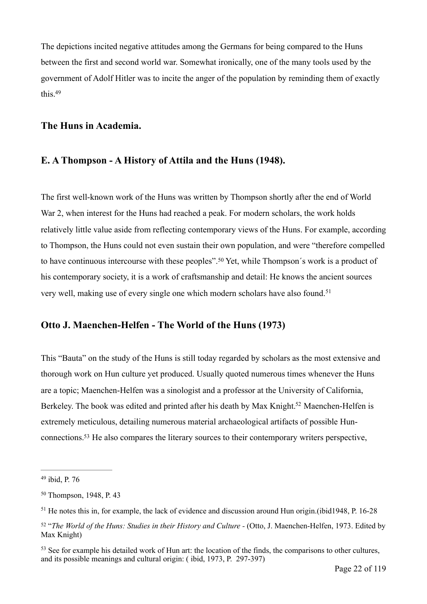The depictions incited negative attitudes among the Germans for being compared to the Huns between the first and second world war. Somewhat ironically, one of the many tools used by the government of Adolf Hitler was to incite the anger of the population by reminding them of exactly this[.49](#page-21-0)

#### <span id="page-21-5"></span>**The Huns in Academia.**

#### **E. A Thompson - A History of Attila and the Huns (1948).**

The first well-known work of the Huns was written by Thompson shortly after the end of World War 2, when interest for the Huns had reached a peak. For modern scholars, the work holds relatively little value aside from reflecting contemporary views of the Huns. For example, according to Thompson, the Huns could not even sustain their own population, and were "therefore compelled tohave continuous intercourse with these peoples".<sup>[50](#page-21-1)</sup> Yet, while Thompson's work is a product of his contemporary society, it is a work of craftsmanship and detail: He knows the ancient sources very well, making use of every single one which modern scholars have also found.<sup>[51](#page-21-2)</sup>

#### <span id="page-21-7"></span><span id="page-21-6"></span>**Otto J. Maenchen-Helfen - The World of the Huns (1973)**

<span id="page-21-8"></span>This "Bauta" on the study of the Huns is still today regarded by scholars as the most extensive and thorough work on Hun culture yet produced. Usually quoted numerous times whenever the Huns are a topic; Maenchen-Helfen was a sinologist and a professor at the University of California, Berkeley[.](#page-21-3) The book was edited and printed after his death by Max Knight.<sup>[52](#page-21-3)</sup> Maenchen-Helfen is extremely meticulous, detailing numerous material archaeological artifacts of possible Hun-connections[.](#page-21-4)<sup>[53](#page-21-4)</sup> He also compares the literary sources to their contemporary writers perspective,

<span id="page-21-9"></span><span id="page-21-0"></span><sup>&</sup>lt;sup>[49](#page-21-5)</sup> ibid, P. 76

<span id="page-21-1"></span><sup>&</sup>lt;sup>[50](#page-21-6)</sup> Thompson, 1948, P. 43

<span id="page-21-2"></span> $<sup>51</sup>$  $<sup>51</sup>$  $<sup>51</sup>$  He notes this in, for example, the lack of evidence and discussion around Hun origin.(ibid1948, P. 16-28</sup>

<span id="page-21-3"></span><sup>&</sup>lt;sup>[52](#page-21-8)</sup> "The World of the Huns: Studies in their History and Culture - (Otto, J. Maenchen-Helfen, 1973. Edited by Max Knight)

<span id="page-21-4"></span> $53$  See for example his detailed work of Hun art: the location of the finds, the comparisons to other cultures, and its possible meanings and cultural origin: ( ibid, 1973, P. 297-397)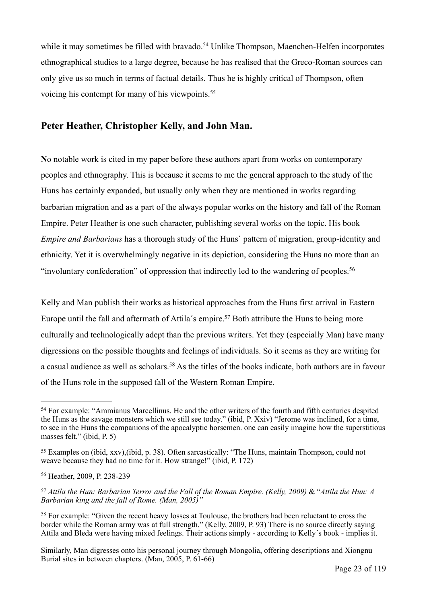<span id="page-22-5"></span>whileit may sometimes be filled with bravado.<sup>[54](#page-22-0)</sup> Unlike Thompson, Maenchen-Helfen incorporates ethnographical studies to a large degree, because he has realised that the Greco-Roman sources can only give us so much in terms of factual details. Thus he is highly critical of Thompson, often voicing his contempt for many of his viewpoints.[55](#page-22-1)

#### <span id="page-22-6"></span>**Peter Heather, Christopher Kelly, and John Man.**

**N**o notable work is cited in my paper before these authors apart from works on contemporary peoples and ethnography. This is because it seems to me the general approach to the study of the Huns has certainly expanded, but usually only when they are mentioned in works regarding barbarian migration and as a part of the always popular works on the history and fall of the Roman Empire. Peter Heather is one such character, publishing several works on the topic. His book *Empire and Barbarians* has a thorough study of the Huns` pattern of migration, group-identity and ethnicity. Yet it is overwhelmingly negative in its depiction, considering the Huns no more than an "involuntary confederation" of oppression that indirectly led to the wandering of peoples.[56](#page-22-2)

<span id="page-22-8"></span><span id="page-22-7"></span>Kelly and Man publish their works as historical approaches from the Huns first arrival in Eastern Europe until the fall and aftermath of Attila's empire[.](#page-22-3)<sup>[57](#page-22-3)</sup> Both attribute the Huns to being more culturally and technologically adept than the previous writers. Yet they (especially Man) have many digressions on the possible thoughts and feelings of individuals. So it seems as they are writing for acasual audience as well as scholars.<sup>[58](#page-22-4)</sup> As the titles of the books indicate, both authors are in favour of the Huns role in the supposed fall of the Western Roman Empire.

Similarly, Man digresses onto his personal journey through Mongolia, offering descriptions and Xiongnu Burial sites in between chapters. (Man, 2005, P. 61-66)

<span id="page-22-9"></span><span id="page-22-0"></span><sup>&</sup>lt;sup>[54](#page-22-5)</sup> For example: "Ammianus Marcellinus. He and the other writers of the fourth and fifth centuries despited the Huns as the savage monsters which we still see today." (ibid, P. Xxiv) "Jerome was inclined, for a time, to see in the Huns the companions of the apocalyptic horsemen. one can easily imagine how the superstitious masses felt." (ibid, P. 5)

<span id="page-22-1"></span>Examples on (ibid, xxv),(ibid, p. 38). Often sarcastically: "The Huns, maintain Thompson, could not [55](#page-22-6) weave because they had no time for it. How strange!" (ibid, P. 172)

<span id="page-22-2"></span><sup>&</sup>lt;sup>[56](#page-22-7)</sup> Heather, 2009, P. 238-239

<span id="page-22-3"></span>*Attila the Hun: Barbarian Terror and the Fall of the Roman Empire. (Kelly, 2009)* & "*Attila the Hun: A* [57](#page-22-8) *Barbarian king and the fall of Rome. (Man, 2005)"*

<span id="page-22-4"></span> $58$  For example: "Given the recent heavy losses at Toulouse, the brothers had been reluctant to cross the border while the Roman army was at full strength." (Kelly, 2009, P. 93) There is no source directly saying Attila and Bleda were having mixed feelings. Their actions simply - according to Kelly´s book - implies it.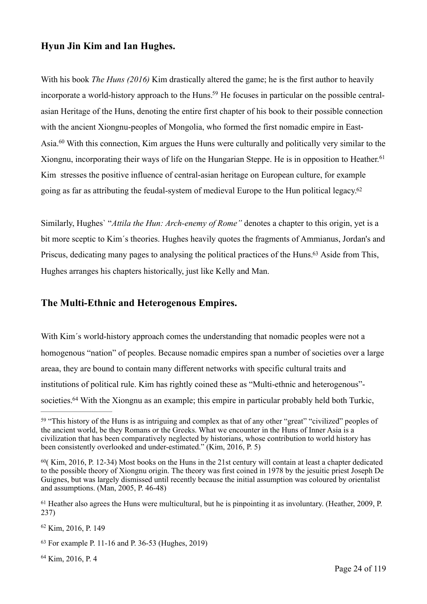#### **Hyun Jin Kim and Ian Hughes.**

<span id="page-23-7"></span><span id="page-23-6"></span>With his book *The Huns (2016)* Kim drastically altered the game; he is the first author to heavily incorporate a world-history approach to the Huns[.](#page-23-0)<sup>59</sup> He focuses in particular on the possible centralasian Heritage of the Huns, denoting the entire first chapter of his book to their possible connection with the ancient Xiongnu-peoples of Mongolia, who formed the first nomadic empire in East-Asia.<sup>[60](#page-23-1)</sup> With this connection, Kim argues the Huns were culturally and politically very similar to the Xiongnu, incorporating their ways of life on the Hungarian Steppe. He is in opposition to Heather.<sup>[61](#page-23-2)</sup> Kim stresses the positive influence of central-asian heritage on European culture, for example going as far as attributing the feudal-system of medieval Europe to the Hun political legacy[.](#page-23-3)<sup>[62](#page-23-3)</sup>

<span id="page-23-10"></span><span id="page-23-9"></span><span id="page-23-8"></span>Similarly, Hughes` "*Attila the Hun: Arch-enemy of Rome"* denotes a chapter to this origin, yet is a bit more sceptic to Kim´s theories. Hughes heavily quotes the fragments of Ammianus, Jordan's and Priscus, dedicating many pages to analysing the political practices of the Huns[.](#page-23-4)<sup>[63](#page-23-4)</sup> Aside from This, Hughes arranges his chapters historically, just like Kelly and Man.

#### **The Multi-Ethnic and Heterogenous Empires.**

With Kim´s world-history approach comes the understanding that nomadic peoples were not a homogenous "nation" of peoples. Because nomadic empires span a number of societies over a large areaa, they are bound to contain many different networks with specific cultural traits and institutions of political rule. Kim has rightly coined these as "Multi-ethnic and heterogenous"- societies[.](#page-23-5)<sup>[64](#page-23-5)</sup> With the Xiongnu as an example; this empire in particular probably held both Turkic,

<span id="page-23-3"></span> $62$  Kim, 2016, P. 149

<span id="page-23-5"></span> $64$  Kim, 2016, P. 4

<span id="page-23-11"></span><span id="page-23-0"></span><sup>&</sup>lt;sup>[59](#page-23-6)</sup> "This history of the Huns is as intriguing and complex as that of any other "great" "civilized" peoples of the ancient world, be they Romans or the Greeks. What we encounter in the Huns of Inner Asia is a civilization that has been comparatively neglected by historians, whose contribution to world history has been consistently overlooked and under-estimated." (Kim, 2016, P. 5)

<span id="page-23-1"></span> $60$  Kim, 2016, P. 12-34) Most books on the Huns in the 21st century will contain at least a chapter dedicated to the possible theory of Xiongnu origin. The theory was first coined in 1978 by the jesuitic priest Joseph De Guignes, but was largely dismissed until recently because the initial assumption was coloured by orientalist and assumptions. (Man, 2005, P. 46-48)

<span id="page-23-2"></span><sup>&</sup>lt;sup>[61](#page-23-8)</sup> Heather also agrees the Huns were multicultural, but he is pinpointing it as involuntary. (Heather, 2009, P. 237)

<span id="page-23-4"></span> $63$  For example P. 11-16 and P. 36-53 (Hughes, 2019)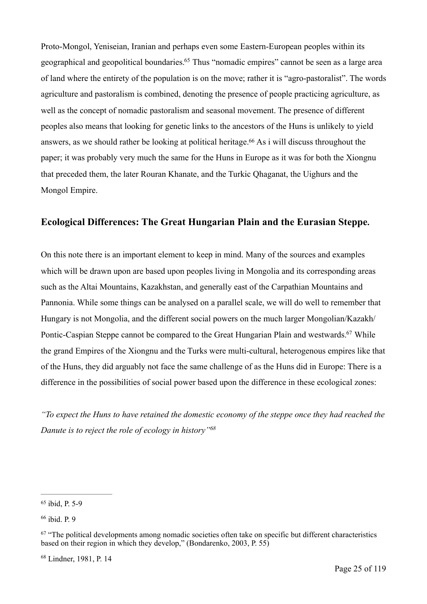<span id="page-24-4"></span>Proto-Mongol, Yeniseian, Iranian and perhaps even some Eastern-European peoples within its geographical and geopolitical boundaries[.](#page-24-0)<sup>[65](#page-24-0)</sup> Thus "nomadic empires" cannot be seen as a large area of land where the entirety of the population is on the move; rather it is "agro-pastoralist". The words agriculture and pastoralism is combined, denoting the presence of people practicing agriculture, as well as the concept of nomadic pastoralism and seasonal movement. The presence of different peoples also means that looking for genetic links to the ancestors of the Huns is unlikely to yield answers, as we should rather be looking at political heritage[.](#page-24-1)<sup> $66$ </sup> As i will discuss throughout the paper; it was probably very much the same for the Huns in Europe as it was for both the Xiongnu that preceded them, the later Rouran Khanate, and the Turkic Qhaganat, the Uighurs and the Mongol Empire.

#### <span id="page-24-5"></span>**Ecological Differences: The Great Hungarian Plain and the Eurasian Steppe.**

On this note there is an important element to keep in mind. Many of the sources and examples which will be drawn upon are based upon peoples living in Mongolia and its corresponding areas such as the Altai Mountains, Kazakhstan, and generally east of the Carpathian Mountains and Pannonia. While some things can be analysed on a parallel scale, we will do well to remember that Hungary is not Mongolia, and the different social powers on the much larger Mongolian/Kazakh/ Pontic-Caspian Steppe cannot be compared to the Great Hungarian Plain and westwards[.](#page-24-2)<sup>[67](#page-24-2)</sup> While the grand Empires of the Xiongnu and the Turks were multi-cultural, heterogenous empires like that of the Huns, they did arguably not face the same challenge of as the Huns did in Europe: There is a difference in the possibilities of social power based upon the difference in these ecological zones:

<span id="page-24-7"></span><span id="page-24-6"></span>*"To expect the Huns to have retained the domestic economy of the steppe once they had reached the Danute is to reject the role of ecology in history*<sup>["](#page-24-3)[68](#page-24-3)</sup>

<span id="page-24-3"></span><sup>[68](#page-24-7)</sup> Lindner, 1981, P. 14

<span id="page-24-0"></span> $65$  ibid, P. 5-9

<span id="page-24-1"></span> $66$  ibid. P. 9

<span id="page-24-2"></span> $67$  "The political developments among nomadic societies often take on specific but different characteristics based on their region in which they develop," (Bondarenko, 2003, P. 55)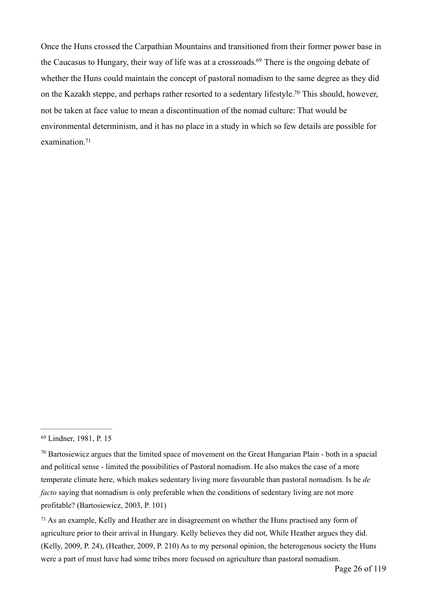<span id="page-25-5"></span><span id="page-25-4"></span><span id="page-25-3"></span>Once the Huns crossed the Carpathian Mountains and transitioned from their former power base in theCaucasus to Hungary, their way of life was at a crossroads.<sup>[69](#page-25-0)</sup> There is the ongoing debate of whether the Huns could maintain the concept of pastoral nomadism to the same degree as they did on the Kazakh steppe, and perhaps rather resorted to a sedentary lifestyle[.](#page-25-1)<sup>[70](#page-25-1)</sup> This should, however, not be taken at face value to mean a discontinuation of the nomad culture: That would be environmental determinism, and it has no place in a study in which so few details are possible for examination<sup>71</sup>

<span id="page-25-2"></span> $71$  As an example, Kelly and Heather are in disagreement on whether the Huns practised any form of agriculture prior to their arrival in Hungary. Kelly believes they did not, While Heather argues they did. (Kelly, 2009, P. 24), (Heather, 2009, P. 210) As to my personal opinion, the heterogenous society the Huns were a part of must have had some tribes more focused on agriculture than pastoral nomadism.

<span id="page-25-0"></span><sup>&</sup>lt;sup>[69](#page-25-3)</sup> Lindner, 1981, P. 15

<span id="page-25-1"></span> $\frac{70}{10}$  $\frac{70}{10}$  $\frac{70}{10}$  Bartosiewicz argues that the limited space of movement on the Great Hungarian Plain - both in a spacial and political sense - limited the possibilities of Pastoral nomadism. He also makes the case of a more temperate climate here, which makes sedentary living more favourable than pastoral nomadism. Is he *de facto* saying that nomadism is only preferable when the conditions of sedentary living are not more profitable? (Bartosiewicz, 2003, P. 101)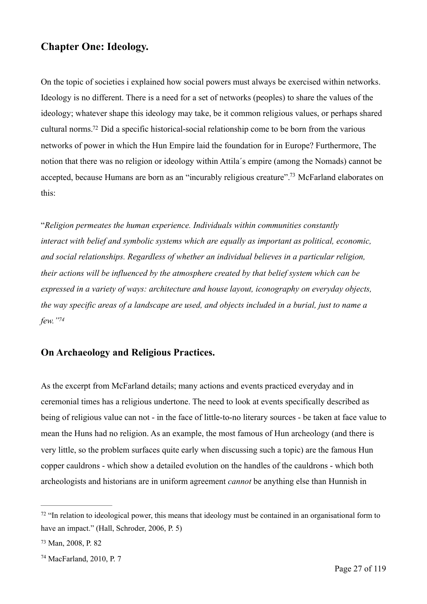## **Chapter One: Ideology.**

<span id="page-26-3"></span>On the topic of societies i explained how social powers must always be exercised within networks. Ideology is no different. There is a need for a set of networks (peoples) to share the values of the ideology; whatever shape this ideology may take, be it common religious values, or perhaps shared cultural norms[.](#page-26-0)<sup>[72](#page-26-0)</sup> Did a specific historical-social relationship come to be born from the various networks of power in which the Hun Empire laid the foundation for in Europe? Furthermore, The notion that there was no religion or ideology within Attila´s empire (among the Nomads) cannot be accepted, because Humans are born as an "incurably religious creature"[.](#page-26-1)<sup>[73](#page-26-1)</sup> McFarland elaborates on this:

<span id="page-26-4"></span>"*Religion permeates the human experience. Individuals within communities constantly interact with belief and symbolic systems which are equally as important as political, economic, and social relationships. Regardless of whether an individual believes in a particular religion, their actions will be influenced by the atmosphere created by that belief system which can be expressed in a variety of ways: architecture and house layout, iconography on everyday objects, the way specific areas of a landscape are used, and objects included in a burial, just to name a few.["](#page-26-2) [74](#page-26-2)*

## <span id="page-26-5"></span>**On Archaeology and Religious Practices.**

As the excerpt from McFarland details; many actions and events practiced everyday and in ceremonial times has a religious undertone. The need to look at events specifically described as being of religious value can not - in the face of little-to-no literary sources - be taken at face value to mean the Huns had no religion. As an example, the most famous of Hun archeology (and there is very little, so the problem surfaces quite early when discussing such a topic) are the famous Hun copper cauldrons - which show a detailed evolution on the handles of the cauldrons - which both archeologists and historians are in uniform agreement *cannot* be anything else than Hunnish in

<span id="page-26-0"></span> $\frac{72}{12}$  $\frac{72}{12}$  $\frac{72}{12}$  "In relation to ideological power, this means that ideology must be contained in an organisational form to have an impact." (Hall, Schroder, 2006, P. 5)

<span id="page-26-1"></span>[<sup>73</sup>](#page-26-4) Man, 2008, P. 82

<span id="page-26-2"></span> $74$  MacFarland, 2010, P. 7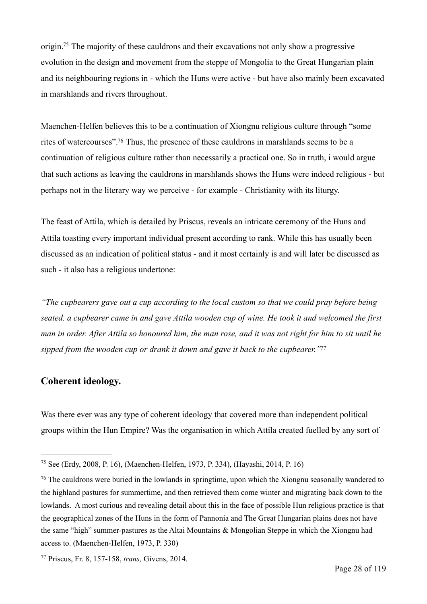<span id="page-27-3"></span>origin[.](#page-27-0)<sup>[75](#page-27-0)</sup> The majority of these cauldrons and their excavations not only show a progressive evolution in the design and movement from the steppe of Mongolia to the Great Hungarian plain and its neighbouring regions in - which the Huns were active - but have also mainly been excavated in marshlands and rivers throughout.

<span id="page-27-4"></span>Maenchen-Helfen believes this to be a continuation of Xiongnu religious culture through "some rites of watercourses"[.](#page-27-1)<sup>[76](#page-27-1)</sup> Thus, the presence of these cauldrons in marshlands seems to be a continuation of religious culture rather than necessarily a practical one. So in truth, i would argue that such actions as leaving the cauldrons in marshlands shows the Huns were indeed religious - but perhaps not in the literary way we perceive - for example - Christianity with its liturgy.

The feast of Attila, which is detailed by Priscus, reveals an intricate ceremony of the Huns and Attila toasting every important individual present according to rank. While this has usually been discussed as an indication of political status - and it most certainly is and will later be discussed as such - it also has a religious undertone:

*"The cupbearers gave out a cup according to the local custom so that we could pray before being seated. a cupbearer came in and gave Attila wooden cup of wine. He took it and welcomed the first man in order. After Attila so honoured him, the man rose, and it was not right for him to sit until he sipped from the wooden cup or drank it down and gave it back to the cupbearer.["77](#page-27-2)*

#### <span id="page-27-5"></span>**Coherent ideology.**

Was there ever was any type of coherent ideology that covered more than independent political groups within the Hun Empire? Was the organisation in which Attila created fuelled by any sort of

<span id="page-27-0"></span><sup>&</sup>lt;sup>[75](#page-27-3)</sup> See (Erdy, 2008, P. 16), (Maenchen-Helfen, 1973, P. 334), (Hayashi, 2014, P. 16)

<span id="page-27-1"></span><sup>&</sup>lt;sup>[76](#page-27-4)</sup> The cauldrons were buried in the lowlands in springtime, upon which the Xiongnu seasonally wandered to the highland pastures for summertime, and then retrieved them come winter and migrating back down to the lowlands. A most curious and revealing detail about this in the face of possible Hun religious practice is that the geographical zones of the Huns in the form of Pannonia and The Great Hungarian plains does not have the same "high" summer-pastures as the Altai Mountains & Mongolian Steppe in which the Xiongnu had access to. (Maenchen-Helfen, 1973, P. 330)

<span id="page-27-2"></span>Priscus, Fr. 8, 157-158, *trans,* Givens, 2014. [77](#page-27-5)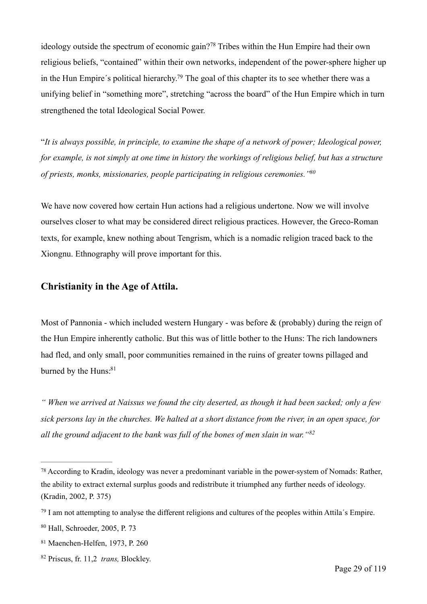<span id="page-28-6"></span><span id="page-28-5"></span>ideologyoutside the spectrum of economic gain?<sup>[78](#page-28-0)</sup> Tribes within the Hun Empire had their own religious beliefs, "contained" within their own networks, independent of the power-sphere higher up in the Hun Empire's political hierarchy[.](#page-28-1)<sup>[79](#page-28-1)</sup> The goal of this chapter its to see whether there was a unifying belief in "something more", stretching "across the board" of the Hun Empire which in turn strengthened the total Ideological Social Power.

"*It is always possible, in principle, to examine the shape of a network of power; Ideological power, for example, is not simply at one time in history the workings of religious belief, but has a structure of priests, monks, missionaries, people participating in religious ceremonies.["80](#page-28-2)*

<span id="page-28-7"></span>We have now covered how certain Hun actions had a religious undertone. Now we will involve ourselves closer to what may be considered direct religious practices. However, the Greco-Roman texts, for example, knew nothing about Tengrism, which is a nomadic religion traced back to the Xiongnu. Ethnography will prove important for this.

#### **Christianity in the Age of Attila.**

Most of Pannonia - which included western Hungary - was before  $\&$  (probably) during the reign of the Hun Empire inherently catholic. But this was of little bother to the Huns: The rich landowners had fled, and only small, poor communities remained in the ruins of greater towns pillaged and burned by the Huns[:](#page-28-3)<sup>[81](#page-28-3)</sup>

<span id="page-28-8"></span>*" When we arrived at Naissus we found the city deserted, as though it had been sacked; only a few sick persons lay in the churches. We halted at a short distance from the river, in an open space, for all the ground adjacent to the bank was full of the bones of men slain in war."[82](#page-28-4)*

<span id="page-28-9"></span><span id="page-28-0"></span><sup>&</sup>lt;sup>[78](#page-28-5)</sup> According to Kradin, ideology was never a predominant variable in the power-system of Nomads: Rather, the ability to extract external surplus goods and redistribute it triumphed any further needs of ideology. (Kradin, 2002, P. 375)

<span id="page-28-1"></span><sup>&</sup>lt;sup>[79](#page-28-6)</sup> I am not attempting to analyse the different religions and cultures of the peoples within Attila's Empire.

<span id="page-28-2"></span> $80$  Hall, Schroeder, 2005, P. 73

<span id="page-28-3"></span>[<sup>81</sup>](#page-28-8) Maenchen-Helfen, 1973, P. 260

<span id="page-28-4"></span><sup>&</sup>lt;sup>[82](#page-28-9)</sup> Priscus, fr. 11,2 *trans*, Blockley.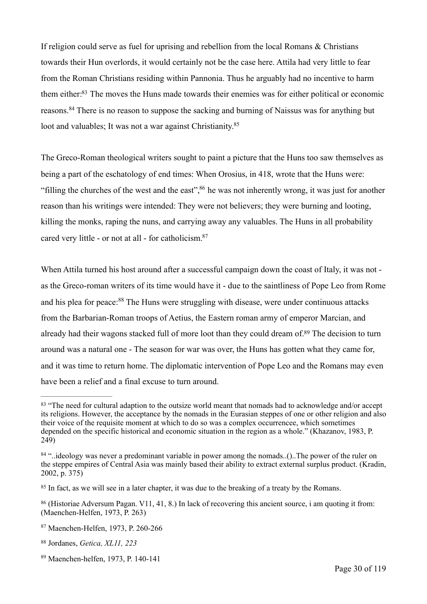<span id="page-29-7"></span>If religion could serve as fuel for uprising and rebellion from the local Romans & Christians towards their Hun overlords, it would certainly not be the case here. Attila had very little to fear from the Roman Christians residing within Pannonia. Thus he arguably had no incentive to harm them either[:](#page-29-0)<sup>[83](#page-29-0)</sup> The moves the Huns made towards their enemies was for either political or economic reasons.<sup>84</sup>There is no reason to suppose the sacking and burning of Naissus was for anything but loot and valuables; It was not a war against Christianity.<sup>85</sup>

<span id="page-29-10"></span><span id="page-29-9"></span><span id="page-29-8"></span>The Greco-Roman theological writers sought to paint a picture that the Huns too saw themselves as being a part of the eschatology of end times: When Orosius, in 418, wrote that the Huns were: "filling the churches of the west and the east"[,](#page-29-3)  $86$  he was not inherently wrong, it was just for another reason than his writings were intended: They were not believers; they were burning and looting, killing the monks, raping the nuns, and carrying away any valuables. The Huns in all probability cared very little - or not at all - for catholicism[.](#page-29-4) [87](#page-29-4)

<span id="page-29-12"></span><span id="page-29-11"></span>When Attila turned his host around after a successful campaign down the coast of Italy, it was not as the Greco-roman writers of its time would have it - due to the saintliness of Pope Leo from Rome andhis plea for peace:<sup>[88](#page-29-5)</sup> The Huns were struggling with disease, were under continuous attacks from the Barbarian-Roman troops of Aetius, the Eastern roman army of emperor Marcian, and already had their wagons stacked full of more loot than they could dream of[.](#page-29-6)<sup>[89](#page-29-6)</sup> The decision to turn around was a natural one - The season for war was over, the Huns has gotten what they came for, and it was time to return home. The diplomatic intervention of Pope Leo and the Romans may even have been a relief and a final excuse to turn around.

<span id="page-29-5"></span>[88](#page-29-12) Jordanes, *Getica, XL11*, 223

<span id="page-29-13"></span><span id="page-29-0"></span><sup>&</sup>lt;sup>[83](#page-29-7)</sup> "The need for cultural adaption to the outsize world meant that nomads had to acknowledge and/or accept its religions. However, the acceptance by the nomads in the Eurasian steppes of one or other religion and also their voice of the requisite moment at which to do so was a complex occurrencee, which sometimes depended on the specific historical and economic situation in the region as a whole." (Khazanov, 1983, P. 249)

<span id="page-29-1"></span> $84$ "..ideology was never a predominant variable in power among the nomads..()..The power of the ruler on the steppe empires of Central Asia was mainly based their ability to extract external surplus product. (Kradin, 2002, p. 375)

<span id="page-29-2"></span><sup>&</sup>lt;sup>[85](#page-29-9)</sup> In fact, as we will see in a later chapter, it was due to the breaking of a treaty by the Romans.

<span id="page-29-3"></span><sup>&</sup>lt;sup>[86](#page-29-10)</sup> (Historiae Adversum Pagan. V11, 41, 8.) In lack of recovering this ancient source, i am quoting it from: (Maenchen-Helfen, 1973, P. 263)

<span id="page-29-4"></span>[<sup>87</sup>](#page-29-11) Maenchen-Helfen, 1973, P. 260-266

<span id="page-29-6"></span> $89$  Maenchen-helfen, 1973, P. 140-141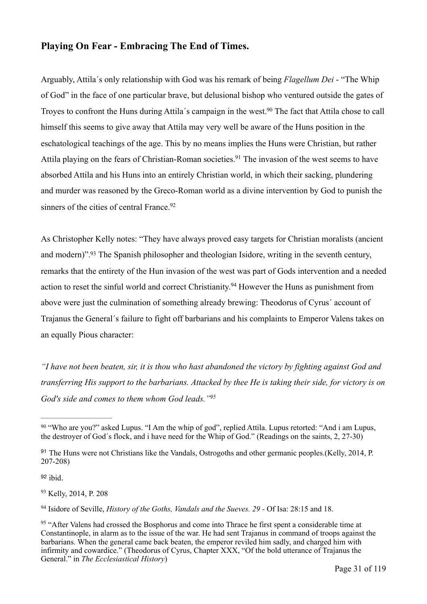#### **Playing On Fear - Embracing The End of Times.**

<span id="page-30-6"></span>Arguably, Attila´s only relationship with God was his remark of being *Flagellum Dei* - "The Whip of God" in the face of one particular brave, but delusional bishop who ventured outside the gates of Troyes to confront the Huns during Attila's campaign in the west[.](#page-30-0)<sup>[90](#page-30-0)</sup> The fact that Attila chose to call himself this seems to give away that Attila may very well be aware of the Huns position in the eschatological teachings of the age. This by no means implies the Huns were Christian, but rather Attila playing on the fears of Christian-Roman societies[.](#page-30-1)<sup>[91](#page-30-1)</sup> The invasion of the west seems to have absorbed Attila and his Huns into an entirely Christian world, in which their sacking, plundering and murder was reasoned by the Greco-Roman world as a divine intervention by God to punish the sinners of the cities of central France[.](#page-30-2)<sup>[92](#page-30-2)</sup>

<span id="page-30-10"></span><span id="page-30-9"></span><span id="page-30-8"></span><span id="page-30-7"></span>As Christopher Kelly notes: "They have always proved easy targets for Christian moralists (ancient and modern)"[.](#page-30-3)<sup>[93](#page-30-3)</sup> The Spanish philosopher and theologian Isidore, writing in the seventh century, remarks that the entirety of the Hun invasion of the west was part of Gods intervention and a needed actionto reset the sinful world and correct Christianity.<sup>[94](#page-30-4)</sup> However the Huns as punishment from above were just the culmination of something already brewing: Theodorus of Cyrus´ account of Trajanus the General´s failure to fight off barbarians and his complaints to Emperor Valens takes on an equally Pious character:

*"I have not been beaten, sir, it is thou who hast abandoned the victory by fighting against God and transferring His support to the barbarians. Attacked by thee He is taking their side, for victory is on God's side and comes to them whom God leads.["](#page-30-5) [95](#page-30-5)*

<span id="page-30-2"></span>ibid*.* [92](#page-30-8)

<span id="page-30-3"></span>[93](#page-30-9) Kelly, 2014, P. 208

<span id="page-30-4"></span><sup>[94](#page-30-10)</sup> Isidore of Seville, *History of the Goths, Vandals and the Sueves.* 29 - Of Isa: 28:15 and 18.

<span id="page-30-11"></span><span id="page-30-0"></span><sup>% &</sup>quot;Who are you?" asked Lupus. "I Am the whip of god", replied Attila. Lupus retorted: "And i am Lupus, the destroyer of God´s flock, and i have need for the Whip of God." (Readings on the saints, 2, 27-30)

<span id="page-30-1"></span><sup>&</sup>lt;sup>[91](#page-30-7)</sup> The Huns were not Christians like the Vandals, Ostrogoths and other germanic peoples.(Kelly, 2014, P. 207-208)

<span id="page-30-5"></span><sup>&</sup>lt;sup>[95](#page-30-11)</sup> "After Valens had crossed the Bosphorus and come into Thrace he first spent a considerable time at Constantinople, in alarm as to the issue of the war. He had sent Trajanus in command of troops against the barbarians. When the general came back beaten, the emperor reviled him sadly, and charged him with infirmity and cowardice." (Theodorus of Cyrus, Chapter XXX, "Of the bold utterance of Trajanus the General." in *The Ecclesiastical History*)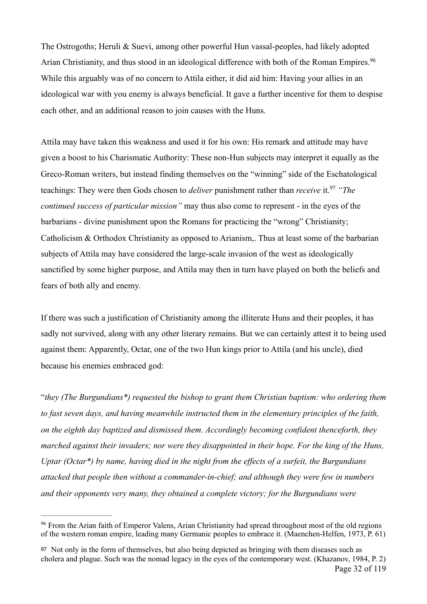<span id="page-31-2"></span>The Ostrogoths; Heruli & Suevi, among other powerful Hun vassal-peoples, had likely adopted Arian Christianity, and thus stood in an ideological difference with both of the Roman Empires.<sup>[96](#page-31-0)</sup> While this arguably was of no concern to Attila either, it did aid him: Having your allies in an ideological war with you enemy is always beneficial. It gave a further incentive for them to despise each other, and an additional reason to join causes with the Huns.

<span id="page-31-3"></span>Attila may have taken this weakness and used it for his own: His remark and attitude may have given a boost to his Charismatic Authority: These non-Hun subjects may interpret it equally as the Greco-Roman writers, but instead finding themselves on the "winning" side of the Eschatological teachings: They were then Gods chosen to *deliver* punishment rather than *receive* it.<sup>[97](#page-31-1)</sup> "The *continued success of particular mission"* may thus also come to represent - in the eyes of the barbarians - divine punishment upon the Romans for practicing the "wrong" Christianity; Catholicism & Orthodox Christianity as opposed to Arianism,. Thus at least some of the barbarian subjects of Attila may have considered the large-scale invasion of the west as ideologically sanctified by some higher purpose, and Attila may then in turn have played on both the beliefs and fears of both ally and enemy.

If there was such a justification of Christianity among the illiterate Huns and their peoples, it has sadly not survived, along with any other literary remains. But we can certainly attest it to being used against them: Apparently, Octar, one of the two Hun kings prior to Attila (and his uncle), died because his enemies embraced god:

"*they (The Burgundians\*) requested the bishop to grant them Christian baptism: who ordering them to fast seven days, and having meanwhile instructed them in the elementary principles of the faith, on the eighth day baptized and dismissed them. Accordingly becoming confident thenceforth, they marched against their invaders; nor were they disappointed in their hope. For the king of the Huns, Uptar (Octar\*) by name, having died in the night from the effects of a surfeit, the Burgundians attacked that people then without a commander-in-chief; and although they were few in numbers and their opponents very many, they obtained a complete victory; for the Burgundians were* 

<span id="page-31-0"></span><sup>&</sup>lt;sup>[96](#page-31-2)</sup> From the Arian faith of Emperor Valens, Arian Christianity had spread throughout most of the old regions of the western roman empire, leading many Germanic peoples to embrace it. (Maenchen-Helfen, 1973, P. 61)

<span id="page-31-1"></span>[<sup>97</sup>](#page-31-3) Not only in the form of themselves, but also being depicted as bringing with them diseases such as cholera and plague. Such was the nomad legacy in the eyes of the contemporary west. (Khazanov, 1984, P. 2) Page 32 of 119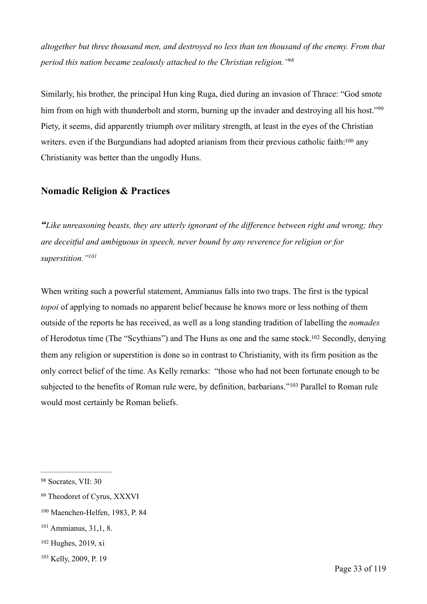*altogether but three thousand men, and destroyed no less than ten thousand of the enemy. From that period this nation became zealously attached to the Christian religion.["98](#page-32-0)*

<span id="page-32-7"></span><span id="page-32-6"></span>Similarly, his brother, the principal Hun king Ruga, died during an invasion of Thrace: "God smote him from on high with thunderbolt and storm, burning up the invader and destroying all his host."<sup>[99](#page-32-1)</sup> Piety, it seems, did apparently triumph over military strength, at least in the eyes of the Christian writers. even if the Burgundians had adopted arianism from their previous catholic faith[:](#page-32-2)<sup>[100](#page-32-2)</sup> any Christianity was better than the ungodly Huns.

#### <span id="page-32-8"></span>**Nomadic Religion & Practices**

*"Like unreasoning beasts, they are utterly ignorant of the difference between right and wrong; they are deceitful and ambiguous in speech, never bound by any reverence for religion or for superstition.["101](#page-32-3)*

<span id="page-32-10"></span><span id="page-32-9"></span>When writing such a powerful statement, Ammianus falls into two traps. The first is the typical *topoi* of applying to nomads no apparent belief because he knows more or less nothing of them outside of the reports he has received, as well as a long standing tradition of labelling the *nomades*  of Herodotus time (The "Scythians") and The Huns as one and the same stock[.](#page-32-4)<sup>[102](#page-32-4)</sup> Secondly, denying them any religion or superstition is done so in contrast to Christianity, with its firm position as the only correct belief of the time. As Kelly remarks: "those who had not been fortunate enough to be subjectedto the benefits of Roman rule were, by definition, barbarians."<sup>[103](#page-32-5)</sup> Parallel to Roman rule would most certainly be Roman beliefs.

- <span id="page-32-4"></span> $102$  Hughes, 2019, xi
- <span id="page-32-5"></span><sup>[103](#page-32-11)</sup> Kelly, 2009, P. 19

<span id="page-32-11"></span><span id="page-32-0"></span>[<sup>98</sup>](#page-32-6) Socrates, VII: 30

<span id="page-32-1"></span>[<sup>99</sup>](#page-32-7) Theodoret of Cyrus, XXXVI

<span id="page-32-2"></span><sup>&</sup>lt;sup>[100](#page-32-8)</sup> Maenchen-Helfen, 1983, P. 84

<span id="page-32-3"></span> $101$  Ammianus, 31, 1, 8.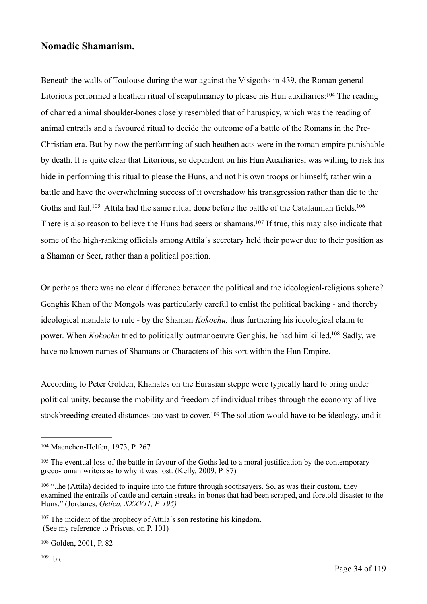#### **Nomadic Shamanism.**

<span id="page-33-6"></span>Beneath the walls of Toulouse during the war against the Visigoths in 439, the Roman general Litorious performed a heathen ritual of scapulimancy to please his Hun auxiliaries[:](#page-33-0)  $104$  The reading of charred animal shoulder-bones closely resembled that of haruspicy, which was the reading of animal entrails and a favoured ritual to decide the outcome of a battle of the Romans in the Pre-Christian era. But by now the performing of such heathen acts were in the roman empire punishable by death. It is quite clear that Litorious, so dependent on his Hun Auxiliaries, was willing to risk his hide in performing this ritual to please the Huns, and not his own troops or himself; rather win a battle and have the overwhelming success of it overshadow his transgression rather than die to the Gothsand fail.<sup>105</sup> Attila had the same ritual done before the battle of the Catalaunian fields.<sup>[106](#page-33-2)</sup> There is also reason to believe the Huns had seers or shamans[.](#page-33-3)<sup>[107](#page-33-3)</sup> If true, this may also indicate that some of the high-ranking officials among Attila´s secretary held their power due to their position as a Shaman or Seer, rather than a political position.

<span id="page-33-9"></span><span id="page-33-8"></span><span id="page-33-7"></span>Or perhaps there was no clear difference between the political and the ideological-religious sphere? Genghis Khan of the Mongols was particularly careful to enlist the political backing - and thereby ideological mandate to rule - by the Shaman *Kokochu,* thus furthering his ideological claim to power[.](#page-33-4) When *Kokochu* tried to politically outmanoeuvre Genghis, he had him killed.<sup>[108](#page-33-4)</sup> Sadly, we have no known names of Shamans or Characters of this sort within the Hun Empire.

<span id="page-33-10"></span>According to Peter Golden, Khanates on the Eurasian steppe were typically hard to bring under political unity, because the mobility and freedom of individual tribes through the economy of live stockbreedingcreated distances too vast to cover.<sup>[109](#page-33-5)</sup> The solution would have to be ideology, and it

<span id="page-33-4"></span><sup>[108](#page-33-10)</sup> Golden, 2001, P. 82

<span id="page-33-5"></span> $109$  ibid.

<span id="page-33-11"></span><span id="page-33-0"></span><sup>&</sup>lt;sup>[104](#page-33-6)</sup> Maenchen-Helfen, 1973, P. 267

<span id="page-33-1"></span><sup>&</sup>lt;sup>[105](#page-33-7)</sup> The eventual loss of the battle in favour of the Goths led to a moral justification by the contemporary greco-roman writers as to why it was lost. (Kelly, 2009, P. 87)

<span id="page-33-2"></span> $106$  "..he (Attila) decided to inquire into the future through soothsayers. So, as was their custom, they examined the entrails of cattle and certain streaks in bones that had been scraped, and foretold disaster to the Huns." (Jordanes, *Getica, XXXV11, P. 195)*

<span id="page-33-3"></span> $107$  The incident of the prophecy of Attila's son restoring his kingdom. (See my reference to Priscus, on P. 101)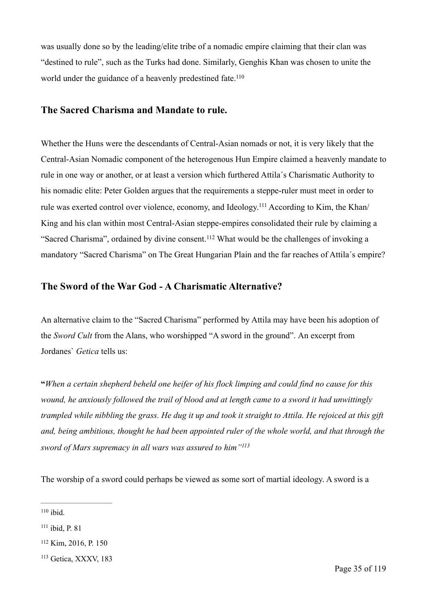was usually done so by the leading/elite tribe of a nomadic empire claiming that their clan was "destined to rule", such as the Turks had done. Similarly, Genghis Khan was chosen to unite the world under the guidance of a heavenly predestined fate.<sup>110</sup>

#### <span id="page-34-4"></span>**The Sacred Charisma and Mandate to rule.**

<span id="page-34-5"></span>Whether the Huns were the descendants of Central-Asian nomads or not, it is very likely that the Central-Asian Nomadic component of the heterogenous Hun Empire claimed a heavenly mandate to rule in one way or another, or at least a version which furthered Attila´s Charismatic Authority to his nomadic elite: Peter Golden argues that the requirements a steppe-ruler must meet in order to rule was exerted control over violence, economy, and Ideology.<sup>111</sup> According to Kim, the Khan/ King and his clan within most Central-Asian steppe-empires consolidated their rule by claiming a "Sacred Charisma", ordained by divine consent.<sup>[112](#page-34-2)</sup> What would be the challenges of invoking a mandatory "Sacred Charisma" on The Great Hungarian Plain and the far reaches of Attila´s empire?

#### <span id="page-34-6"></span>**The Sword of the War God - A Charismatic Alternative?**

An alternative claim to the "Sacred Charisma" performed by Attila may have been his adoption of the *Sword Cult* from the Alans, who worshipped "A sword in the ground". An excerpt from Jordanes` *Getica* tells us:

**"***When a certain shepherd beheld one heifer of his flock limping and could find no cause for this wound, he anxiously followed the trail of blood and at length came to a sword it had unwittingly trampled while nibbling the grass. He dug it up and took it straight to Attila. He rejoiced at this gift and, being ambitious, thought he had been appointed ruler of the whole world, and that through the sword of Mars supremacy in all wars was assured to him["113](#page-34-3)*

<span id="page-34-7"></span>The worship of a sword could perhaps be viewed as some sort of martial ideology. A sword is a

<span id="page-34-0"></span> $110$  ibid.

<span id="page-34-1"></span> $111$  ibid, P. 81

<span id="page-34-2"></span><sup>&</sup>lt;sup>[112](#page-34-6)</sup> Kim, 2016, P. 150

<span id="page-34-3"></span> $113$  Getica, XXXV, 183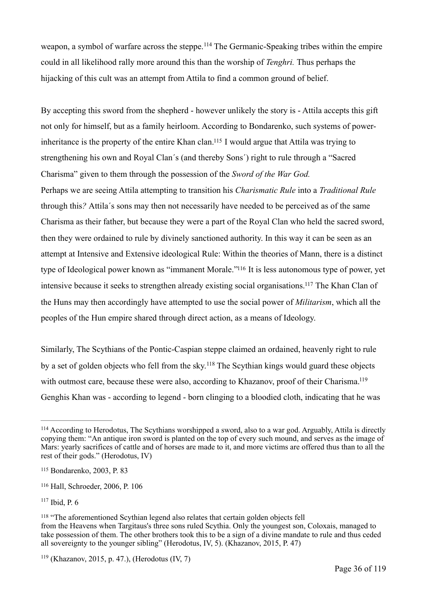<span id="page-35-6"></span>weapon, a symbol of warfare across the steppe.<sup>[114](#page-35-0)</sup> The Germanic-Speaking tribes within the empire could in all likelihood rally more around this than the worship of *Tenghri.* Thus perhaps the hijacking of this cult was an attempt from Attila to find a common ground of belief.

<span id="page-35-7"></span>By accepting this sword from the shepherd - however unlikely the story is - Attila accepts this gift not only for himself, but as a family heirloom. According to Bondarenko, such systems of power-inheritance is the property of the entire Khan clan[.](#page-35-1)<sup>[115](#page-35-1)</sup> I would argue that Attila was trying to strengthening his own and Royal Clan´s (and thereby Sons´) right to rule through a "Sacred Charisma" given to them through the possession of the *Sword of the War God.*  Perhaps we are seeing Attila attempting to transition his *Charismatic Rule* into a *Traditional Rule*  through this*?* Attila´s sons may then not necessarily have needed to be perceived as of the same Charisma as their father, but because they were a part of the Royal Clan who held the sacred sword, then they were ordained to rule by divinely sanctioned authority. In this way it can be seen as an attempt at Intensive and Extensive ideological Rule: Within the theories of Mann, there is a distinct type of Ideological power known as ["](#page-35-2)immanent Morale."<sup>[116](#page-35-2)</sup> It is less autonomous type of power, yet intensive because it seeks to strengthen already existing social organisations[.](#page-35-3)<sup>[117](#page-35-3)</sup> The Khan Clan of the Huns may then accordingly have attempted to use the social power of *Militarism*, which all the peoples of the Hun empire shared through direct action, as a means of Ideology.

<span id="page-35-11"></span><span id="page-35-10"></span><span id="page-35-9"></span><span id="page-35-8"></span>Similarly, The Scythians of the Pontic-Caspian steppe claimed an ordained, heavenly right to rule by a set of golden objects who fell from the sky.<sup>[118](#page-35-4)</sup> The Scythian kings would guard these objects with outmost care, because these were also, according to Khazanov, proof of their Charisma.<sup>119</sup> Genghis Khan was - according to legend - born clinging to a bloodied cloth, indicating that he was

<span id="page-35-0"></span><sup>&</sup>lt;sup>[114](#page-35-6)</sup> According to Herodotus, The Scythians worshipped a sword, also to a war god. Arguably, Attila is directly copying them: "An antique iron sword is planted on the top of every such mound, and serves as the image of Mars: yearly sacrifices of cattle and of horses are made to it, and more victims are offered thus than to all the rest of their gods." (Herodotus, IV)

<span id="page-35-1"></span><sup>&</sup>lt;sup>[115](#page-35-7)</sup> Bondarenko, 2003, P. 83

<span id="page-35-2"></span><sup>&</sup>lt;sup>[116](#page-35-8)</sup> Hall, Schroeder, 2006, P. 106

<span id="page-35-3"></span> $117$  Ibid, P. 6

<span id="page-35-4"></span> $118$  "The aforementioned Scythian legend also relates that certain golden objects fell from the Heavens when Targitaus's three sons ruled Scythia. Only the youngest son, Coloxais, managed to take possession of them. The other brothers took this to be a sign of a divine mandate to rule and thus ceded all sovereignty to the younger sibling" (Herodotus, IV, 5). (Khazanov, 2015, P. 47)

<span id="page-35-5"></span> $119$  (Khazanov, 2015, p. 47.), (Herodotus (IV, 7)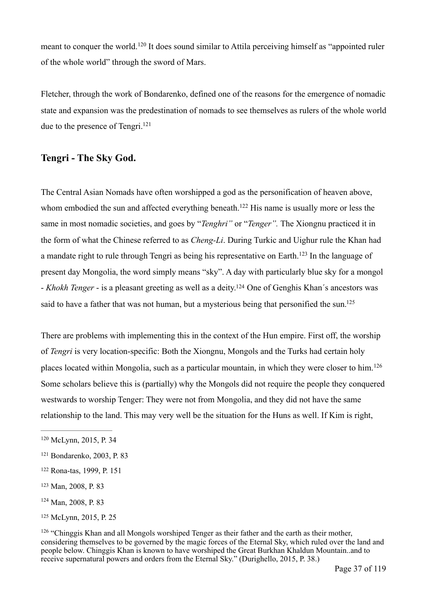<span id="page-36-7"></span>meantto conquer the world.<sup>[120](#page-36-0)</sup> It does sound similar to Attila perceiving himself as "appointed ruler of the whole world" through the sword of Mars.

Fletcher, through the work of Bondarenko, defined one of the reasons for the emergence of nomadic state and expansion was the predestination of nomads to see themselves as rulers of the whole world due to the presence of Tengri.<sup>121</sup>

### <span id="page-36-8"></span>**Tengri - The Sky God.**

<span id="page-36-10"></span><span id="page-36-9"></span>The Central Asian Nomads have often worshipped a god as the personification of heaven above, whom embodied the sun and affected everything beneath[.](#page-36-2)<sup>[122](#page-36-2)</sup> His name is usually more or less the same in most nomadic societies, and goes by "*Tenghri"* or "*Tenger".* The Xiongnu practiced it in the form of what the Chinese referred to as *Cheng-Li*. During Turkic and Uighur rule the Khan had amandate right to rule through Tengri as being his representative on Earth.<sup>[123](#page-36-3)</sup> In the language of present day Mongolia, the word simply means "sky". A day with particularly blue sky for a mongol - *Khokh Tenger* - is a pleasant greeting as well as a deity[.](#page-36-4)<sup>[124](#page-36-4)</sup> One of Genghis Khan's ancestors was said to have a father that was not human, but a mysterious being that personified the sun.<sup>125</sup>

<span id="page-36-13"></span><span id="page-36-12"></span><span id="page-36-11"></span>There are problems with implementing this in the context of the Hun empire. First off, the worship of *Tengri* is very location-specific: Both the Xiongnu, Mongols and the Turks had certain holy places located within Mongolia, such as a particular mountain, in which they were closer to him.[126](#page-36-6) Some scholars believe this is (partially) why the Mongols did not require the people they conquered westwards to worship Tenger: They were not from Mongolia, and they did not have the same relationship to the land. This may very well be the situation for the Huns as well. If Kim is right,

<span id="page-36-0"></span><sup>&</sup>lt;sup>[120](#page-36-7)</sup> McLynn, 2015, P. 34

<span id="page-36-1"></span><sup>&</sup>lt;sup>[121](#page-36-8)</sup> Bondarenko, 2003, P. 83

<span id="page-36-2"></span>[<sup>122</sup>](#page-36-9) Rona-tas, 1999, P. 151

<span id="page-36-3"></span>[<sup>123</sup>](#page-36-10) Man, 2008, P. 83

<span id="page-36-4"></span> $124$  Man, 2008, P. 83

<span id="page-36-5"></span>[<sup>125</sup>](#page-36-12) McLynn, 2015, P. 25

<span id="page-36-6"></span> $126$  "Chinggis Khan and all Mongols worshiped Tenger as their father and the earth as their mother, considering themselves to be governed by the magic forces of the Eternal Sky, which ruled over the land and people below. Chinggis Khan is known to have worshiped the Great Burkhan Khaldun Mountain..and to receive supernatural powers and orders from the Eternal Sky." (Durighello, 2015, P. 38.)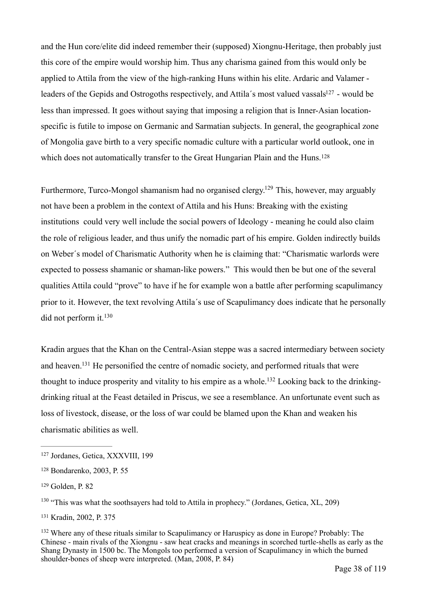<span id="page-37-6"></span>and the Hun core/elite did indeed remember their (supposed) Xiongnu-Heritage, then probably just this core of the empire would worship him. Thus any charisma gained from this would only be applied to Attila from the view of the high-ranking Huns within his elite. Ardaric and Valamer leader[s](#page-37-0) of the Gepids and Ostrogoths respectively, and Attila's most valued vassals<sup>[127](#page-37-0)</sup> - would be less than impressed. It goes without saying that imposing a religion that is Inner-Asian locationspecific is futile to impose on Germanic and Sarmatian subjects. In general, the geographical zone of Mongolia gave birth to a very specific nomadic culture with a particular world outlook, one in which does not automatically transfer to the Great Hungarian Plain and the Huns.<sup>128</sup>

<span id="page-37-8"></span><span id="page-37-7"></span>Furthermore, Turco-Mongol shamanism had no organised clergy[.](#page-37-2)<sup>[129](#page-37-2)</sup> This, however, may arguably not have been a problem in the context of Attila and his Huns: Breaking with the existing institutions could very well include the social powers of Ideology - meaning he could also claim the role of religious leader, and thus unify the nomadic part of his empire. Golden indirectly builds on Weber´s model of Charismatic Authority when he is claiming that: "Charismatic warlords were expected to possess shamanic or shaman-like powers." This would then be but one of the several qualities Attila could "prove" to have if he for example won a battle after performing scapulimancy prior to it. However, the text revolving Attila´s use of Scapulimancy does indicate that he personally did not perform it.<sup>130</sup>

<span id="page-37-11"></span><span id="page-37-10"></span><span id="page-37-9"></span>Kradin argues that the Khan on the Central-Asian steppe was a sacred intermediary between society and heaven[.](#page-37-4)<sup>[131](#page-37-4)</sup> He personified the centre of nomadic society, and performed rituals that were thought to induce prosperity and vitality to his empire as a whole[.](#page-37-5)<sup>132</sup> Looking back to the drinkingdrinking ritual at the Feast detailed in Priscus, we see a resemblance. An unfortunate event such as loss of livestock, disease, or the loss of war could be blamed upon the Khan and weaken his charismatic abilities as well.

<span id="page-37-0"></span><sup>&</sup>lt;sup>[127](#page-37-6)</sup> Jordanes, Getica, XXXVIII, 199

<span id="page-37-1"></span><sup>&</sup>lt;sup>[128](#page-37-7)</sup> Bondarenko, 2003, P. 55

<span id="page-37-2"></span><sup>&</sup>lt;sup>[129](#page-37-8)</sup> Golden, P. 82

<span id="page-37-3"></span> $130$  "This was what the soothsayers had told to Attila in prophecy." (Jordanes, Getica, XL, 209)

<span id="page-37-4"></span><sup>&</sup>lt;sup>[131](#page-37-10)</sup> Kradin, 2002, P. 375

<span id="page-37-5"></span><sup>&</sup>lt;sup>[132](#page-37-11)</sup> Where any of these rituals similar to Scapulimancy or Haruspicy as done in Europe? Probably: The Chinese - main rivals of the Xiongnu - saw heat cracks and meanings in scorched turtle-shells as early as the Shang Dynasty in 1500 bc. The Mongols too performed a version of Scapulimancy in which the burned shoulder-bones of sheep were interpreted. (Man, 2008, P. 84)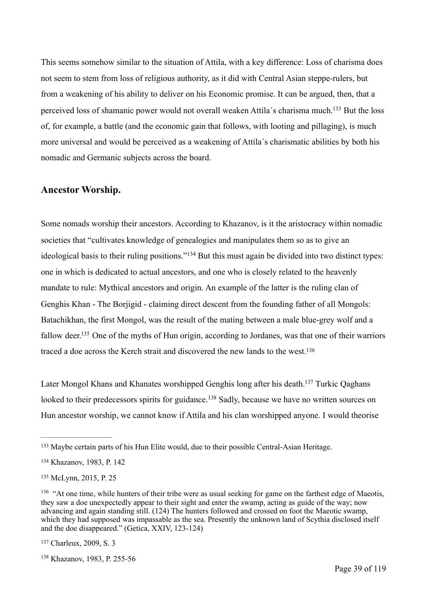<span id="page-38-6"></span>This seems somehow similar to the situation of Attila, with a key difference: Loss of charisma does not seem to stem from loss of religious authority, as it did with Central Asian steppe-rulers, but from a weakening of his ability to deliver on his Economic promise. It can be argued, then, that a perceived loss of shamanic power would not overall weaken Attila's charisma much[.](#page-38-0)<sup>[133](#page-38-0)</sup> But the loss of, for example, a battle (and the economic gain that follows, with looting and pillaging), is much more universal and would be perceived as a weakening of Attila´s charismatic abilities by both his nomadic and Germanic subjects across the board.

#### **Ancestor Worship.**

<span id="page-38-7"></span>Some nomads worship their ancestors. According to Khazanov, is it the aristocracy within nomadic societies that "cultivates knowledge of genealogies and manipulates them so as to give an ideologicalbasis to their ruling positions."<sup> $134$ </sup> But this must again be divided into two distinct types: one in which is dedicated to actual ancestors, and one who is closely related to the heavenly mandate to rule: Mythical ancestors and origin. An example of the latter is the ruling clan of Genghis Khan - The Borjigid - claiming direct descent from the founding father of all Mongols: Batachikhan, the first Mongol, was the result of the mating between a male blue-grey wolf and a fallow deer[.](#page-38-2)<sup>[135](#page-38-2)</sup> One of the myths of Hun origin, according to Jordanes, was that one of their warriors traced a doe across the Kerch strait and discovered the new lands to the west[.136](#page-38-3)

<span id="page-38-11"></span><span id="page-38-10"></span><span id="page-38-9"></span><span id="page-38-8"></span>Later Mongol Khans and Khanates worshipped Genghis long after his death[.](#page-38-4)<sup>[137](#page-38-4)</sup> Turkic Oaghans lookedto their predecessors spirits for guidance.<sup>[138](#page-38-5)</sup> Sadly, because we have no written sources on Hun ancestor worship, we cannot know if Attila and his clan worshipped anyone. I would theorise

<span id="page-38-0"></span><sup>&</sup>lt;sup>[133](#page-38-6)</sup> Maybe certain parts of his Hun Elite would, due to their possible Central-Asian Heritage.

<span id="page-38-1"></span><sup>&</sup>lt;sup>[134](#page-38-7)</sup> Khazanov, 1983, P. 142

<span id="page-38-2"></span>[<sup>135</sup>](#page-38-8) McLynn, 2015, P. 25

<span id="page-38-3"></span><sup>&</sup>lt;sup>[136](#page-38-9)</sup> "At one time, while hunters of their tribe were as usual seeking for game on the farthest edge of Maeotis, they saw a doe unexpectedly appear to their sight and enter the swamp, acting as guide of the way; now advancing and again standing still. (124) The hunters followed and crossed on foot the Maeotic swamp, which they had supposed was impassable as the sea. Presently the unknown land of Scythia disclosed itself and the doe disappeared." (Getica, XXIV, 123-124)

<span id="page-38-4"></span><sup>&</sup>lt;sup>[137](#page-38-10)</sup> Charleux, 2009, S. 3

<span id="page-38-5"></span><sup>&</sup>lt;sup>[138](#page-38-11)</sup> Khazanov, 1983, P. 255-56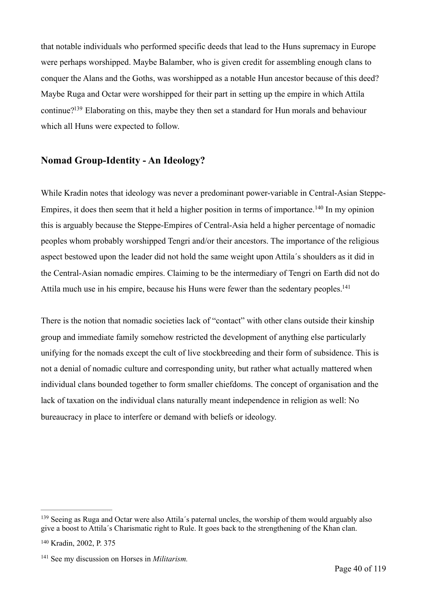that notable individuals who performed specific deeds that lead to the Huns supremacy in Europe were perhaps worshipped. Maybe Balamber, who is given credit for assembling enough clans to conquer the Alans and the Goths, was worshipped as a notable Hun ancestor because of this deed? Maybe Ruga and Octar were worshipped for their part in setting up the empire in which Attila continue[?](#page-39-0)<sup>[139](#page-39-0)</sup> Elaborating on this, maybe they then set a standard for Hun morals and behaviour which all Huns were expected to follow.

# <span id="page-39-3"></span>**Nomad Group-Identity - An Ideology?**

<span id="page-39-4"></span>While Kradin notes that ideology was never a predominant power-variable in Central-Asian Steppe-Empires,it does then seem that it held a higher position in terms of importance.<sup>[140](#page-39-1)</sup> In my opinion this is arguably because the Steppe-Empires of Central-Asia held a higher percentage of nomadic peoples whom probably worshipped Tengri and/or their ancestors. The importance of the religious aspect bestowed upon the leader did not hold the same weight upon Attila´s shoulders as it did in the Central-Asian nomadic empires. Claiming to be the intermediary of Tengri on Earth did not do Attila much use in his empire, because his Huns were fewer than the sedentary peoples.<sup>141</sup>

<span id="page-39-5"></span>There is the notion that nomadic societies lack of "contact" with other clans outside their kinship group and immediate family somehow restricted the development of anything else particularly unifying for the nomads except the cult of live stockbreeding and their form of subsidence. This is not a denial of nomadic culture and corresponding unity, but rather what actually mattered when individual clans bounded together to form smaller chiefdoms. The concept of organisation and the lack of taxation on the individual clans naturally meant independence in religion as well: No bureaucracy in place to interfere or demand with beliefs or ideology.

<span id="page-39-0"></span><sup>&</sup>lt;sup>[139](#page-39-3)</sup> Seeing as Ruga and Octar were also Attila's paternal uncles, the worship of them would arguably also give a boost to Attila´s Charismatic right to Rule. It goes back to the strengthening of the Khan clan.

<span id="page-39-1"></span><sup>&</sup>lt;sup>[140](#page-39-4)</sup> Kradin, 2002, P. 375

<span id="page-39-2"></span><sup>&</sup>lt;sup>[141](#page-39-5)</sup> See my discussion on Horses in *Militarism*.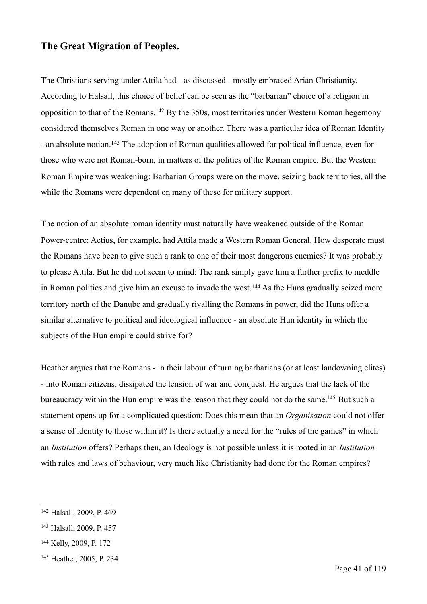#### **The Great Migration of Peoples.**

<span id="page-40-5"></span><span id="page-40-4"></span>The Christians serving under Attila had - as discussed - mostly embraced Arian Christianity. According to Halsall, this choice of belief can be seen as the "barbarian" choice of a religion in oppositionto that of the Romans.  $^{142}$  $^{142}$  $^{142}$  By the 350s, most territories under Western Roman hegemony considered themselves Roman in one way or another. There was a particular idea of Roman Identity -an absolute notion.<sup>[143](#page-40-1)</sup> The adoption of Roman qualities allowed for political influence, even for those who were not Roman-born, in matters of the politics of the Roman empire. But the Western Roman Empire was weakening: Barbarian Groups were on the move, seizing back territories, all the while the Romans were dependent on many of these for military support.

<span id="page-40-6"></span>The notion of an absolute roman identity must naturally have weakened outside of the Roman Power-centre: Aetius, for example, had Attila made a Western Roman General. How desperate must the Romans have been to give such a rank to one of their most dangerous enemies? It was probably to please Attila. But he did not seem to mind: The rank simply gave him a further prefix to meddle inRoman politics and give him an excuse to invade the west.<sup>[144](#page-40-2)</sup> As the Huns gradually seized more territory north of the Danube and gradually rivalling the Romans in power, did the Huns offer a similar alternative to political and ideological influence - an absolute Hun identity in which the subjects of the Hun empire could strive for?

<span id="page-40-7"></span>Heather argues that the Romans - in their labour of turning barbarians (or at least landowning elites) - into Roman citizens, dissipated the tension of war and conquest. He argues that the lack of the bureaucracy within the Hun empire was the reason that they could not do the same[.](#page-40-3)<sup>[145](#page-40-3)</sup> But such a statement opens up for a complicated question: Does this mean that an *Organisation* could not offer a sense of identity to those within it? Is there actually a need for the "rules of the games" in which an *Institution* offers? Perhaps then, an Ideology is not possible unless it is rooted in an *Institution*  with rules and laws of behaviour, very much like Christianity had done for the Roman empires?

<span id="page-40-0"></span><sup>&</sup>lt;sup>[142](#page-40-4)</sup> Halsall, 2009, P. 469

<span id="page-40-1"></span><sup>&</sup>lt;sup>[143](#page-40-5)</sup> Halsall, 2009, P. 457

<span id="page-40-2"></span><sup>&</sup>lt;sup>[144](#page-40-6)</sup> Kelly, 2009, P. 172

<span id="page-40-3"></span><sup>&</sup>lt;sup>[145](#page-40-7)</sup> Heather, 2005, P. 234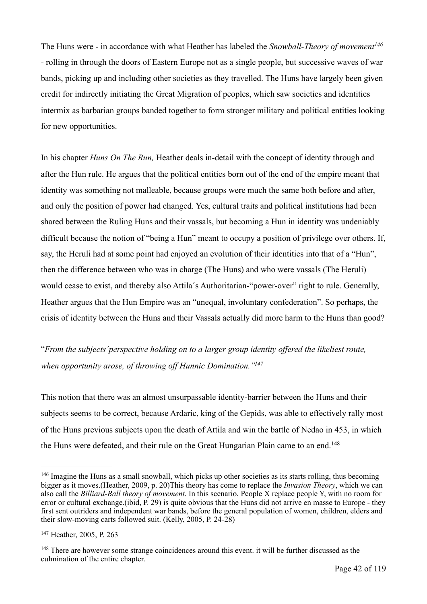<span id="page-41-3"></span>The Huns were - in accordance with what Heather has labeled the *Snowball-Theory of movemen[t146](#page-41-0) -* rolling in through the doors of Eastern Europe not as a single people, but successive waves of war bands, picking up and including other societies as they travelled. The Huns have largely been given credit for indirectly initiating the Great Migration of peoples, which saw societies and identities intermix as barbarian groups banded together to form stronger military and political entities looking for new opportunities.

In his chapter *Huns On The Run,* Heather deals in-detail with the concept of identity through and after the Hun rule. He argues that the political entities born out of the end of the empire meant that identity was something not malleable, because groups were much the same both before and after, and only the position of power had changed. Yes, cultural traits and political institutions had been shared between the Ruling Huns and their vassals, but becoming a Hun in identity was undeniably difficult because the notion of "being a Hun" meant to occupy a position of privilege over others. If, say, the Heruli had at some point had enjoyed an evolution of their identities into that of a "Hun", then the difference between who was in charge (The Huns) and who were vassals (The Heruli) would cease to exist, and thereby also Attila's Authoritarian-"power-over" right to rule. Generally, Heather argues that the Hun Empire was an "unequal, involuntary confederation". So perhaps, the crisis of identity between the Huns and their Vassals actually did more harm to the Huns than good?

<span id="page-41-4"></span>"*From the subjects´perspective holding on to a larger group identity offered the likeliest route, when opportunity arose, of throwing off Hunnic Domination.["147](#page-41-1)*

This notion that there was an almost unsurpassable identity-barrier between the Huns and their subjects seems to be correct, because Ardaric, king of the Gepids, was able to effectively rally most of the Huns previous subjects upon the death of Attila and win the battle of Nedao in 453, in which the Huns were defeated, and their rule on the Great Hungarian Plain came to an end.<sup>148</sup>

<span id="page-41-5"></span><span id="page-41-0"></span><sup>&</sup>lt;sup>[146](#page-41-3)</sup> Imagine the Huns as a small snowball, which picks up other societies as its starts rolling, thus becoming bigger as it moves.(Heather, 2009, p. 20)This theory has come to replace the *Invasion Theory*, which we can also call the *Billiard-Ball theory of movement*. In this scenario, People X replace people Y, with no room for error or cultural exchange.(ibid, P. 29) is quite obvious that the Huns did not arrive en masse to Europe - they first sent outriders and independent war bands, before the general population of women, children, elders and their slow-moving carts followed suit. (Kelly, 2005, P. 24-28)

<span id="page-41-1"></span><sup>&</sup>lt;sup>[147](#page-41-4)</sup> Heather, 2005, P. 263

<span id="page-41-2"></span> $148$  There are however some strange coincidences around this event, it will be further discussed as the culmination of the entire chapter.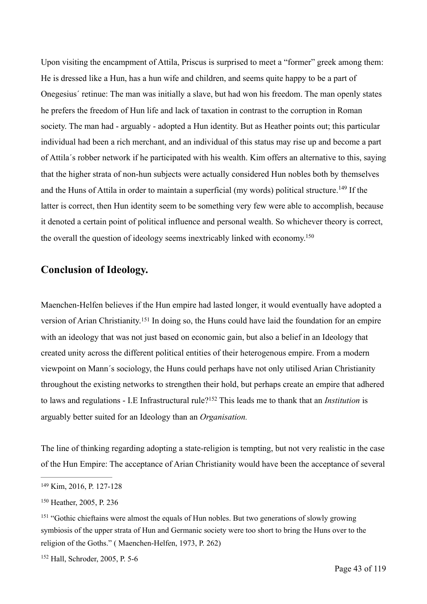Upon visiting the encampment of Attila, Priscus is surprised to meet a "former" greek among them: He is dressed like a Hun, has a hun wife and children, and seems quite happy to be a part of Onegesius´ retinue: The man was initially a slave, but had won his freedom. The man openly states he prefers the freedom of Hun life and lack of taxation in contrast to the corruption in Roman society. The man had - arguably - adopted a Hun identity. But as Heather points out; this particular individual had been a rich merchant, and an individual of this status may rise up and become a part of Attila´s robber network if he participated with his wealth. Kim offers an alternative to this, saying that the higher strata of non-hun subjects were actually considered Hun nobles both by themselves andthe Huns of Attila in order to maintain a superficial (my words) political structure.<sup>[149](#page-42-0)</sup> If the latter is correct, then Hun identity seem to be something very few were able to accomplish, because it denoted a certain point of political influence and personal wealth. So whichever theory is correct, the overall the question of ideology seems inextricably linked with economy[.](#page-42-1)<sup>[150](#page-42-1)</sup>

# <span id="page-42-5"></span><span id="page-42-4"></span>**Conclusion of Ideology.**

<span id="page-42-6"></span>Maenchen-Helfen believes if the Hun empire had lasted longer, it would eventually have adopted a versionof Arian Christianity.<sup>[151](#page-42-2)</sup> In doing so, the Huns could have laid the foundation for an empire with an ideology that was not just based on economic gain, but also a belief in an Ideology that created unity across the different political entities of their heterogenous empire. From a modern viewpoint on Mann´s sociology, the Huns could perhaps have not only utilised Arian Christianity throughout the existing networks to strengthen their hold, but perhaps create an empire that adhered tolaws and regulations - I.E Infrastructural rule?<sup>152</sup> This leads me to thank that an *Institution* is arguably better suited for an Ideology than an *Organisation.* 

<span id="page-42-7"></span>The line of thinking regarding adopting a state-religion is tempting, but not very realistic in the case of the Hun Empire: The acceptance of Arian Christianity would have been the acceptance of several

<span id="page-42-0"></span><sup>&</sup>lt;sup>[149](#page-42-4)</sup> Kim, 2016, P. 127-128

<span id="page-42-1"></span><sup>&</sup>lt;sup>[150](#page-42-5)</sup> Heather, 2005, P. 236

<span id="page-42-2"></span><sup>&</sup>lt;sup>[151](#page-42-6)</sup> "Gothic chieftains were almost the equals of Hun nobles. But two generations of slowly growing symbiosis of the upper strata of Hun and Germanic society were too short to bring the Huns over to the religion of the Goths." ( Maenchen-Helfen, 1973, P. 262)

<span id="page-42-3"></span><sup>&</sup>lt;sup>[152](#page-42-7)</sup> Hall, Schroder, 2005, P. 5-6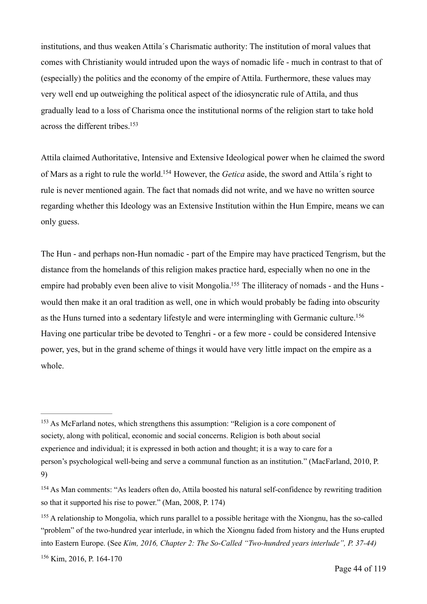institutions, and thus weaken Attila´s Charismatic authority: The institution of moral values that comes with Christianity would intruded upon the ways of nomadic life - much in contrast to that of (especially) the politics and the economy of the empire of Attila. Furthermore, these values may very well end up outweighing the political aspect of the idiosyncratic rule of Attila, and thus gradually lead to a loss of Charisma once the institutional norms of the religion start to take hold across the different tribes[.153](#page-43-0)

<span id="page-43-5"></span><span id="page-43-4"></span>Attila claimed Authoritative, Intensive and Extensive Ideological power when he claimed the sword of Mars as a right to rule the world.<sup>[154](#page-43-1)</sup> However, the *Getica* aside, the sword and Attila's right to rule is never mentioned again. The fact that nomads did not write, and we have no written source regarding whether this Ideology was an Extensive Institution within the Hun Empire, means we can only guess.

<span id="page-43-7"></span><span id="page-43-6"></span>The Hun - and perhaps non-Hun nomadic - part of the Empire may have practiced Tengrism, but the distance from the homelands of this religion makes practice hard, especially when no one in the empire had probably even been alive to visit Mongolia[.](#page-43-2)<sup>[155](#page-43-2)</sup> The illiteracy of nomads - and the Huns would then make it an oral tradition as well, one in which would probably be fading into obscurity as the Huns turned into a sedentary lifestyle and were intermingling with Germanic culture[.](#page-43-3) [156](#page-43-3) Having one particular tribe be devoted to Tenghri - or a few more - could be considered Intensive power, yes, but in the grand scheme of things it would have very little impact on the empire as a whole.

<span id="page-43-0"></span> $153$  As McFarland notes, which strengthens this assumption: "Religion is a core component of society, along with political, economic and social concerns. Religion is both about social experience and individual; it is expressed in both action and thought; it is a way to care for a person's psychological well-being and serve a communal function as an institution." (MacFarland, 2010, P. 9)

<span id="page-43-1"></span><sup>&</sup>lt;sup>[154](#page-43-5)</sup> As Man comments: "As leaders often do, Attila boosted his natural self-confidence by rewriting tradition so that it supported his rise to power." (Man, 2008, P. 174)

<span id="page-43-3"></span><span id="page-43-2"></span><sup>&</sup>lt;sup>[155](#page-43-6)</sup> A relationship to Mongolia, which runs parallel to a possible heritage with the Xiongnu, has the so-called "problem" of the two-hundred year interlude, in which the Xiongnu faded from history and the Huns erupted into Eastern Europe. (See *Kim, 2016, Chapter 2: The So-Called "Two-hundred years interlude", P. 37-44)*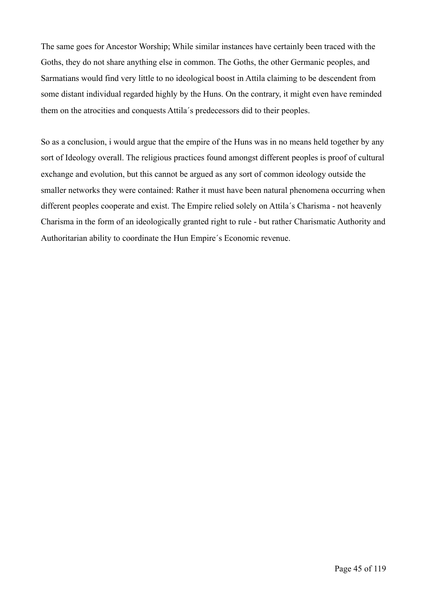The same goes for Ancestor Worship; While similar instances have certainly been traced with the Goths, they do not share anything else in common. The Goths, the other Germanic peoples, and Sarmatians would find very little to no ideological boost in Attila claiming to be descendent from some distant individual regarded highly by the Huns. On the contrary, it might even have reminded them on the atrocities and conquests Attila´s predecessors did to their peoples.

So as a conclusion, i would argue that the empire of the Huns was in no means held together by any sort of Ideology overall. The religious practices found amongst different peoples is proof of cultural exchange and evolution, but this cannot be argued as any sort of common ideology outside the smaller networks they were contained: Rather it must have been natural phenomena occurring when different peoples cooperate and exist. The Empire relied solely on Attila´s Charisma - not heavenly Charisma in the form of an ideologically granted right to rule - but rather Charismatic Authority and Authoritarian ability to coordinate the Hun Empire´s Economic revenue.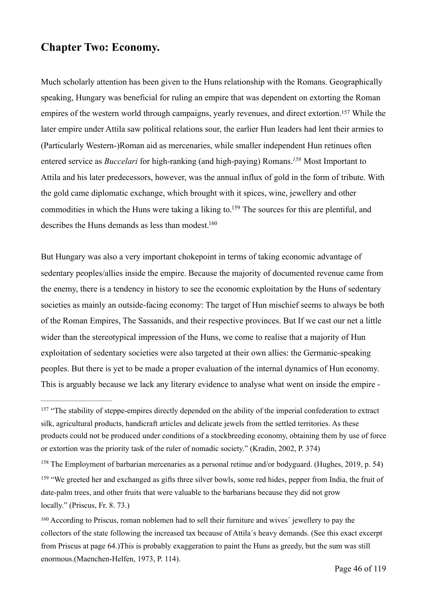# **Chapter Two: Economy.**

<span id="page-45-5"></span><span id="page-45-4"></span>Much scholarly attention has been given to the Huns relationship with the Romans. Geographically speaking, Hungary was beneficial for ruling an empire that was dependent on extorting the Roman empires of the western world through campaigns, yearly revenues, and direct extortion[.](#page-45-0)<sup>[157](#page-45-0)</sup> While the later empire under Attila saw political relations sour, the earlier Hun leaders had lent their armies to (Particularly Western-)Roman aid as mercenaries, while smaller independent Hun retinues often entered service as *Buccelari* for high-ranking (and high-paying) Romans[.](#page-45-1)<sup>158</sup> Most Important to Attila and his later predecessors, however, was the annual influx of gold in the form of tribute. With the gold came diplomatic exchange, which brought with it spices, wine, jewellery and other commodities in which the Huns were taking a liking to[.](#page-45-2)<sup>[159](#page-45-2)</sup> The sources for this are plentiful, and describes the Huns demands as less than modest[.](#page-45-3)<sup>[160](#page-45-3)</sup>

<span id="page-45-7"></span><span id="page-45-6"></span>But Hungary was also a very important chokepoint in terms of taking economic advantage of sedentary peoples/allies inside the empire. Because the majority of documented revenue came from the enemy, there is a tendency in history to see the economic exploitation by the Huns of sedentary societies as mainly an outside-facing economy: The target of Hun mischief seems to always be both of the Roman Empires, The Sassanids, and their respective provinces. But If we cast our net a little wider than the stereotypical impression of the Huns, we come to realise that a majority of Hun exploitation of sedentary societies were also targeted at their own allies: the Germanic-speaking peoples. But there is yet to be made a proper evaluation of the internal dynamics of Hun economy. This is arguably because we lack any literary evidence to analyse what went on inside the empire -

<span id="page-45-0"></span><sup>&</sup>lt;sup>[157](#page-45-4)</sup> "The stability of steppe-empires directly depended on the ability of the imperial confederation to extract silk, agricultural products, handicraft articles and delicate jewels from the settled territories. As these products could not be produced under conditions of a stockbreeding economy, obtaining them by use of force or extortion was the priority task of the ruler of nomadic society." (Kradin, 2002, P. 374)

<span id="page-45-2"></span><span id="page-45-1"></span><sup>&</sup>lt;sup>[158](#page-45-5)</sup> The Employment of barbarian mercenaries as a personal retinue and/or bodyguard. (Hughes, 2019, p. 54) <sup>[159](#page-45-6)</sup> "We greeted her and exchanged as gifts three silver bowls, some red hides, pepper from India, the fruit of date-palm trees, and other fruits that were valuable to the barbarians because they did not grow locally." (Priscus, Fr. 8. 73.)

<span id="page-45-3"></span><sup>&</sup>lt;sup>[160](#page-45-7)</sup> According to Priscus, roman noblemen had to sell their furniture and wives' jewellery to pay the collectors of the state following the increased tax because of Attila´s heavy demands. (See this exact excerpt from Priscus at page 64.)This is probably exaggeration to paint the Huns as greedy, but the sum was still enormous.(Maenchen-Helfen, 1973, P. 114).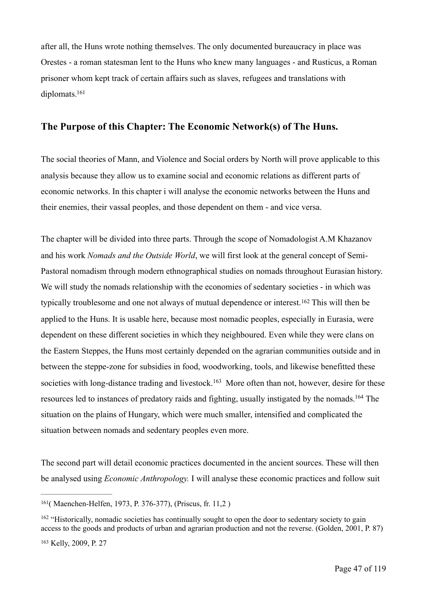after all, the Huns wrote nothing themselves. The only documented bureaucracy in place was Orestes - a roman statesman lent to the Huns who knew many languages - and Rusticus, a Roman prisoner whom kept track of certain affairs such as slaves, refugees and translations with diplomats[.](#page-46-0) [161](#page-46-0)

# <span id="page-46-3"></span>**The Purpose of this Chapter: The Economic Network(s) of The Huns.**

The social theories of Mann, and Violence and Social orders by North will prove applicable to this analysis because they allow us to examine social and economic relations as different parts of economic networks. In this chapter i will analyse the economic networks between the Huns and their enemies, their vassal peoples, and those dependent on them - and vice versa.

<span id="page-46-4"></span>The chapter will be divided into three parts. Through the scope of Nomadologist A.M Khazanov and his work *Nomads and the Outside World*, we will first look at the general concept of Semi-Pastoral nomadism through modern ethnographical studies on nomads throughout Eurasian history. We will study the nomads relationship with the economies of sedentary societies - in which was typicallytroublesome and one not always of mutual dependence or interest.<sup>[162](#page-46-1)</sup> This will then be applied to the Huns. It is usable here, because most nomadic peoples, especially in Eurasia, were dependent on these different societies in which they neighboured. Even while they were clans on the Eastern Steppes, the Huns most certainly depended on the agrarian communities outside and in between the steppe-zone for subsidies in food, woodworking, tools, and likewise benefitted these societieswith long-distance trading and livestock.<sup>[163](#page-46-2)</sup> More often than not, however, desire for these resources led to instances of predatory raids and fighting, usually instigated by the nomads.<sup>164</sup> The situation on the plains of Hungary, which were much smaller, intensified and complicated the situation between nomads and sedentary peoples even more.

<span id="page-46-5"></span>The second part will detail economic practices documented in the ancient sources. These will then be analysed using *Economic Anthropology.* I will analyse these economic practices and follow suit

<span id="page-46-0"></span><sup>&</sup>lt;sup>[161](#page-46-3)</sup> (Maenchen-Helfen, 1973, P. 376-377), (Priscus, fr. 11,2)

<span id="page-46-1"></span> $162$  "Historically, nomadic societies has continually sought to open the door to sedentary society to gain access to the goods and products of urban and agrarian production and not the reverse. (Golden, 2001, P. 87)

<span id="page-46-2"></span><sup>&</sup>lt;sup>[163](#page-46-5)</sup> Kelly, 2009, P. 27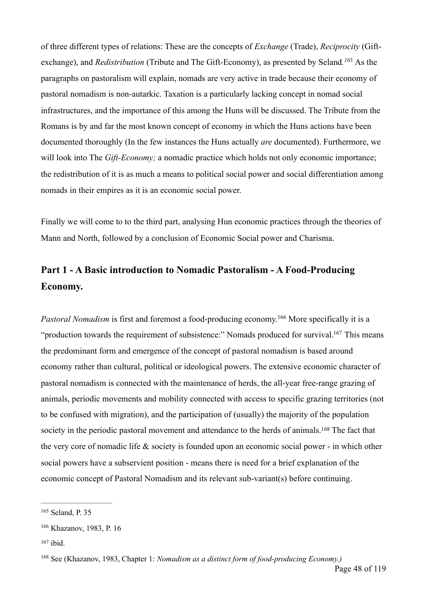<span id="page-47-4"></span>of three different types of relations: These are the concepts of *Exchange* (Trade), *Reciprocity* (Giftexchange), and *Redistribution* (Tribute and The Gift-Economy), as presented by Seland.<sup>[165](#page-47-0)</sup> As the paragraphs on pastoralism will explain, nomads are very active in trade because their economy of pastoral nomadism is non-autarkic. Taxation is a particularly lacking concept in nomad social infrastructures, and the importance of this among the Huns will be discussed. The Tribute from the Romans is by and far the most known concept of economy in which the Huns actions have been documented thoroughly (In the few instances the Huns actually *are* documented). Furthermore, we will look into The *Gift-Economy*; a nomadic practice which holds not only economic importance; the redistribution of it is as much a means to political social power and social differentiation among nomads in their empires as it is an economic social power.

Finally we will come to to the third part, analysing Hun economic practices through the theories of Mann and North, followed by a conclusion of Economic Social power and Charisma.

# **Part 1 - A Basic introduction to Nomadic Pastoralism - A Food-Producing Economy.**

<span id="page-47-6"></span><span id="page-47-5"></span>*Pastoral Nomadism* is first and foremost a food-producing economy[.](#page-47-1)<sup>[166](#page-47-1)</sup> More specifically it is a "production towards the requirement of subsistence:" Nomads produced for survival[.](#page-47-2)<sup>[167](#page-47-2)</sup> This means the predominant form and emergence of the concept of pastoral nomadism is based around economy rather than cultural, political or ideological powers. The extensive economic character of pastoral nomadism is connected with the maintenance of herds, the all-year free-range grazing of animals, periodic movements and mobility connected with access to specific grazing territories (not to be confused with migration), and the participation of (usually) the majority of the population societyin the periodic pastoral movement and attendance to the herds of animals.<sup>[168](#page-47-3)</sup> The fact that the very core of nomadic life & society is founded upon an economic social power - in which other social powers have a subservient position - means there is need for a brief explanation of the economic concept of Pastoral Nomadism and its relevant sub-variant(s) before continuing.

<span id="page-47-7"></span><span id="page-47-0"></span><sup>&</sup>lt;sup>[165](#page-47-4)</sup> Seland, P. 35

<span id="page-47-1"></span><sup>&</sup>lt;sup>[166](#page-47-5)</sup> Khazanov, 1983, P. 16

<span id="page-47-2"></span> $167$  ibid.

<span id="page-47-3"></span><sup>&</sup>lt;sup>[168](#page-47-7)</sup> See (Khazanov, 1983, Chapter 1: *Nomadism as a distinct form of food-producing Economy.*)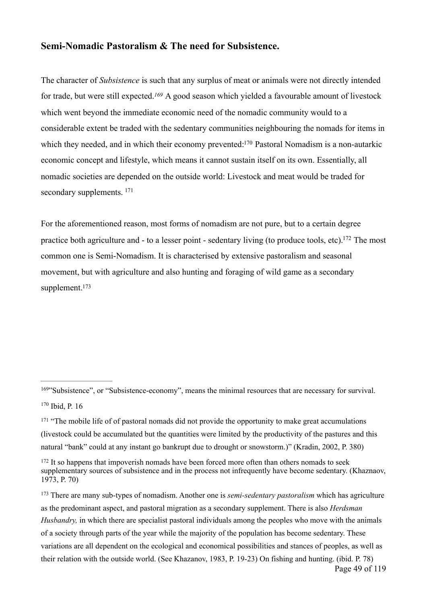#### **Semi-Nomadic Pastoralism & The need for Subsistence.**

<span id="page-48-6"></span><span id="page-48-5"></span>The character of *Subsistence* is such that any surplus of meat or animals were not directly intended for trade, but were still expected.<sup>[169](#page-48-0)</sup> A good season which yielded a favourable amount of livestock which went beyond the immediate economic need of the nomadic community would to a considerable extent be traded with the sedentary communities neighbouring the nomads for items in which they needed, and in which their economy prevented[:](#page-48-1)<sup>[170](#page-48-1)</sup> Pastoral Nomadism is a non-autarkic economic concept and lifestyle, which means it cannot sustain itself on its own. Essentially, all nomadic societies are depended on the outside world: Livestock and meat would be traded for secondary supplements. <sup>171</sup>

<span id="page-48-9"></span><span id="page-48-8"></span><span id="page-48-7"></span>For the aforementioned reason, most forms of nomadism are not pure, but to a certain degree practice both agriculture and - to a lesser point - sedentary living (to produce tools, etc)[.](#page-48-3) <sup>[172](#page-48-3)</sup> The most common one is Semi-Nomadism. It is characterised by extensive pastoralism and seasonal movement, but with agriculture and also hunting and foraging of wild game as a secondary supplement.<sup>173</sup>

<span id="page-48-0"></span><sup>&</sup>lt;sup>[169](#page-48-5)</sup>"Subsistence", or "Subsistence-economy", means the minimal resources that are necessary for survival.  $170$  Ibid, P. 16

<span id="page-48-2"></span><span id="page-48-1"></span> $171$  "The mobile life of of pastoral nomads did not provide the opportunity to make great accumulations (livestock could be accumulated but the quantities were limited by the productivity of the pastures and this natural "bank" could at any instant go bankrupt due to drought or snowstorm.)" (Kradin, 2002, P. 380)

<span id="page-48-3"></span><sup>&</sup>lt;sup>[172](#page-48-8)</sup> It so happens that impoverish nomads have been forced more often than others nomads to seek supplementary sources of subsistence and in the process not infrequently have become sedentary. (Khaznaov, 1973, P. 70)

<span id="page-48-4"></span><sup>&</sup>lt;sup>[173](#page-48-9)</sup> There are many sub-types of nomadism. Another one is *semi-sedentary pastoralism* which has agriculture as the predominant aspect, and pastoral migration as a secondary supplement. There is also *Herdsman Husbandry,* in which there are specialist pastoral individuals among the peoples who move with the animals of a society through parts of the year while the majority of the population has become sedentary. These variations are all dependent on the ecological and economical possibilities and stances of peoples, as well as their relation with the outside world. (See Khazanov, 1983, P. 19-23) On fishing and hunting. (ibid. P. 78) Page 49 of 119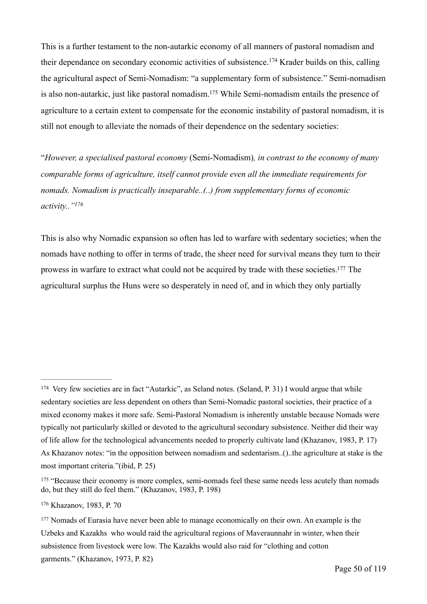<span id="page-49-5"></span><span id="page-49-4"></span>This is a further testament to the non-autarkic economy of all manners of pastoral nomadism and theirdependance on secondary economic activities of subsistence.<sup>[174](#page-49-0)</sup> Krader builds on this, calling the agricultural aspect of Semi-Nomadism: "a supplementary form of subsistence." Semi-nomadism is also non-autarkic, just like pastoral nomadism[.](#page-49-1)<sup>[175](#page-49-1)</sup> While Semi-nomadism entails the presence of agriculture to a certain extent to compensate for the economic instability of pastoral nomadism, it is still not enough to alleviate the nomads of their dependence on the sedentary societies:

"*However, a specialised pastoral economy* (Semi-Nomadism)*, in contrast to the economy of many comparable forms of agriculture, itself cannot provide even all the immediate requirements for nomads. Nomadism is practically inseparable..(..) from supplementary forms of economic activity..["176](#page-49-2)*

<span id="page-49-7"></span><span id="page-49-6"></span>This is also why Nomadic expansion so often has led to warfare with sedentary societies; when the nomads have nothing to offer in terms of trade, the sheer need for survival means they turn to their prowess in warfare to extract what could not be acquired by trade with these societies[.](#page-49-3)<sup>[177](#page-49-3)</sup> The agricultural surplus the Huns were so desperately in need of, and in which they only partially

<span id="page-49-0"></span><sup>&</sup>lt;sup>[174](#page-49-4)</sup> Very few societies are in fact "Autarkic", as Seland notes. (Seland, P. 31) I would argue that while sedentary societies are less dependent on others than Semi-Nomadic pastoral societies, their practice of a mixed economy makes it more safe. Semi-Pastoral Nomadism is inherently unstable because Nomads were typically not particularly skilled or devoted to the agricultural secondary subsistence. Neither did their way of life allow for the technological advancements needed to properly cultivate land (Khazanov, 1983, P. 17) As Khazanov notes: "in the opposition between nomadism and sedentarism..()..the agriculture at stake is the most important criteria."(ibid, P. 25)

<span id="page-49-1"></span><sup>&</sup>lt;sup>[175](#page-49-5)</sup> "Because their economy is more complex, semi-nomads feel these same needs less acutely than nomads do, but they still do feel them." (Khazanov, 1983, P. 198)

<span id="page-49-2"></span><sup>&</sup>lt;sup>[176](#page-49-6)</sup> Khazanov, 1983, P. 70

<span id="page-49-3"></span><sup>&</sup>lt;sup>[177](#page-49-7)</sup> Nomads of Eurasia have never been able to manage economically on their own. An example is the Uzbeks and Kazakhs who would raid the agricultural regions of Maveraunnahr in winter, when their subsistence from livestock were low. The Kazakhs would also raid for "clothing and cotton garments." (Khazanov, 1973, P. 82)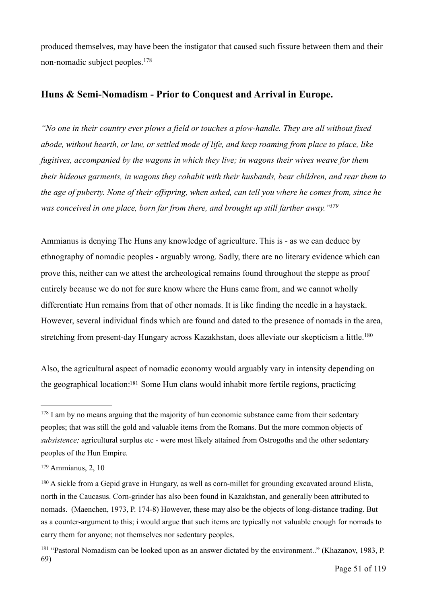<span id="page-50-4"></span>produced themselves, may have been the instigator that caused such fissure between them and their non-nomadic subject peoples.[178](#page-50-0)

### **Huns & Semi-Nomadism - Prior to Conquest and Arrival in Europe.**

*"No one in their country ever plows a field or touches a plow-handle. They are all without fixed abode, without hearth, or law, or settled mode of life, and keep roaming from place to place, like fugitives, accompanied by the wagons in which they live; in wagons their wives weave for them their hideous garments, in wagons they cohabit with their husbands, bear children, and rear them to the age of puberty. None of their offspring, when asked, can tell you where he comes from, since he was conceived in one place, born far from there, and brought up still farther away.["179](#page-50-1)*

<span id="page-50-5"></span>Ammianus is denying The Huns any knowledge of agriculture. This is - as we can deduce by ethnography of nomadic peoples - arguably wrong. Sadly, there are no literary evidence which can prove this, neither can we attest the archeological remains found throughout the steppe as proof entirely because we do not for sure know where the Huns came from, and we cannot wholly differentiate Hun remains from that of other nomads. It is like finding the needle in a haystack. However, several individual finds which are found and dated to the presence of nomads in the area, stretching from present-day Hungary across Kazakhstan, does alleviate our skepticism a little. [180](#page-50-2)

<span id="page-50-7"></span><span id="page-50-6"></span>Also, the agricultural aspect of nomadic economy would arguably vary in intensity depending on the geographical location[:](#page-50-3)<sup>[181](#page-50-3)</sup> Some Hun clans would inhabit more fertile regions, practicing

<span id="page-50-0"></span> $178$  I am by no means arguing that the majority of hun economic substance came from their sedentary peoples; that was still the gold and valuable items from the Romans. But the more common objects of *subsistence;* agricultural surplus etc - were most likely attained from Ostrogoths and the other sedentary peoples of the Hun Empire.

<span id="page-50-1"></span> $179$  Ammianus, 2, 10

<span id="page-50-2"></span><sup>&</sup>lt;sup>[180](#page-50-6)</sup> A sickle from a Gepid grave in Hungary, as well as corn-millet for grounding excavated around Elista, north in the Caucasus. Corn-grinder has also been found in Kazakhstan, and generally been attributed to nomads. (Maenchen, 1973, P. 174-8) However, these may also be the objects of long-distance trading. But as a counter-argument to this; i would argue that such items are typically not valuable enough for nomads to carry them for anyone; not themselves nor sedentary peoples.

<span id="page-50-3"></span><sup>&</sup>lt;sup>[181](#page-50-7)</sup> "Pastoral Nomadism can be looked upon as an answer dictated by the environment.." (Khazanov, 1983, P. 69)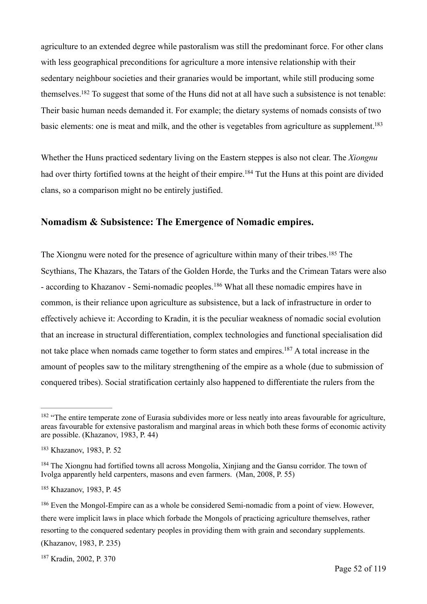<span id="page-51-6"></span>agriculture to an extended degree while pastoralism was still the predominant force. For other clans with less geographical preconditions for agriculture a more intensive relationship with their sedentary neighbour societies and their granaries would be important, while still producing some themselves[.](#page-51-0)<sup>[182](#page-51-0)</sup> To suggest that some of the Huns did not at all have such a subsistence is not tenable: Their basic human needs demanded it. For example; the dietary systems of nomads consists of two basic elements: one is meat and milk, and the other is vegetables from agriculture as supplement.<sup>183</sup>

<span id="page-51-8"></span><span id="page-51-7"></span>Whether the Huns practiced sedentary living on the Eastern steppes is also not clear. The *Xiongnu* had over thirty fortified towns at the height of their empire[.](#page-51-2)<sup>[184](#page-51-2)</sup> Tut the Huns at this point are divided clans, so a comparison might no be entirely justified.

#### **Nomadism & Subsistence: The Emergence of Nomadic empires.**

<span id="page-51-10"></span><span id="page-51-9"></span>The Xiongnu were noted for the presence of agriculture within many of their tribes[.](#page-51-3)<sup>[185](#page-51-3)</sup> The Scythians, The Khazars, the Tatars of the Golden Horde, the Turks and the Crimean Tatars were also -according to Khazanov - Semi-nomadic peoples.<sup>[186](#page-51-4)</sup> What all these nomadic empires have in common, is their reliance upon agriculture as subsistence, but a lack of infrastructure in order to effectively achieve it: According to Kradin, it is the peculiar weakness of nomadic social evolution that an increase in structural differentiation, complex technologies and functional specialisation did not take place when nomads came together to form states and empires[.](#page-51-5)<sup>[187](#page-51-5)</sup> A total increase in the amount of peoples saw to the military strengthening of the empire as a whole (due to submission of conquered tribes). Social stratification certainly also happened to differentiate the rulers from the

<span id="page-51-11"></span><span id="page-51-0"></span><sup>&</sup>lt;sup>[182](#page-51-6)</sup> "The entire temperate zone of Eurasia subdivides more or less neatly into areas favourable for agriculture, areas favourable for extensive pastoralism and marginal areas in which both these forms of economic activity are possible. (Khazanov, 1983, P. 44)

<span id="page-51-1"></span><sup>&</sup>lt;sup>[183](#page-51-7)</sup> Khazanov, 1983, P. 52

<span id="page-51-2"></span><sup>&</sup>lt;sup>[184](#page-51-8)</sup> The Xiongnu had fortified towns all across Mongolia, Xinjiang and the Gansu corridor. The town of Ivolga apparently held carpenters, masons and even farmers. (Man, 2008, P. 55)

<span id="page-51-3"></span><sup>&</sup>lt;sup>[185](#page-51-9)</sup> Khazanov, 1983, P. 45

<span id="page-51-4"></span><sup>&</sup>lt;sup>[186](#page-51-10)</sup> Even the Mongol-Empire can as a whole be considered Semi-nomadic from a point of view. However, there were implicit laws in place which forbade the Mongols of practicing agriculture themselves, rather resorting to the conquered sedentary peoples in providing them with grain and secondary supplements. (Khazanov, 1983, P. 235)

<span id="page-51-5"></span><sup>&</sup>lt;sup>[187](#page-51-11)</sup> Kradin, 2002, P. 370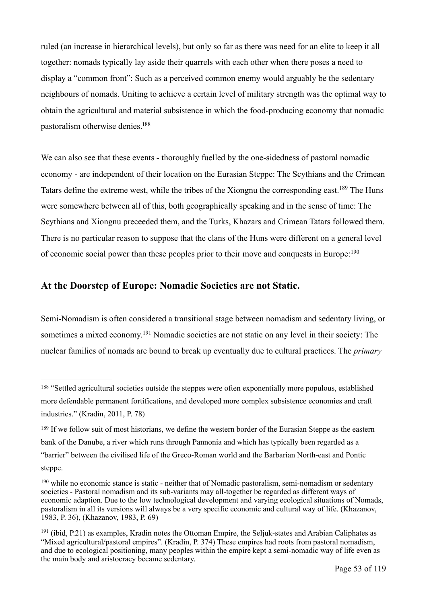ruled (an increase in hierarchical levels), but only so far as there was need for an elite to keep it all together: nomads typically lay aside their quarrels with each other when there poses a need to display a "common front": Such as a perceived common enemy would arguably be the sedentary neighbours of nomads. Uniting to achieve a certain level of military strength was the optimal way to obtain the agricultural and material subsistence in which the food-producing economy that nomadic pastoralism otherwise denies[.](#page-52-0) [188](#page-52-0)

<span id="page-52-5"></span><span id="page-52-4"></span>We can also see that these events - thoroughly fuelled by the one-sidedness of pastoral nomadic economy - are independent of their location on the Eurasian Steppe: The Scythians and the Crimean Tatars define the extreme west, while the tribes of the Xiongnu the corresponding east[.](#page-52-1)<sup>[189](#page-52-1)</sup> The Huns were somewhere between all of this, both geographically speaking and in the sense of time: The Scythians and Xiongnu preceeded them, and the Turks, Khazars and Crimean Tatars followed them. There is no particular reason to suppose that the clans of the Huns were different on a general level of economic social power than these peoples prior to their move and conquests in Europe: [190](#page-52-2)

#### <span id="page-52-6"></span>**At the Doorstep of Europe: Nomadic Societies are not Static.**

<span id="page-52-7"></span>Semi-Nomadism is often considered a transitional stage between nomadism and sedentary living, or sometimesa mixed economy.<sup>[191](#page-52-3)</sup> Nomadic societies are not static on any level in their society: The nuclear families of nomads are bound to break up eventually due to cultural practices. The *primary* 

<span id="page-52-0"></span><sup>&</sup>lt;sup>[188](#page-52-4)</sup> "Settled agricultural societies outside the steppes were often exponentially more populous, established more defendable permanent fortifications, and developed more complex subsistence economies and craft industries." (Kradin, 2011, P. 78)

<span id="page-52-1"></span><sup>&</sup>lt;sup>[189](#page-52-5)</sup> If we follow suit of most historians, we define the western border of the Eurasian Steppe as the eastern bank of the Danube, a river which runs through Pannonia and which has typically been regarded as a "barrier" between the civilised life of the Greco-Roman world and the Barbarian North-east and Pontic steppe.

<span id="page-52-2"></span><sup>&</sup>lt;sup>[190](#page-52-6)</sup> while no economic stance is static - neither that of Nomadic pastoralism, semi-nomadism or sedentary societies - Pastoral nomadism and its sub-variants may all-together be regarded as different ways of economic adaption. Due to the low technological development and varying ecological situations of Nomads, pastoralism in all its versions will always be a very specific economic and cultural way of life. (Khazanov, 1983, P. 36), (Khazanov, 1983, P. 69)

<span id="page-52-3"></span> $191$  (ibid, P.21) as examples, Kradin notes the Ottoman Empire, the Seljuk-states and Arabian Caliphates as "Mixed agricultural/pastoral empires". (Kradin, P. 374) These empires had roots from pastoral nomadism, and due to ecological positioning, many peoples within the empire kept a semi-nomadic way of life even as the main body and aristocracy became sedentary.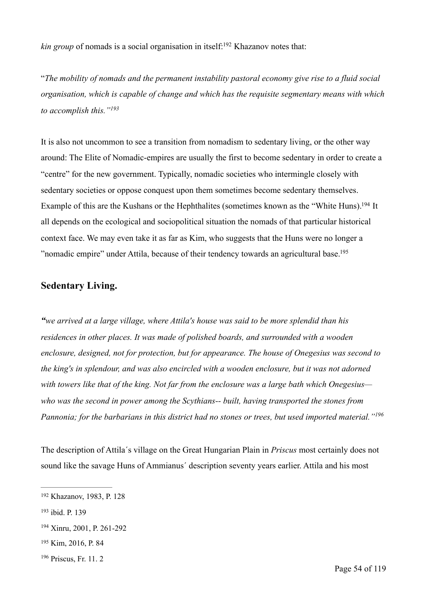<span id="page-53-5"></span>*kin group* of nomads is a social organisation in itself[:](#page-53-0)<sup>192</sup> Khazanov notes that:

"*The mobility of nomads and the permanent instability pastoral economy give rise to a fluid social organisation, which is capable of change and which has the requisite segmentary means with which to accomplish this."[193](#page-53-1)*

<span id="page-53-7"></span><span id="page-53-6"></span>It is also not uncommon to see a transition from nomadism to sedentary living, or the other way around: The Elite of Nomadic-empires are usually the first to become sedentary in order to create a "centre" for the new government. Typically, nomadic societies who intermingle closely with sedentary societies or oppose conquest upon them sometimes become sedentary themselves. Example of this are the Kushans or the Hephthalites (sometimes known as the "White Huns)[.](#page-53-2)<sup>[194](#page-53-2)</sup> It all depends on the ecological and sociopolitical situation the nomads of that particular historical context face. We may even take it as far as Kim, who suggests that the Huns were no longer a "nomadic empire" under Attila, because of their tendency towards an agricultural base.<sup>195</sup>

# <span id="page-53-8"></span>**Sedentary Living.**

*"we arrived at a large village, where Attila's house was said to be more splendid than his residences in other places. It was made of polished boards, and surrounded with a wooden enclosure, designed, not for protection, but for appearance. The house of Onegesius was second to the king's in splendour, and was also encircled with a wooden enclosure, but it was not adorned with towers like that of the king. Not far from the enclosure was a large bath which Onegesius who was the second in power among the Scythians-- built, having transported the stones from Pannonia; for the barbarians in this district had no stones or trees, but used imported material."[196](#page-53-4)*

<span id="page-53-9"></span>The description of Attila´s village on the Great Hungarian Plain in *Priscus* most certainly does not sound like the savage Huns of Ammianus´ description seventy years earlier. Attila and his most

<span id="page-53-0"></span><sup>&</sup>lt;sup>[192](#page-53-5)</sup> Khazanov, 1983, P. 128

<span id="page-53-1"></span><sup>&</sup>lt;sup>[193](#page-53-6)</sup> ibid. P. 139

<span id="page-53-2"></span><sup>&</sup>lt;sup>[194](#page-53-7)</sup> Xinru, 2001, P. 261-292

<span id="page-53-3"></span>[<sup>195</sup>](#page-53-8) Kim, 2016, P. 84

<span id="page-53-4"></span> $196$  Priscus, Fr. 11, 2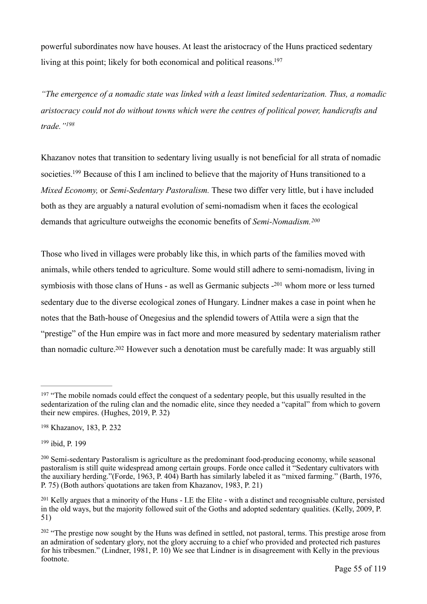<span id="page-54-6"></span>powerful subordinates now have houses. At least the aristocracy of the Huns practiced sedentary living at this point; likely for both economical and political reasons.<sup>197</sup>

*"The emergence of a nomadic state was linked with a least limited sedentarization. Thus, a nomadic aristocracy could not do without towns which were the centres of political power, handicrafts and trade.["198](#page-54-1)*

<span id="page-54-8"></span><span id="page-54-7"></span>Khazanov notes that transition to sedentary living usually is not beneficial for all strata of nomadic societies[.](#page-54-2)<sup>[199](#page-54-2)</sup> Because of this I am inclined to believe that the majority of Huns transitioned to a *Mixed Economy,* or *Semi-Sedentary Pastoralism.* These two differ very little, but i have included both as they are arguably a natural evolution of semi-nomadism when it faces the ecological demands that agriculture outweighs the economic benefits of *Semi-Nomadism.[200](#page-54-3)*

<span id="page-54-10"></span><span id="page-54-9"></span>Those who lived in villages were probably like this, in which parts of the families moved with animals, while others tended to agriculture. Some would still adhere to semi-nomadism, living in symbiosis with those clans of Huns [-](#page-54-4) as well as Germanic subjects  $-201$  $-201$  whom more or less turned sedentary due to the diverse ecological zones of Hungary. Lindner makes a case in point when he notes that the Bath-house of Onegesius and the splendid towers of Attila were a sign that the "prestige" of the Hun empire was in fact more and more measured by sedentary materialism rather than nomadic culture[.](#page-54-5)<sup>[202](#page-54-5)</sup> However such a denotation must be carefully made: It was arguably still

<span id="page-54-11"></span><span id="page-54-0"></span><sup>&</sup>lt;sup>[197](#page-54-6)</sup> "The mobile nomads could effect the conquest of a sedentary people, but this usually resulted in the sedentarization of the ruling clan and the nomadic elite, since they needed a "capital" from which to govern their new empires. (Hughes, 2019, P. 32)

<span id="page-54-1"></span><sup>&</sup>lt;sup>[198](#page-54-7)</sup> Khazanov, 183, P. 232

<span id="page-54-2"></span><sup>&</sup>lt;sup>[199](#page-54-8)</sup> ibid, P. 199

<span id="page-54-3"></span> $200$  Semi-sedentary Pastoralism is agriculture as the predominant food-producing economy, while seasonal pastoralism is still quite widespread among certain groups. Forde once called it "Sedentary cultivators with the auxiliary herding."(Forde, 1963, P. 404) Barth has similarly labeled it as "mixed farming." (Barth, 1976, P. 75) (Both authors`quotations are taken from Khazanov, 1983, P. 21)

<span id="page-54-4"></span><sup>&</sup>lt;sup>[201](#page-54-10)</sup> Kelly argues that a minority of the Huns - I.E the Elite - with a distinct and recognisable culture, persisted in the old ways, but the majority followed suit of the Goths and adopted sedentary qualities. (Kelly, 2009, P. 51)

<span id="page-54-5"></span><sup>&</sup>lt;sup>[202](#page-54-11)</sup> "The prestige now sought by the Huns was defined in settled, not pastoral, terms. This prestige arose from an admiration of sedentary glory, not the glory accruing to a chief who provided and protected rich pastures for his tribesmen." (Lindner, 1981, P. 10) We see that Lindner is in disagreement with Kelly in the previous footnote.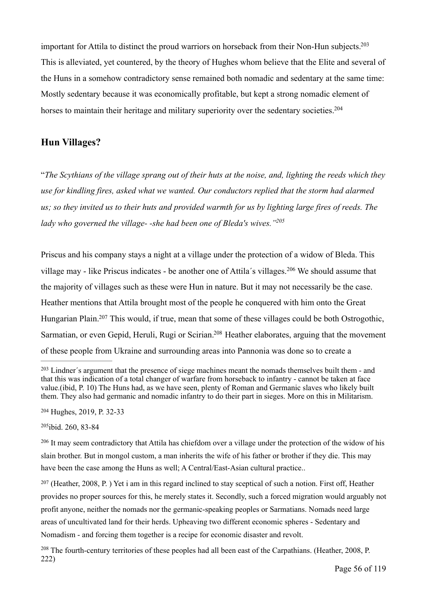<span id="page-55-6"></span>important for Attila to distinct the proud warriors on horseback from their Non-Hun subjects.<sup>203</sup> This is alleviated, yet countered, by the theory of Hughes whom believe that the Elite and several of the Huns in a somehow contradictory sense remained both nomadic and sedentary at the same time: Mostly sedentary because it was economically profitable, but kept a strong nomadic element of horses to maintain their heritage and military superiority over the sedentary societies.<sup>204</sup>

#### <span id="page-55-7"></span>**Hun Villages?**

"*The Scythians of the village sprang out of their huts at the noise, and, lighting the reeds which they use for kindling fires, asked what we wanted. Our conductors replied that the storm had alarmed us; so they invited us to their huts and provided warmth for us by lighting large fires of reeds. The lady who governed the village- -she had been one of Bleda's wives.["205](#page-55-2)*

<span id="page-55-9"></span><span id="page-55-8"></span>Priscus and his company stays a night at a village under the protection of a widow of Bleda. This villagemay - like Priscus indicates - be another one of Attila's villages.<sup>[206](#page-55-3)</sup> We should assume that the majority of villages such as these were Hun in nature. But it may not necessarily be the case. Heather mentions that Attila brought most of the people he conquered with him onto the Great Hungarian Plain[.](#page-55-4)<sup>[207](#page-55-4)</sup> This would, if true, mean that some of these villages could be both Ostrogothic, Sarmatian, or even Gepid, Heruli, Rugi or Scirian[.](#page-55-5)<sup>[208](#page-55-5)</sup> Heather elaborates, arguing that the movement of these people from Ukraine and surrounding areas into Pannonia was done so to create a

<span id="page-55-1"></span><sup>[204](#page-55-7)</sup> Hughes, 2019, P. 32-33

<span id="page-55-2"></span><sup>[205](#page-55-8)</sup>ibid. 260, 83-84

<span id="page-55-4"></span> $207$  (Heather, 2008, P.) Yet i am in this regard inclined to stay sceptical of such a notion. First off, Heather provides no proper sources for this, he merely states it. Secondly, such a forced migration would arguably not profit anyone, neither the nomads nor the germanic-speaking peoples or Sarmatians. Nomads need large areas of uncultivated land for their herds. Upheaving two different economic spheres - Sedentary and Nomadism - and forcing them together is a recipe for economic disaster and revolt.

<span id="page-55-5"></span><sup>[208](#page-55-11)</sup> The fourth-century territories of these peoples had all been east of the Carpathians. (Heather, 2008, P. 222)

<span id="page-55-11"></span><span id="page-55-10"></span><span id="page-55-0"></span><sup>&</sup>lt;sup>[203](#page-55-6)</sup> Lindner's argument that the presence of siege machines meant the nomads themselves built them - and that this was indication of a total changer of warfare from horseback to infantry - cannot be taken at face value.(ibid, P. 10) The Huns had, as we have seen, plenty of Roman and Germanic slaves who likely built them. They also had germanic and nomadic infantry to do their part in sieges. More on this in Militarism.

<span id="page-55-3"></span><sup>&</sup>lt;sup>[206](#page-55-9)</sup> It may seem contradictory that Attila has chiefdom over a village under the protection of the widow of his slain brother. But in mongol custom, a man inherits the wife of his father or brother if they die. This may have been the case among the Huns as well; A Central/East-Asian cultural practice..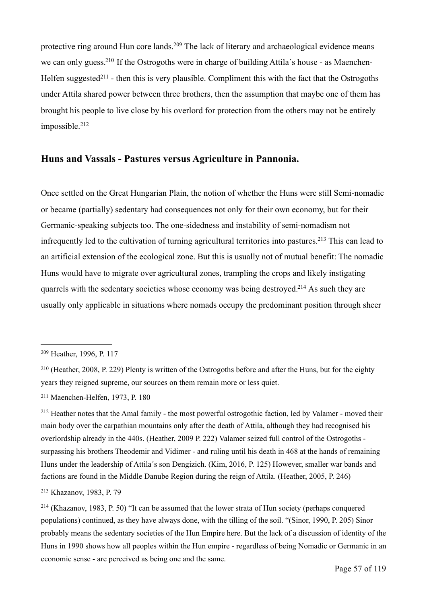<span id="page-56-8"></span><span id="page-56-7"></span><span id="page-56-6"></span>protective ring around Hun core lands[.](#page-56-0)<sup>[209](#page-56-0)</sup> The lack of literary and archaeological evidence means we can only guess[.](#page-56-1)<sup>210</sup> If the Ostrogoths were in charge of building Attila's house - as Maenchen-Helfen suggested<sup>[211](#page-56-2)</sup> - then this is very plausible. Compliment this with the fact that the Ostrogoths under Attila shared power between three brothers, then the assumption that maybe one of them has brought his people to live close by his overlord for protection from the others may not be entirely impossible[.](#page-56-3) [212](#page-56-3)

#### <span id="page-56-9"></span>**Huns and Vassals - Pastures versus Agriculture in Pannonia.**

<span id="page-56-10"></span>Once settled on the Great Hungarian Plain, the notion of whether the Huns were still Semi-nomadic or became (partially) sedentary had consequences not only for their own economy, but for their Germanic-speaking subjects too. The one-sidedness and instability of semi-nomadism not infrequently led to the cultivation of turning agricultural territories into pastures[.](#page-56-4)<sup>[213](#page-56-4)</sup> This can lead to an artificial extension of the ecological zone. But this is usually not of mutual benefit: The nomadic Huns would have to migrate over agricultural zones, trampling the crops and likely instigating quarrels with the sedentary societies whose economy was being destroyed[.](#page-56-5)<sup>[214](#page-56-5)</sup> As such they are usually only applicable in situations where nomads occupy the predominant position through sheer

<span id="page-56-2"></span><sup>[211](#page-56-8)</sup> Maenchen-Helfen, 1973, P. 180

<span id="page-56-3"></span><sup>[212](#page-56-9)</sup> Heather notes that the Amal family - the most powerful ostrogothic faction, led by Valamer - moved their main body over the carpathian mountains only after the death of Attila, although they had recognised his overlordship already in the 440s. (Heather, 2009 P. 222) Valamer seized full control of the Ostrogoths surpassing his brothers Theodemir and Vidimer - and ruling until his death in 468 at the hands of remaining Huns under the leadership of Attila´s son Dengizich. (Kim, 2016, P. 125) However, smaller war bands and factions are found in the Middle Danube Region during the reign of Attila. (Heather, 2005, P. 246)

<span id="page-56-4"></span><sup>[213](#page-56-10)</sup> Khazanov, 1983, P. 79

<span id="page-56-5"></span><sup>[214](#page-56-11)</sup> (Khazanov, 1983, P. 50) "It can be assumed that the lower strata of Hun society (perhaps conquered populations) continued, as they have always done, with the tilling of the soil. "(Sinor, 1990, P. 205) Sinor probably means the sedentary societies of the Hun Empire here. But the lack of a discussion of identity of the Huns in 1990 shows how all peoples within the Hun empire - regardless of being Nomadic or Germanic in an economic sense - are perceived as being one and the same.

<span id="page-56-11"></span><span id="page-56-0"></span><sup>&</sup>lt;sup>[209](#page-56-6)</sup> Heather, 1996, P. 117

<span id="page-56-1"></span><sup>(</sup>Heather, 2008, P. 229) Plenty is written of the Ostrogoths before and after the Huns, but for the eighty [210](#page-56-7) years they reigned supreme, our sources on them remain more or less quiet.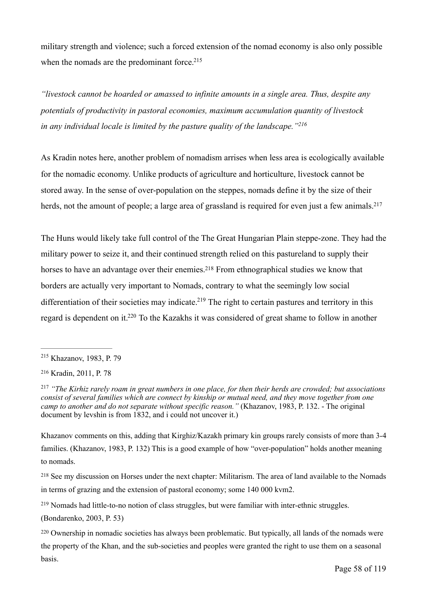<span id="page-57-6"></span>military strength and violence; such a forced extension of the nomad economy is also only possible when the nomads are the predominant force[.](#page-57-0)<sup>[215](#page-57-0)</sup>

*"livestock cannot be hoarded or amassed to infinite amounts in a single area. Thus, despite any potentials of productivity in pastoral economies, maximum accumulation quantity of livestock in any individual locale is limited by the pasture quality of the landscape.["216](#page-57-1)*

<span id="page-57-7"></span>As Kradin notes here, another problem of nomadism arrises when less area is ecologically available for the nomadic economy. Unlike products of agriculture and horticulture, livestock cannot be stored away. In the sense of over-population on the steppes, nomads define it by the size of their herds, not the amount of people; a large area of grassland is required for even just a few animals.<sup>217</sup>

<span id="page-57-9"></span><span id="page-57-8"></span>The Huns would likely take full control of the The Great Hungarian Plain steppe-zone. They had the military power to seize it, and their continued strength relied on this pastureland to supply their horses to have an advantage over their enemies[.](#page-57-3)<sup>[218](#page-57-3)</sup> From ethnographical studies we know that borders are actually very important to Nomads, contrary to what the seemingly low social differentiation of their societies may indicate[.](#page-57-4)<sup>[219](#page-57-4)</sup> The right to certain pastures and territory in this regard is dependent on it[.](#page-57-5)<sup>[220](#page-57-5)</sup> To the Kazakhs it was considered of great shame to follow in another

(Bondarenko, 2003, P. 53)

<span id="page-57-11"></span><span id="page-57-10"></span><span id="page-57-0"></span><sup>&</sup>lt;sup>[215](#page-57-6)</sup> Khazanov, 1983, P. 79

<span id="page-57-1"></span><sup>&</sup>lt;sup>[216](#page-57-7)</sup> Kradin, 2011, P. 78

<span id="page-57-2"></span>*<sup>&</sup>quot;The Kirhiz rarely roam in great numbers in one place, for then their herds are crowded; but associations* [217](#page-57-8) *consist of several families which are connect by kinship or mutual need, and they move together from one camp to another and do not separate without specific reason.*" (Khazanov, 1983, P. 132. - The original document by levshin is from 1832, and i could not uncover it.)

Khazanov comments on this, adding that Kirghiz/Kazakh primary kin groups rarely consists of more than 3-4 families. (Khazanov, 1983, P. 132) This is a good example of how "over-population" holds another meaning to nomads.

<span id="page-57-3"></span><sup>&</sup>lt;sup>[218](#page-57-9)</sup> See my discussion on Horses under the next chapter: Militarism. The area of land available to the Nomads in terms of grazing and the extension of pastoral economy; some 140 000 kvm2.

<span id="page-57-4"></span><sup>&</sup>lt;sup>[219](#page-57-10)</sup> Nomads had little-to-no notion of class struggles, but were familiar with inter-ethnic struggles.

<span id="page-57-5"></span><sup>&</sup>lt;sup>[220](#page-57-11)</sup> Ownership in nomadic societies has always been problematic. But typically, all lands of the nomads were the property of the Khan, and the sub-societies and peoples were granted the right to use them on a seasonal basis.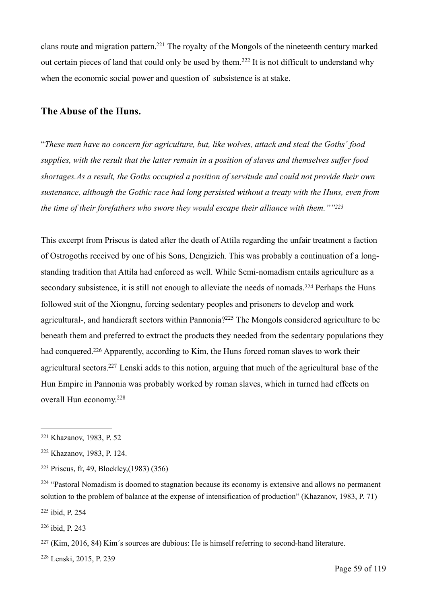<span id="page-58-9"></span><span id="page-58-8"></span>clans route and migration pattern[.](#page-58-0)<sup>[221](#page-58-0)</sup> The royalty of the Mongols of the nineteenth century marked out certain pieces of land that could only be used by them.<sup>[222](#page-58-1)</sup> It is not difficult to understand why when the economic social power and question of subsistence is at stake.

#### **The Abuse of the Huns.**

"*These men have no concern for agriculture, but, like wolves, attack and steal the Goths´ food supplies, with the result that the latter remain in a position of slaves and themselves suffer food shortages.As a result, the Goths occupied a position of servitude and could not provide their own sustenance, although the Gothic race had long persisted without a treaty with the Huns, even from the time of their forefathers who swore they would escape their alliance with them."["223](#page-58-2)*

<span id="page-58-12"></span><span id="page-58-11"></span><span id="page-58-10"></span>This excerpt from Priscus is dated after the death of Attila regarding the unfair treatment a faction of Ostrogoths received by one of his Sons, Dengizich. This was probably a continuation of a longstanding tradition that Attila had enforced as well. While Semi-nomadism entails agriculture as a secondarysubsistence, it is still not enough to alleviate the needs of nomads.<sup>[224](#page-58-3)</sup> Perhaps the Huns followed suit of the Xiongnu, forcing sedentary peoples and prisoners to develop and work agricultural-, and handicraft sectors within Pannonia[?](#page-58-4)<sup>[225](#page-58-4)</sup> The Mongols considered agriculture to be beneath them and preferred to extract the products they needed from the sedentary populations they had conquered[.](#page-58-5)<sup>[226](#page-58-5)</sup> Apparently, according to Kim, the Huns forced roman slaves to work their agricultural sectors[.](#page-58-6)<sup>[227](#page-58-6)</sup> Lenski adds to this notion, arguing that much of the agricultural base of the Hun Empire in Pannonia was probably worked by roman slaves, which in turned had effects on overall Hun economy[.228](#page-58-7)

<span id="page-58-4"></span><sup>[225](#page-58-12)</sup> ibid, P. 254

<span id="page-58-5"></span> $226$  ibid, P. 243

<span id="page-58-7"></span><sup>[228](#page-58-15)</sup> Lenski, 2015, P. 239

<span id="page-58-15"></span><span id="page-58-14"></span><span id="page-58-13"></span><span id="page-58-0"></span><sup>&</sup>lt;sup>[221](#page-58-8)</sup> Khazanov, 1983, P. 52

<span id="page-58-1"></span><sup>&</sup>lt;sup>[222](#page-58-9)</sup> Khazanov, 1983, P. 124.

<span id="page-58-2"></span>Priscus, fr, 49, Blockley,(1983) (356) [223](#page-58-10)

<span id="page-58-3"></span> $224$  "Pastoral Nomadism is doomed to stagnation because its economy is extensive and allows no permanent solution to the problem of balance at the expense of intensification of production" (Khazanov, 1983, P. 71)

<span id="page-58-6"></span> $227$  (Kim, 2016, 84) Kim's sources are dubious: He is himself referring to second-hand literature.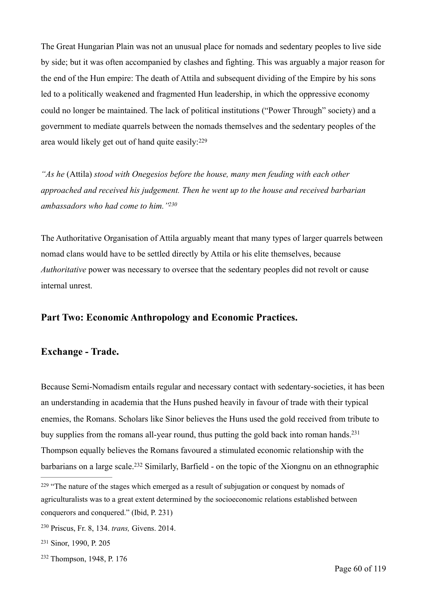The Great Hungarian Plain was not an unusual place for nomads and sedentary peoples to live side by side; but it was often accompanied by clashes and fighting. This was arguably a major reason for the end of the Hun empire: The death of Attila and subsequent dividing of the Empire by his sons led to a politically weakened and fragmented Hun leadership, in which the oppressive economy could no longer be maintained. The lack of political institutions ("Power Through" society) and a government to mediate quarrels between the nomads themselves and the sedentary peoples of the area would likely get out of hand quite easily: [229](#page-59-0)

<span id="page-59-4"></span>*"As he* (Attila) *stood with Onegesios before the house, many men feuding with each other approached and received his judgement. Then he went up to the house and received barbarian ambassadors who had come to him.["230](#page-59-1)*

<span id="page-59-5"></span>The Authoritative Organisation of Attila arguably meant that many types of larger quarrels between nomad clans would have to be settled directly by Attila or his elite themselves, because *Authoritative* power was necessary to oversee that the sedentary peoples did not revolt or cause internal unrest.

# **Part Two: Economic Anthropology and Economic Practices.**

#### **Exchange - Trade.**

Because Semi-Nomadism entails regular and necessary contact with sedentary-societies, it has been an understanding in academia that the Huns pushed heavily in favour of trade with their typical enemies, the Romans. Scholars like Sinor believes the Huns used the gold received from tribute to buy supplies from the romans all-year round, thus putting the gold back into roman hands.<sup>231</sup> Thompson equally believes the Romans favoured a stimulated economic relationship with the barbarians on a large scale[.](#page-59-3)<sup>[232](#page-59-3)</sup> Similarly, Barfield - on the topic of the Xiongnu on an ethnographic

<span id="page-59-7"></span><span id="page-59-6"></span><span id="page-59-0"></span> $229$  "The nature of the stages which emerged as a result of subjugation or conquest by nomads of agriculturalists was to a great extent determined by the socioeconomic relations established between conquerors and conquered." (Ibid, P. 231)

<span id="page-59-1"></span><sup>&</sup>lt;sup>[230](#page-59-5)</sup> Priscus, Fr. 8, 134. *trans*, Givens. 2014.

<span id="page-59-2"></span><sup>&</sup>lt;sup>[231](#page-59-6)</sup> Sinor, 1990, P. 205

<span id="page-59-3"></span><sup>&</sup>lt;sup>[232](#page-59-7)</sup> Thompson, 1948, P. 176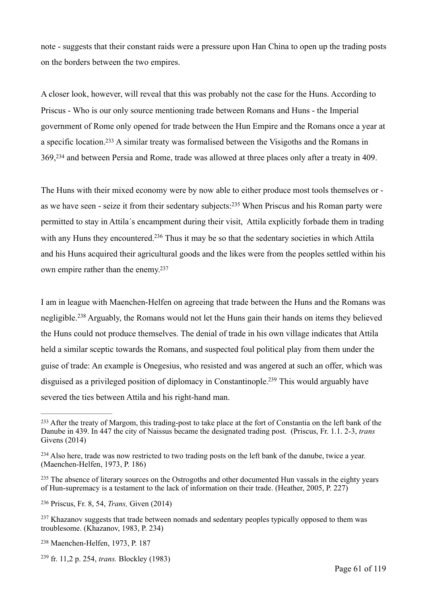note - suggests that their constant raids were a pressure upon Han China to open up the trading posts on the borders between the two empires.

A closer look, however, will reveal that this was probably not the case for the Huns. According to Priscus - Who is our only source mentioning trade between Romans and Huns - the Imperial government of Rome only opened for trade between the Hun Empire and the Romans once a year at a specific location[.](#page-60-0)<sup>[233](#page-60-0)</sup> A similar treaty was formalised between the Visigoths and the Romans in 369, <sup>[234](#page-60-1)</sup> and between Persia and Rome, trade was allowed at three places only after a treaty in 409.

<span id="page-60-10"></span><span id="page-60-9"></span><span id="page-60-8"></span><span id="page-60-7"></span>The Huns with their mixed economy were by now able to either produce most tools themselves or - aswe have seen - seize it from their sedentary subjects:<sup>[235](#page-60-2)</sup> When Priscus and his Roman party were permitted to stay in Attila´s encampment during their visit, Attila explicitly forbade them in trading with any Huns they encountered[.](#page-60-3)<sup>[236](#page-60-3)</sup> Thus it may be so that the sedentary societies in which Attila and his Huns acquired their agricultural goods and the likes were from the peoples settled within his own empire rather than the enemy[.237](#page-60-4)

<span id="page-60-12"></span><span id="page-60-11"></span>I am in league with Maenchen-Helfen on agreeing that trade between the Huns and the Romans was negligible.<sup>238</sup>Arguably, the Romans would not let the Huns gain their hands on items they believed the Huns could not produce themselves. The denial of trade in his own village indicates that Attila held a similar sceptic towards the Romans, and suspected foul political play from them under the guise of trade: An example is Onegesius, who resisted and was angered at such an offer, which was disguised as a privileged position of diplomacy in Constantinople[.](#page-60-6)<sup>[239](#page-60-6)</sup> This would arguably have severed the ties between Attila and his right-hand man.

<span id="page-60-13"></span><span id="page-60-0"></span><sup>&</sup>lt;sup>[233](#page-60-7)</sup> After the treaty of Margom, this trading-post to take place at the fort of Constantia on the left bank of the Danube in 439. In 447 the city of Naissus became the designated trading post. (Priscus, Fr. 1.1. 2-3, *trans*  Givens (2014)

<span id="page-60-1"></span><sup>&</sup>lt;sup>[234](#page-60-8)</sup> Also here, trade was now restricted to two trading posts on the left bank of the danube, twice a year. (Maenchen-Helfen, 1973, P. 186)

<span id="page-60-2"></span><sup>&</sup>lt;sup>[235](#page-60-9)</sup> The absence of literary sources on the Ostrogoths and other documented Hun vassals in the eighty years of Hun-supremacy is a testament to the lack of information on their trade. (Heather, 2005, P. 227)

<span id="page-60-3"></span>Priscus, Fr. 8, 54, *Trans,* Given (2014) [236](#page-60-10)

<span id="page-60-4"></span><sup>&</sup>lt;sup>[237](#page-60-11)</sup> Khazanov suggests that trade between nomads and sedentary peoples typically opposed to them was troublesome. (Khazanov, 1983, P. 234)

<span id="page-60-5"></span><sup>&</sup>lt;sup>[238](#page-60-12)</sup> Maenchen-Helfen, 1973, P. 187

<span id="page-60-6"></span><sup>&</sup>lt;sup>[239](#page-60-13)</sup> fr. 11.2 p. 254, *trans.* Blockley (1983)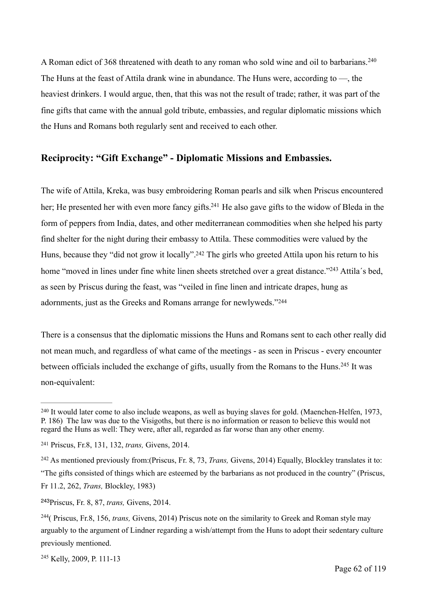<span id="page-61-6"></span>A Roman edict of 368 threatened with death to any roman who sold wine and oil to barbarians.<sup>[240](#page-61-0)</sup> The Huns at the feast of Attila drank wine in abundance. The Huns were, according to —, the heaviest drinkers. I would argue, then, that this was not the result of trade; rather, it was part of the fine gifts that came with the annual gold tribute, embassies, and regular diplomatic missions which the Huns and Romans both regularly sent and received to each other.

# **Reciprocity: "Gift Exchange" - Diplomatic Missions and Embassies.**

<span id="page-61-8"></span><span id="page-61-7"></span>The wife of Attila, Kreka, was busy embroidering Roman pearls and silk when Priscus encountered her; He presented her with even more fancy gifts[.](#page-61-1)<sup>[241](#page-61-1)</sup> He also gave gifts to the widow of Bleda in the form of peppers from India, dates, and other mediterranean commodities when she helped his party find shelter for the night during their embassy to Attila. These commodities were valued by the Huns, because they "did not grow it locally"[.](#page-61-2)<sup>[242](#page-61-2)</sup> The girls who greeted Attila upon his return to his home ["](#page-61-3)moved in lines under fine white linen sheets stretched over a great distance."<sup>[243](#page-61-3)</sup> Attila's bed, as seen by Priscus during the feast, was "veiled in fine linen and intricate drapes, hung as adornments, just as the Greeks and Romans arrange for newlyweds."[244](#page-61-4)

<span id="page-61-11"></span><span id="page-61-10"></span><span id="page-61-9"></span>There is a consensus that the diplomatic missions the Huns and Romans sent to each other really did not mean much, and regardless of what came of the meetings - as seen in Priscus - every encounter between officials included the exchange of gifts, usually from the Romans to the Huns.<sup>[245](#page-61-5)</sup> It was non-equivalent:

<span id="page-61-0"></span><sup>&</sup>lt;sup>[240](#page-61-6)</sup> It would later come to also include weapons, as well as buying slaves for gold. (Maenchen-Helfen, 1973, P. 186) The law was due to the Visigoths, but there is no information or reason to believe this would not regard the Huns as well: They were, after all, regarded as far worse than any other enemy.

<span id="page-61-1"></span><sup>&</sup>lt;sup>[241](#page-61-7)</sup> Priscus, Fr.8, 131, 132, *trans*, Givens, 2014.

<span id="page-61-2"></span><sup>&</sup>lt;sup>[242](#page-61-8)</sup> As mentioned previously from:(Priscus, Fr. 8, 73, *Trans, Givens, 2014*) Equally, Blockley translates it to: "The gifts consisted of things which are esteemed by the barbarians as not produced in the country" (Priscus, Fr 11.2, 262, *Trans,* Blockley, 1983)

<span id="page-61-3"></span><sup>&</sup>lt;sup>[243](#page-61-9)</sup> Priscus, Fr. 8, 87, *trans*, Givens, 2014.

<span id="page-61-4"></span><sup>&</sup>lt;sup>[244](#page-61-10)</sup> ( Priscus, Fr.8, 156, *trans*, *Givens, 2014*) Priscus note on the similarity to Greek and Roman style may arguably to the argument of Lindner regarding a wish/attempt from the Huns to adopt their sedentary culture previously mentioned.

<span id="page-61-5"></span><sup>&</sup>lt;sup>[245](#page-61-11)</sup> Kelly, 2009, P. 111-13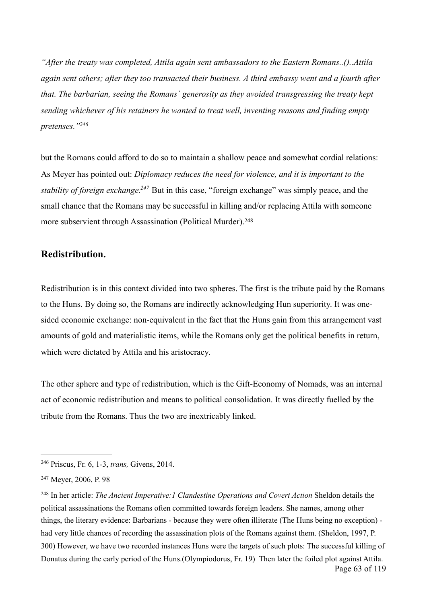*"After the treaty was completed, Attila again sent ambassadors to the Eastern Romans..()..Attila again sent others; after they too transacted their business. A third embassy went and a fourth after that. The barbarian, seeing the Romans` generosity as they avoided transgressing the treaty kept sending whichever of his retainers he wanted to treat well, inventing reasons and finding empty pretenses.["246](#page-62-0)*

<span id="page-62-4"></span><span id="page-62-3"></span>but the Romans could afford to do so to maintain a shallow peace and somewhat cordial relations: As Meyer has pointed out: *Diplomacy reduces the need for violence, and it is important to the stability of foreign exchange.* <sup>[247](#page-62-1)</sup> But in this case, "foreign exchange" was simply peace, and the small chance that the Romans may be successful in killing and/or replacing Attila with someone more subservient through Assassination (Political Murder).<sup>[248](#page-62-2)</sup>

#### <span id="page-62-5"></span>**Redistribution.**

Redistribution is in this context divided into two spheres. The first is the tribute paid by the Romans to the Huns. By doing so, the Romans are indirectly acknowledging Hun superiority. It was onesided economic exchange: non-equivalent in the fact that the Huns gain from this arrangement vast amounts of gold and materialistic items, while the Romans only get the political benefits in return, which were dictated by Attila and his aristocracy.

The other sphere and type of redistribution, which is the Gift-Economy of Nomads, was an internal act of economic redistribution and means to political consolidation. It was directly fuelled by the tribute from the Romans. Thus the two are inextricably linked.

<span id="page-62-0"></span><sup>&</sup>lt;sup>[246](#page-62-3)</sup> Priscus, Fr. 6, 1-3, *trans*, Givens, 2014.

<span id="page-62-1"></span><sup>&</sup>lt;sup>[247](#page-62-4)</sup> Meyer, 2006, P. 98

<span id="page-62-2"></span><sup>&</sup>lt;sup>[248](#page-62-5)</sup> In her article: *The Ancient Imperative: 1 Clandestine Operations and Covert Action* Sheldon details the political assassinations the Romans often committed towards foreign leaders. She names, among other things, the literary evidence: Barbarians - because they were often illiterate (The Huns being no exception) had very little chances of recording the assassination plots of the Romans against them. (Sheldon, 1997, P. 300) However, we have two recorded instances Huns were the targets of such plots: The successful killing of Donatus during the early period of the Huns.(Olympiodorus, Fr. 19) Then later the foiled plot against Attila. Page 63 of 119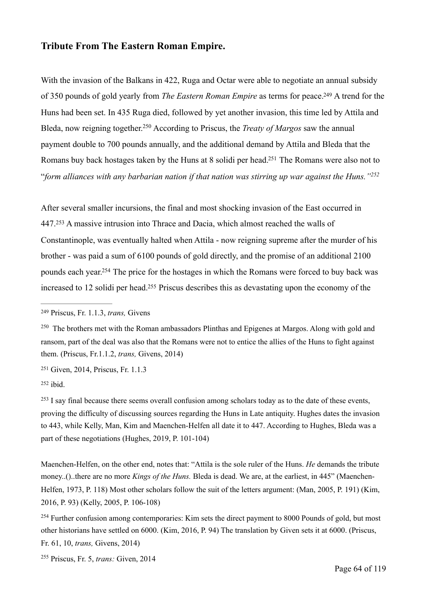#### **Tribute From The Eastern Roman Empire.**

<span id="page-63-8"></span><span id="page-63-7"></span>With the invasion of the Balkans in 422, Ruga and Octar were able to negotiate an annual subsidy of 350 pounds of gold yearly from *The Eastern Roman Empire* as terms for peace[.](#page-63-0)<sup>[249](#page-63-0)</sup> A trend for the Huns had been set. In 435 Ruga died, followed by yet another invasion, this time led by Attila and Bleda, now reigning together.<sup>[250](#page-63-1)</sup> According to Priscus, the *Treaty of Margos* saw the annual payment double to 700 pounds annually, and the additional demand by Attila and Bleda that the Romans buy back hostages taken by the Huns at 8 solidi per head[.](#page-63-2)<sup>[251](#page-63-2)</sup> The Romans were also not to "*form alliances with any barbarian nation if that nation was stirring up war against the Huns.["252](#page-63-3)*

<span id="page-63-11"></span><span id="page-63-10"></span><span id="page-63-9"></span>After several smaller incursions, the final and most shocking invasion of the East occurred in  $447.253$  $447.253$  A massive intrusion into Thrace and Dacia, which almost reached the walls of Constantinople, was eventually halted when Attila - now reigning supreme after the murder of his brother - was paid a sum of 6100 pounds of gold directly, and the promise of an additional 2100 pounds each year[.](#page-63-5)<sup>[254](#page-63-5)</sup> The price for the hostages in which the Romans were forced to buy back was increased to 12 solidi per head[.](#page-63-6)<sup>[255](#page-63-6)</sup> Priscus describes this as devastating upon the economy of the

<span id="page-63-2"></span><sup>[251](#page-63-9)</sup> Given, 2014, Priscus, Fr. 1.1.3

<span id="page-63-3"></span> $252$  ibid.

<span id="page-63-4"></span><sup>[253](#page-63-11)</sup> I say final because there seems overall confusion among scholars today as to the date of these events, proving the difficulty of discussing sources regarding the Huns in Late antiquity. Hughes dates the invasion to 443, while Kelly, Man, Kim and Maenchen-Helfen all date it to 447. According to Hughes, Bleda was a part of these negotiations (Hughes, 2019, P. 101-104)

Maenchen-Helfen, on the other end, notes that: "Attila is the sole ruler of the Huns. *He* demands the tribute money..()..there are no more *Kings of the Huns.* Bleda is dead. We are, at the earliest, in 445" (Maenchen-Helfen, 1973, P. 118) Most other scholars follow the suit of the letters argument: (Man, 2005, P. 191) (Kim, 2016, P. 93) (Kelly, 2005, P. 106-108)

<span id="page-63-5"></span> $254$  Further confusion among contemporaries: Kim sets the direct payment to 8000 Pounds of gold, but most other historians have settled on 6000. (Kim, 2016, P. 94) The translation by Given sets it at 6000. (Priscus, Fr. 61, 10, *trans,* Givens, 2014)

<span id="page-63-6"></span><sup>[255](#page-63-13)</sup> Priscus, Fr. 5, *trans:* Given, 2014

<span id="page-63-13"></span><span id="page-63-12"></span><span id="page-63-0"></span>Priscus, Fr. 1.1.3, *trans,* Givens [249](#page-63-7)

<span id="page-63-1"></span><sup>&</sup>lt;sup>[250](#page-63-8)</sup> The brothers met with the Roman ambassadors Plinthas and Epigenes at Margos. Along with gold and ransom, part of the deal was also that the Romans were not to entice the allies of the Huns to fight against them. (Priscus, Fr.1.1.2, *trans,* Givens, 2014)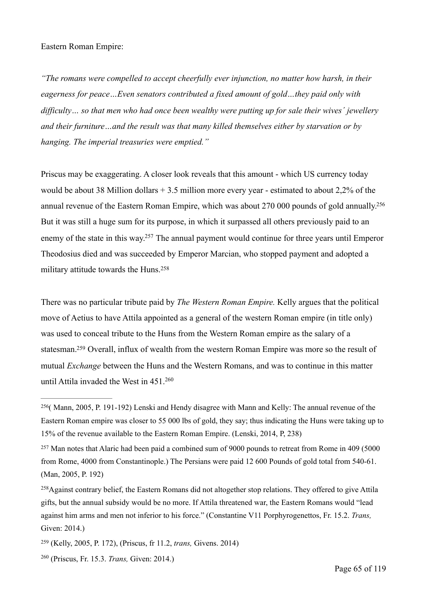#### Eastern Roman Empire:

*"The romans were compelled to accept cheerfully ever injunction, no matter how harsh, in their eagerness for peace…Even senators contributed a fixed amount of gold…they paid only with difficulty… so that men who had once been wealthy were putting up for sale their wives´ jewellery and their furniture…and the result was that many killed themselves either by starvation or by hanging. The imperial treasuries were emptied."*

<span id="page-64-5"></span>Priscus may be exaggerating. A closer look reveals that this amount - which US currency today would be about 38 Million dollars + 3.5 million more every year - estimated to about 2,2% of the annual revenue of the Eastern Roman Empire, which was about 270 000 pounds of gold annually[.256](#page-64-0) But it was still a huge sum for its purpose, in which it surpassed all others previously paid to an enemy of the state in this way[.](#page-64-1)<sup>[257](#page-64-1)</sup> The annual payment would continue for three years until Emperor Theodosius died and was succeeded by Emperor Marcian, who stopped payment and adopted a military attitude towards the Huns.[258](#page-64-2)

<span id="page-64-7"></span><span id="page-64-6"></span>There was no particular tribute paid by *The Western Roman Empire.* Kelly argues that the political move of Aetius to have Attila appointed as a general of the western Roman empire (in title only) was used to conceal tribute to the Huns from the Western Roman empire as the salary of a statesman.<sup>[259](#page-64-3)</sup> Overall, influx of wealth from the western Roman Empire was more so the result of mutual *Exchange* between the Huns and the Western Romans, and was to continue in this matter until Attila invaded the West in 451[.260](#page-64-4)

<span id="page-64-9"></span><span id="page-64-8"></span><span id="page-64-0"></span><sup>&</sup>lt;sup>[256](#page-64-5)</sup> (Mann, 2005, P. 191-192) Lenski and Hendy disagree with Mann and Kelly: The annual revenue of the Eastern Roman empire was closer to 55 000 lbs of gold, they say; thus indicating the Huns were taking up to 15% of the revenue available to the Eastern Roman Empire. (Lenski, 2014, P, 238)

<span id="page-64-1"></span> $257$  Man notes that Alaric had been paid a combined sum of 9000 pounds to retreat from Rome in 409 (5000) from Rome, 4000 from Constantinople.) The Persians were paid 12 600 Pounds of gold total from 540-61. (Man, 2005, P. 192)

<span id="page-64-2"></span><sup>&</sup>lt;sup>[258](#page-64-7)</sup>Against contrary belief, the Eastern Romans did not altogether stop relations. They offered to give Attila gifts, but the annual subsidy would be no more. If Attila threatened war, the Eastern Romans would "lead against him arms and men not inferior to his force." (Constantine V11 Porphyrogenettos, Fr. 15.2. *Trans,*  Given: 2014.)

<span id="page-64-3"></span> <sup>(</sup>Kelly, 2005, P. 172), (Priscus, fr 11.2, *trans,* Givens. 2014) [259](#page-64-8)

<span id="page-64-4"></span><sup>&</sup>lt;sup>[260](#page-64-9)</sup> (Priscus, Fr. 15.3. *Trans, Given: 2014.*)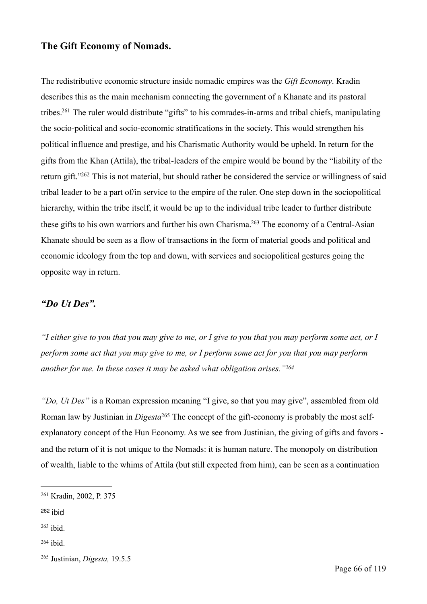#### **The Gift Economy of Nomads.**

<span id="page-65-6"></span><span id="page-65-5"></span>The redistributive economic structure inside nomadic empires was the *Gift Economy*. Kradin describes this as the main mechanism connecting the government of a Khanate and its pastoral tribes[.](#page-65-0)<sup>[261](#page-65-0)</sup> The ruler would distribute "gifts" to his comrades-in-arms and tribal chiefs, manipulating the socio-political and socio-economic stratifications in the society. This would strengthen his political influence and prestige, and his Charismatic Authority would be upheld. In return for the gifts from the Khan (Attila), the tribal-leaders of the empire would be bound by the "liability of the return gift.["](#page-65-1)<sup>[262](#page-65-1)</sup> This is not material, but should rather be considered the service or willingness of said tribal leader to be a part of/in service to the empire of the ruler. One step down in the sociopolitical hierarchy, within the tribe itself, it would be up to the individual tribe leader to further distribute these gifts to his own warriors and further his own Charisma[.](#page-65-2)<sup>[263](#page-65-2)</sup> The economy of a Central-Asian Khanate should be seen as a flow of transactions in the form of material goods and political and economic ideology from the top and down, with services and sociopolitical gestures going the opposite way in return.

# <span id="page-65-7"></span>*"Do Ut Des".*

*"I either give to you that you may give to me, or I give to you that you may perform some act, or I perform some act that you may give to me, or I perform some act for you that you may perform another for me. In these cases it may be asked what obligation arises.["264](#page-65-3)*

<span id="page-65-9"></span><span id="page-65-8"></span>*"Do, Ut Des"* is a Roman expression meaning "I give, so that you may give", assembled from old Roman law by Justinian in *Digesta*<sup>[265](#page-65-4)</sup> The concept of the gift-economy is probably the most selfexplanatory concept of the Hun Economy. As we see from Justinian, the giving of gifts and favors and the return of it is not unique to the Nomads: it is human nature. The monopoly on distribution of wealth, liable to the whims of Attila (but still expected from him), can be seen as a continuation

<span id="page-65-0"></span><sup>&</sup>lt;sup>[261](#page-65-5)</sup> Kradin, 2002, P. 375

<span id="page-65-1"></span>[<sup>262</sup>](#page-65-6) ibid

<span id="page-65-2"></span> $263$  ibid.

<span id="page-65-3"></span> $264$  ibid.

<span id="page-65-4"></span><sup>&</sup>lt;sup>[265](#page-65-9)</sup> Justinian, *Digesta*, 19.5.5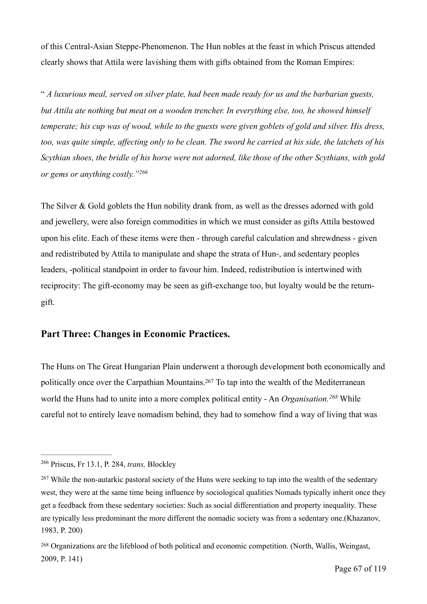of this Central-Asian Steppe-Phenomenon. The Hun nobles at the feast in which Priscus attended clearly shows that Attila were lavishing them with gifts obtained from the Roman Empires:

" *A luxurious meal, served on silver plate, had been made ready for us and the barbarian guests, but Attila ate nothing but meat on a wooden trencher. In everything else, too, he showed himself temperate; his cup was of wood, while to the guests were given goblets of gold and silver. His dress, too, was quite simple, affecting only to be clean. The sword he carried at his side, the latchets of his Scythian shoes, the bridle of his horse were not adorned, like those of the other Scythians, with gold or gems or anything costly."[266](#page-66-0)*

<span id="page-66-3"></span>The Silver & Gold goblets the Hun nobility drank from, as well as the dresses adorned with gold and jewellery, were also foreign commodities in which we must consider as gifts Attila bestowed upon his elite. Each of these items were then - through careful calculation and shrewdness - given and redistributed by Attila to manipulate and shape the strata of Hun-, and sedentary peoples leaders, -political standpoint in order to favour him. Indeed, redistribution is intertwined with reciprocity: The gift-economy may be seen as gift-exchange too, but loyalty would be the returngift.

#### **Part Three: Changes in Economic Practices.**

<span id="page-66-5"></span><span id="page-66-4"></span>The Huns on The Great Hungarian Plain underwent a thorough development both economically and politically once over the Carpathian Mountains[.](#page-66-1)<sup>[267](#page-66-1)</sup> To tap into the wealth of the Mediterranean world the Huns had to unite into a more complex political entity - An *Organisation*.<sup>[268](#page-66-2)</sup> While careful not to entirely leave nomadism behind, they had to somehow find a way of living that was

<span id="page-66-0"></span><sup>&</sup>lt;sup>[266](#page-66-3)</sup> Priscus, Fr 13.1, P. 284, *trans*, Blockley

<span id="page-66-1"></span><sup>&</sup>lt;sup>[267](#page-66-4)</sup> While the non-autarkic pastoral society of the Huns were seeking to tap into the wealth of the sedentary west, they were at the same time being influence by sociological qualities Nomads typically inherit once they get a feedback from these sedentary societies: Such as social differentiation and property inequality. These are typically less predominant the more different the nomadic society was from a sedentary one.(Khazanov, 1983, P. 200)

<span id="page-66-2"></span><sup>&</sup>lt;sup>[268](#page-66-5)</sup> Organizations are the lifeblood of both political and economic competition. (North, Wallis, Weingast, 2009, P. 141)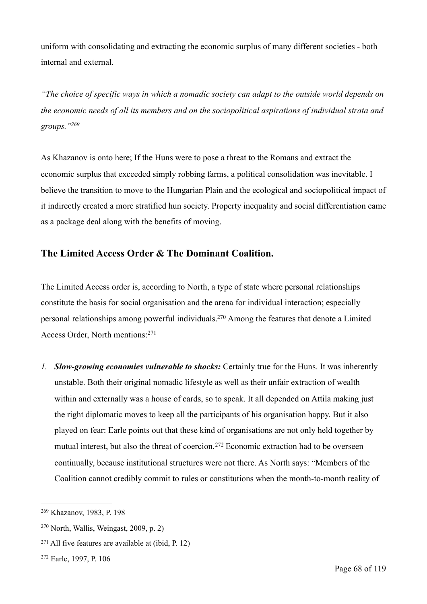uniform with consolidating and extracting the economic surplus of many different societies - both internal and external.

*"The choice of specific ways in which a nomadic society can adapt to the outside world depends on the economic needs of all its members and on the sociopolitical aspirations of individual strata and groups.["269](#page-67-0)*

<span id="page-67-4"></span>As Khazanov is onto here; If the Huns were to pose a threat to the Romans and extract the economic surplus that exceeded simply robbing farms, a political consolidation was inevitable. I believe the transition to move to the Hungarian Plain and the ecological and sociopolitical impact of it indirectly created a more stratified hun society. Property inequality and social differentiation came as a package deal along with the benefits of moving.

# **The Limited Access Order & The Dominant Coalition.**

<span id="page-67-5"></span>The Limited Access order is, according to North, a type of state where personal relationships constitute the basis for social organisation and the arena for individual interaction; especially personal relationships among powerful individuals[.](#page-67-1)<sup>[270](#page-67-1)</sup> Among the features that denote a Limited Access Order, North mentions:[271](#page-67-2)

<span id="page-67-6"></span>*1. Slow-growing economies vulnerable to shocks:* Certainly true for the Huns. It was inherently unstable. Both their original nomadic lifestyle as well as their unfair extraction of wealth within and externally was a house of cards, so to speak. It all depended on Attila making just the right diplomatic moves to keep all the participants of his organisation happy. But it also played on fear: Earle points out that these kind of organisations are not only held together by mutualinterest, but also the threat of coercion.<sup>[272](#page-67-3)</sup> Economic extraction had to be overseen continually, because institutional structures were not there. As North says: "Members of the Coalition cannot credibly commit to rules or constitutions when the month-to-month reality of

<span id="page-67-7"></span><span id="page-67-0"></span><sup>&</sup>lt;sup>[269](#page-67-4)</sup> Khazanov, 1983, P. 198

<span id="page-67-1"></span> $270$  North, Wallis, Weingast, 2009, p. 2)

<span id="page-67-2"></span> $271$  All five features are available at (ibid, P. 12)

<span id="page-67-3"></span><sup>&</sup>lt;sup>[272](#page-67-7)</sup> Earle, 1997, P. 106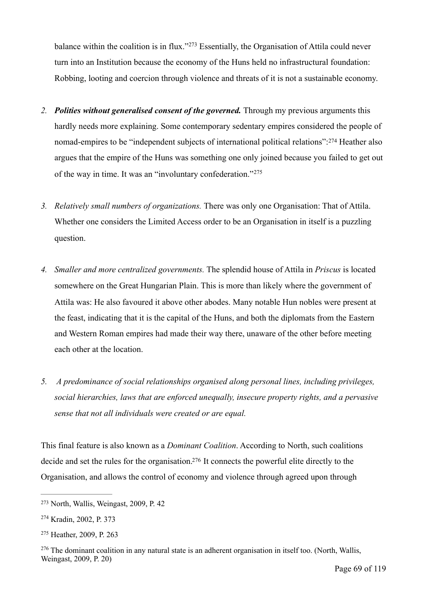<span id="page-68-4"></span>balancewithin the coalition is in flux."<sup> $273$ </sup> Essentially, the Organisation of Attila could never turn into an Institution because the economy of the Huns held no infrastructural foundation: Robbing, looting and coercion through violence and threats of it is not a sustainable economy.

- <span id="page-68-5"></span>*2. Polities without generalised consent of the governed.* Through my previous arguments this hardly needs more explaining. Some contemporary sedentary empires considered the people of nomad-empiresto be "independent subjects of international political relations": [274](#page-68-1) Heather also argues that the empire of the Huns was something one only joined because you failed to get out of the way in time. It was an "involuntary confederation."[275](#page-68-2)
- <span id="page-68-6"></span>*3. Relatively small numbers of organizations.* There was only one Organisation: That of Attila. Whether one considers the Limited Access order to be an Organisation in itself is a puzzling question.
- *4. Smaller and more centralized governments.* The splendid house of Attila in *Priscus* is located somewhere on the Great Hungarian Plain. This is more than likely where the government of Attila was: He also favoured it above other abodes. Many notable Hun nobles were present at the feast, indicating that it is the capital of the Huns, and both the diplomats from the Eastern and Western Roman empires had made their way there, unaware of the other before meeting each other at the location.
- *5. A predominance of social relationships organised along personal lines, including privileges, social hierarchies, laws that are enforced unequally, insecure property rights, and a pervasive sense that not all individuals were created or are equal.*

<span id="page-68-7"></span>This final feature is also known as a *Dominant Coalition*. According to North, such coalitions decide and set the rules for the organisation[.](#page-68-3)<sup>[276](#page-68-3)</sup> It connects the powerful elite directly to the Organisation, and allows the control of economy and violence through agreed upon through

<span id="page-68-0"></span><sup>&</sup>lt;sup>[273](#page-68-4)</sup> North, Wallis, Weingast, 2009, P. 42

<span id="page-68-1"></span><sup>&</sup>lt;sup>[274](#page-68-5)</sup> Kradin, 2002, P. 373

<span id="page-68-2"></span><sup>&</sup>lt;sup>[275](#page-68-6)</sup> Heather, 2009, P. 263

<span id="page-68-3"></span> $276$  The dominant coalition in any natural state is an adherent organisation in itself too. (North, Wallis, Weingast, 2009, P. 20)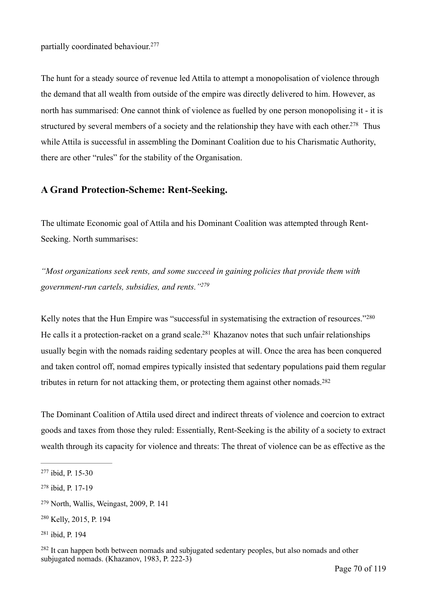<span id="page-69-6"></span>partially coordinated behaviour.[277](#page-69-0)

<span id="page-69-7"></span>The hunt for a steady source of revenue led Attila to attempt a monopolisation of violence through the demand that all wealth from outside of the empire was directly delivered to him. However, as north has summarised: One cannot think of violence as fuelled by one person monopolising it - it is structured by several members of a society and the relationship they have with each other[.](#page-69-1)<sup>[278](#page-69-1)</sup> Thus while Attila is successful in assembling the Dominant Coalition due to his Charismatic Authority, there are other "rules" for the stability of the Organisation.

# **A Grand Protection-Scheme: Rent-Seeking.**

The ultimate Economic goal of Attila and his Dominant Coalition was attempted through Rent-Seeking. North summarises:

<span id="page-69-8"></span>*"Most organizations seek rents, and some succeed in gaining policies that provide them with government-run cartels, subsidies, and rents.["279](#page-69-2)*

<span id="page-69-10"></span><span id="page-69-9"></span>Kelly notes that the Hun Empire was "successful in systematising the extraction of resources."[280](#page-69-3) He calls it a protection-racket on a grand scale[.](#page-69-4)<sup>[281](#page-69-4)</sup> Khazanov notes that such unfair relationships usually begin with the nomads raiding sedentary peoples at will. Once the area has been conquered and taken control off, nomad empires typically insisted that sedentary populations paid them regular tributes in return for not attacking them, or protecting them against other nomads.[282](#page-69-5)

<span id="page-69-11"></span>The Dominant Coalition of Attila used direct and indirect threats of violence and coercion to extract goods and taxes from those they ruled: Essentially, Rent-Seeking is the ability of a society to extract wealth through its capacity for violence and threats: The threat of violence can be as effective as the

<span id="page-69-0"></span><sup>&</sup>lt;sup>[277](#page-69-6)</sup> ibid, P. 15-30

<span id="page-69-1"></span> $278$  ibid, P. 17-19

<span id="page-69-2"></span><sup>&</sup>lt;sup>[279](#page-69-8)</sup> North, Wallis, Weingast, 2009, P. 141

<span id="page-69-3"></span><sup>&</sup>lt;sup>[280](#page-69-9)</sup> Kelly, 2015, P. 194

<span id="page-69-4"></span><sup>&</sup>lt;sup>[281](#page-69-10)</sup> ibid, P. 194

<span id="page-69-5"></span><sup>&</sup>lt;sup>[282](#page-69-11)</sup> It can happen both between nomads and subjugated sedentary peoples, but also nomads and other subjugated nomads. (Khazanov, 1983, P. 222-3)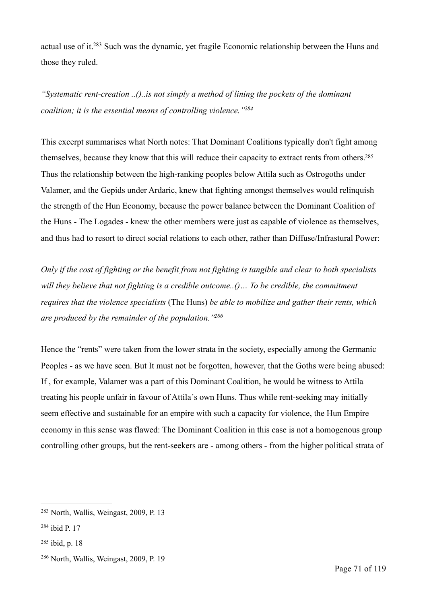<span id="page-70-4"></span>actual use of it[.](#page-70-0) $283$  Such was the dynamic, yet fragile Economic relationship between the Huns and those they ruled.

<span id="page-70-5"></span>*"Systematic rent-creation ..()..is not simply a method of lining the pockets of the dominant coalition; it is the essential means of controlling violence.["284](#page-70-1)*

<span id="page-70-6"></span>This excerpt summarises what North notes: That Dominant Coalitions typically don't fight among themselves, because they know that this will reduce their capacity to extract rents from others[.285](#page-70-2) Thus the relationship between the high-ranking peoples below Attila such as Ostrogoths under Valamer, and the Gepids under Ardaric, knew that fighting amongst themselves would relinquish the strength of the Hun Economy, because the power balance between the Dominant Coalition of the Huns - The Logades - knew the other members were just as capable of violence as themselves, and thus had to resort to direct social relations to each other, rather than Diffuse/Infrastural Power:

*Only if the cost of fighting or the benefit from not fighting is tangible and clear to both specialists will they believe that not fighting is a credible outcome..()… To be credible, the commitment requires that the violence specialists* (The Huns) *be able to mobilize and gather their rents, which are produced by the remainder of the population.["286](#page-70-3)*

<span id="page-70-7"></span>Hence the "rents" were taken from the lower strata in the society, especially among the Germanic Peoples - as we have seen. But It must not be forgotten, however, that the Goths were being abused: If , for example, Valamer was a part of this Dominant Coalition, he would be witness to Attila treating his people unfair in favour of Attila´s own Huns. Thus while rent-seeking may initially seem effective and sustainable for an empire with such a capacity for violence, the Hun Empire economy in this sense was flawed: The Dominant Coalition in this case is not a homogenous group controlling other groups, but the rent-seekers are - among others - from the higher political strata of

<span id="page-70-2"></span> $285$  ibid, p. 18

<span id="page-70-0"></span><sup>&</sup>lt;sup>[283](#page-70-4)</sup> North, Wallis, Weingast, 2009, P. 13

<span id="page-70-1"></span> $284$  ibid P. 17

<span id="page-70-3"></span> $286$  North, Wallis, Weingast, 2009, P. 19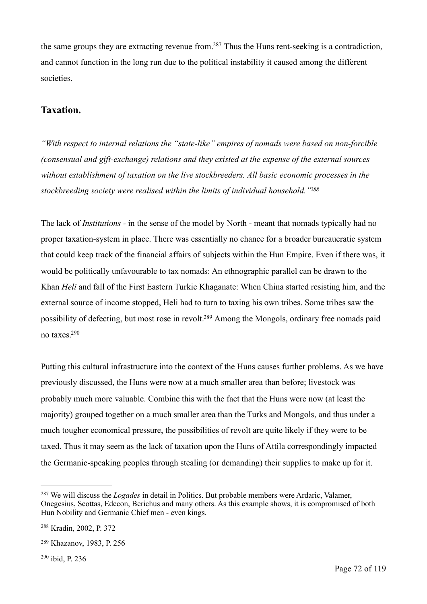<span id="page-71-4"></span>the same groups they are extracting revenue from[.](#page-71-0)<sup>[287](#page-71-0)</sup> Thus the Huns rent-seeking is a contradiction, and cannot function in the long run due to the political instability it caused among the different societies.

# **Taxation.**

*"With respect to internal relations the "state-like" empires of nomads were based on non-forcible (consensual and gift-exchange) relations and they existed at the expense of the external sources without establishment of taxation on the live stockbreeders. All basic economic processes in the stockbreeding society were realised within the limits of individual household.["288](#page-71-1)*

<span id="page-71-5"></span>The lack of *Institutions -* in the sense of the model by North - meant that nomads typically had no proper taxation-system in place. There was essentially no chance for a broader bureaucratic system that could keep track of the financial affairs of subjects within the Hun Empire. Even if there was, it would be politically unfavourable to tax nomads: An ethnographic parallel can be drawn to the Khan *Heli* and fall of the First Eastern Turkic Khaganate: When China started resisting him, and the external source of income stopped, Heli had to turn to taxing his own tribes. Some tribes saw the possibility of defecting, but most rose in revolt[.](#page-71-2)<sup>[289](#page-71-2)</sup> Among the Mongols, ordinary free nomads paid no taxes[.](#page-71-3) [290](#page-71-3)

<span id="page-71-7"></span><span id="page-71-6"></span>Putting this cultural infrastructure into the context of the Huns causes further problems. As we have previously discussed, the Huns were now at a much smaller area than before; livestock was probably much more valuable. Combine this with the fact that the Huns were now (at least the majority) grouped together on a much smaller area than the Turks and Mongols, and thus under a much tougher economical pressure, the possibilities of revolt are quite likely if they were to be taxed. Thus it may seem as the lack of taxation upon the Huns of Attila correspondingly impacted the Germanic-speaking peoples through stealing (or demanding) their supplies to make up for it.

<span id="page-71-3"></span> $290$  ibid, P. 236

<span id="page-71-0"></span><sup>&</sup>lt;sup>[287](#page-71-4)</sup> We will discuss the *Logades* in detail in Politics. But probable members were Ardaric, Valamer, Onegesius, Scottas, Edecon, Berichus and many others. As this example shows, it is compromised of both Hun Nobility and Germanic Chief men - even kings.

<span id="page-71-1"></span><sup>&</sup>lt;sup>[288](#page-71-5)</sup> Kradin, 2002, P. 372

<span id="page-71-2"></span><sup>&</sup>lt;sup>[289](#page-71-6)</sup> Khazanov, 1983, P. 256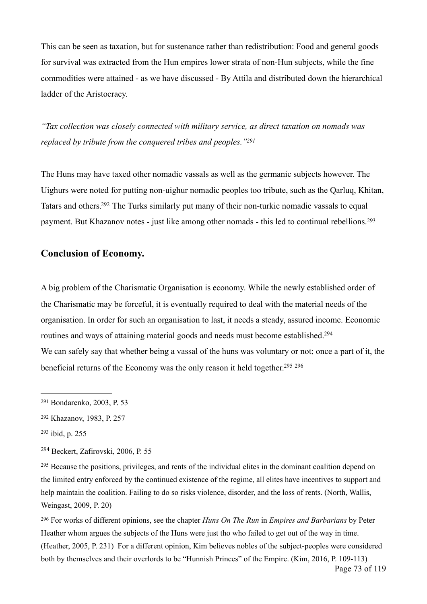This can be seen as taxation, but for sustenance rather than redistribution: Food and general goods for survival was extracted from the Hun empires lower strata of non-Hun subjects, while the fine commodities were attained - as we have discussed - By Attila and distributed down the hierarchical ladder of the Aristocracy.

<span id="page-72-6"></span>*"Tax collection was closely connected with military service, as direct taxation on nomads was replaced by tribute from the conquered tribes and peoples.["291](#page-72-0)*

<span id="page-72-7"></span>The Huns may have taxed other nomadic vassals as well as the germanic subjects however. The Uighurs were noted for putting non-uighur nomadic peoples too tribute, such as the Qarluq, Khitan, Tatarsand others.<sup>[292](#page-72-1)</sup> The Turks similarly put many of their non-turkic nomadic vassals to equal payment. But Khazanov notes - just like among other nomads - this led to continual rebellions.[293](#page-72-2)

### <span id="page-72-8"></span>**Conclusion of Economy.**

<span id="page-72-9"></span>A big problem of the Charismatic Organisation is economy. While the newly established order of the Charismatic may be forceful, it is eventually required to deal with the material needs of the organisation. In order for such an organisation to last, it needs a steady, assured income. Economic routines and ways of attaining material goods and needs must become established.<sup>294</sup> We can safely say that whether being a vassal of the huns was voluntary or not; once a part of it, the beneficial returns of the Economy was the only reason it held together[.](#page-72-4) [295](#page-72-4) <sup>296</sup>

<span id="page-72-4"></span><sup>[295](#page-72-10)</sup> Because the positions, privileges, and rents of the individual elites in the dominant coalition depend on the limited entry enforced by the continued existence of the regime, all elites have incentives to support and help maintain the coalition. Failing to do so risks violence, disorder, and the loss of rents. (North, Wallis, Weingast, 2009, P. 20)

<span id="page-72-5"></span> For works of different opinions, see the chapter *Huns On The Run* in *Empires and Barbarians* by Peter [296](#page-72-11) Heather whom argues the subjects of the Huns were just tho who failed to get out of the way in time. (Heather, 2005, P. 231) For a different opinion, Kim believes nobles of the subject-peoples were considered both by themselves and their overlords to be "Hunnish Princes" of the Empire. (Kim, 2016, P. 109-113)

<span id="page-72-11"></span><span id="page-72-10"></span><span id="page-72-0"></span><sup>&</sup>lt;sup>[291](#page-72-6)</sup> Bondarenko, 2003, P. 53

<span id="page-72-1"></span><sup>&</sup>lt;sup>[292](#page-72-7)</sup> Khazanov, 1983, P. 257

<span id="page-72-2"></span><sup>&</sup>lt;sup>[293](#page-72-8)</sup> ibid, p. 255

<span id="page-72-3"></span> $294$  Beckert, Zafirovski, 2006, P. 55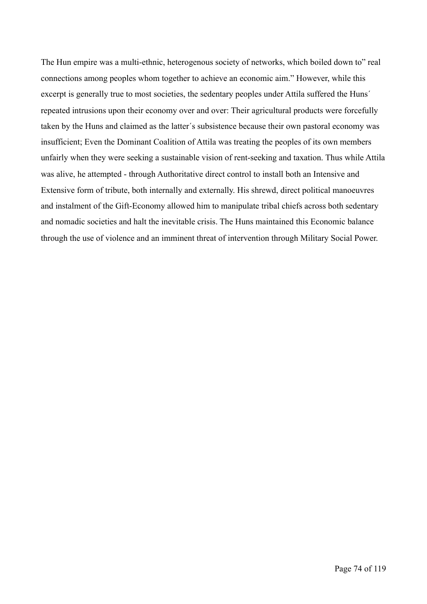The Hun empire was a multi-ethnic, heterogenous society of networks, which boiled down to" real connections among peoples whom together to achieve an economic aim." However, while this excerpt is generally true to most societies, the sedentary peoples under Attila suffered the Huns' repeated intrusions upon their economy over and over: Their agricultural products were forcefully taken by the Huns and claimed as the latter´s subsistence because their own pastoral economy was insufficient; Even the Dominant Coalition of Attila was treating the peoples of its own members unfairly when they were seeking a sustainable vision of rent-seeking and taxation. Thus while Attila was alive, he attempted - through Authoritative direct control to install both an Intensive and Extensive form of tribute, both internally and externally. His shrewd, direct political manoeuvres and instalment of the Gift-Economy allowed him to manipulate tribal chiefs across both sedentary and nomadic societies and halt the inevitable crisis. The Huns maintained this Economic balance through the use of violence and an imminent threat of intervention through Military Social Power.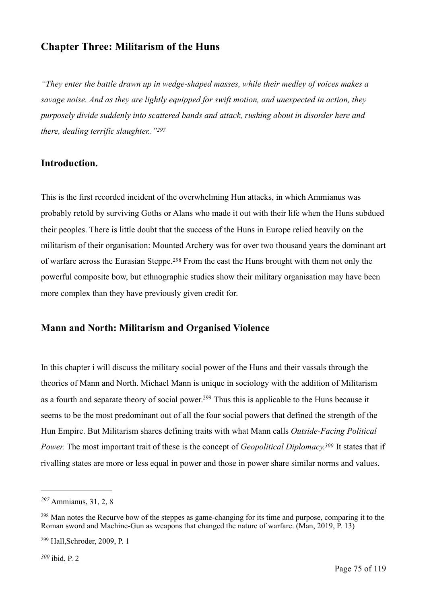# **Chapter Three: Militarism of the Huns**

*"They enter the battle drawn up in wedge-shaped masses, while their medley of voices makes a savage noise. And as they are lightly equipped for swift motion, and unexpected in action, they purposely divide suddenly into scattered bands and attack, rushing about in disorder here and there, dealing terrific slaughter..["297](#page-74-0)*

## <span id="page-74-4"></span>**Introduction.**

This is the first recorded incident of the overwhelming Hun attacks, in which Ammianus was probably retold by surviving Goths or Alans who made it out with their life when the Huns subdued their peoples. There is little doubt that the success of the Huns in Europe relied heavily on the militarism of their organisation: Mounted Archery was for over two thousand years the dominant art ofwarfare across the Eurasian Steppe.<sup>[298](#page-74-1)</sup> From the east the Huns brought with them not only the powerful composite bow, but ethnographic studies show their military organisation may have been more complex than they have previously given credit for.

## <span id="page-74-5"></span>**Mann and North: Militarism and Organised Violence**

<span id="page-74-6"></span>In this chapter i will discuss the military social power of the Huns and their vassals through the theories of Mann and North. Michael Mann is unique in sociology with the addition of Militarism as a fourth and separate theory of social power[.](#page-74-2)<sup>[299](#page-74-2)</sup> Thus this is applicable to the Huns because it seems to be the most predominant out of all the four social powers that defined the strength of the Hun Empire. But Militarism shares defining traits with what Mann calls *Outside-Facing Political Power.* The most important trait of these is the concept of *Geopolitical Diplomacy*.<sup>[300](#page-74-3)</sup> It states that if rivalling states are more or less equal in power and those in power share similar norms and values,

<span id="page-74-7"></span><span id="page-74-0"></span>Ammianus, 31, 2, 8 *[297](#page-74-4)*

<span id="page-74-1"></span><sup>&</sup>lt;sup>[298](#page-74-5)</sup> Man notes the Recurve bow of the steppes as game-changing for its time and purpose, comparing it to the Roman sword and Machine-Gun as weapons that changed the nature of warfare. (Man, 2019, P. 13)

<span id="page-74-3"></span><span id="page-74-2"></span><sup>&</sup>lt;sup>[299](#page-74-6)</sup> Hall, Schroder, 2009, P. 1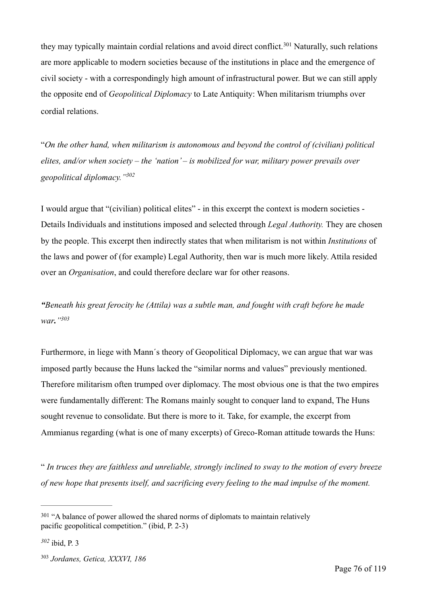<span id="page-75-3"></span>theymay typically maintain cordial relations and avoid direct conflict.<sup>[301](#page-75-0)</sup> Naturally, such relations are more applicable to modern societies because of the institutions in place and the emergence of civil society - with a correspondingly high amount of infrastructural power. But we can still apply the opposite end of *Geopolitical Diplomacy* to Late Antiquity: When militarism triumphs over cordial relations.

"*On the other hand, when militarism is autonomous and beyond the control of (civilian) political elites, and/or when society – the 'nation' – is mobilized for war, military power prevails over geopolitical diplomacy.["302](#page-75-1)*

<span id="page-75-4"></span>I would argue that "(civilian) political elites" - in this excerpt the context is modern societies - Details Individuals and institutions imposed and selected through *Legal Authority.* They are chosen by the people. This excerpt then indirectly states that when militarism is not within *Institutions* of the laws and power of (for example) Legal Authority, then war is much more likely. Attila resided over an *Organisation*, and could therefore declare war for other reasons.

<span id="page-75-5"></span>*"Beneath his great ferocity he (Attila) was a subtle man, and fought with craft before he made war.["303](#page-75-2)*

Furthermore, in liege with Mann´s theory of Geopolitical Diplomacy, we can argue that war was imposed partly because the Huns lacked the "similar norms and values" previously mentioned. Therefore militarism often trumped over diplomacy. The most obvious one is that the two empires were fundamentally different: The Romans mainly sought to conquer land to expand, The Huns sought revenue to consolidate. But there is more to it. Take, for example, the excerpt from Ammianus regarding (what is one of many excerpts) of Greco-Roman attitude towards the Huns:

" *In truces they are faithless and unreliable, strongly inclined to sway to the motion of every breeze of new hope that presents itself, and sacrificing every feeling to the mad impulse of the moment.* 

<span id="page-75-0"></span><sup>&</sup>lt;sup>[301](#page-75-3)</sup> "A balance of power allowed the shared norms of diplomats to maintain relatively pacific geopolitical competition." (ibid, P. 2-3)

<span id="page-75-1"></span>ibid, P. 3 *[302](#page-75-4)*

<span id="page-75-2"></span><sup>&</sup>lt;sup>[303](#page-75-5)</sup> Jordanes, Getica, XXXVI, 186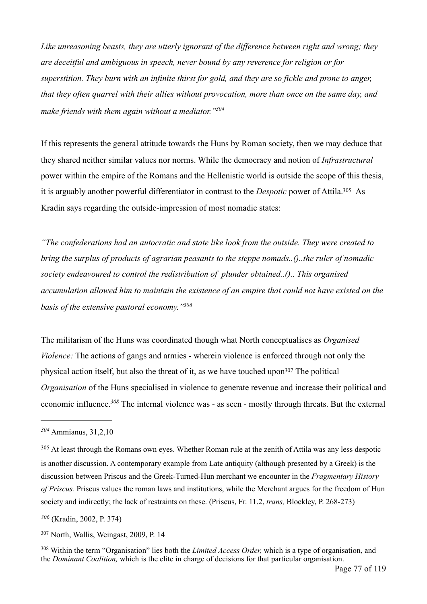*Like unreasoning beasts, they are utterly ignorant of the difference between right and wrong; they are deceitful and ambiguous in speech, never bound by any reverence for religion or for superstition. They burn with an infinite thirst for gold, and they are so fickle and prone to anger, that they often quarrel with their allies without provocation, more than once on the same day, and make friends with them again without a mediator.["304](#page-76-0)*

<span id="page-76-5"></span>If this represents the general attitude towards the Huns by Roman society, then we may deduce that they shared neither similar values nor norms. While the democracy and notion of *Infrastructural* power within the empire of the Romans and the Hellenistic world is outside the scope of this thesis, it is arguably another powerful differentiator in contrast to the *Despotic* power of Attila[.](#page-76-1)<sup>[305](#page-76-1)</sup> As Kradin says regarding the outside-impression of most nomadic states:

<span id="page-76-6"></span>*"The confederations had an autocratic and state like look from the outside. They were created to bring the surplus of products of agrarian peasants to the steppe nomads..()..the ruler of nomadic society endeavoured to control the redistribution of plunder obtained..().. This organised accumulation allowed him to maintain the existence of an empire that could not have existed on the basis of the extensive pastoral economy.["306](#page-76-2)*

<span id="page-76-8"></span><span id="page-76-7"></span>The militarism of the Huns was coordinated though what North conceptualises as *Organised Violence:* The actions of gangs and armies - wherein violence is enforced through not only the physical actio[n](#page-76-3) itself, but also the threat of it, as we have touched upon  $307$  The political *Organisation* of the Huns specialised in violence to generate revenue and increase their political and economic influence[.](#page-76-4)<sup>308</sup> The internal violence was - as seen - mostly through threats. But the external

<span id="page-76-9"></span><span id="page-76-0"></span>Ammianus, 31,2,10 *[304](#page-76-5)*

<span id="page-76-1"></span><sup>&</sup>lt;sup>[305](#page-76-6)</sup> At least through the Romans own eyes. Whether Roman rule at the zenith of Attila was any less despotic is another discussion. A contemporary example from Late antiquity (although presented by a Greek) is the discussion between Priscus and the Greek-Turned-Hun merchant we encounter in the *Fragmentary History of Priscus.* Priscus values the roman laws and institutions, while the Merchant argues for the freedom of Hun society and indirectly; the lack of restraints on these. (Priscus, Fr. 11.2, *trans,* Blockley, P. 268-273)

<span id="page-76-2"></span> <sup>(</sup>Kradin, 2002, P. 374) *[306](#page-76-7)*

<span id="page-76-3"></span><sup>&</sup>lt;sup>[307](#page-76-8)</sup> North, Wallis, Weingast, 2009, P. 14

<span id="page-76-4"></span><sup>&</sup>lt;sup>[308](#page-76-9)</sup> Within the term "Organisation" lies both the *Limited Access Order*, which is a type of organisation, and the *Dominant Coalition,* which is the elite in charge of decisions for that particular organisation.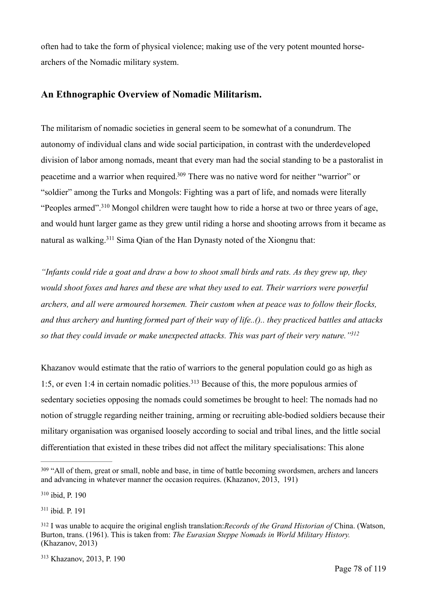often had to take the form of physical violence; making use of the very potent mounted horsearchers of the Nomadic military system.

#### **An Ethnographic Overview of Nomadic Militarism.**

<span id="page-77-5"></span>The militarism of nomadic societies in general seem to be somewhat of a conundrum. The autonomy of individual clans and wide social participation, in contrast with the underdeveloped division of labor among nomads, meant that every man had the social standing to be a pastoralist in peacetime and a warrior when required[.](#page-77-0)<sup>[309](#page-77-0)</sup> There was no native word for neither "warrior" or "soldier" among the Turks and Mongols: Fighting was a part of life, and nomads were literally "Peoplesarmed".<sup>[310](#page-77-1)</sup> Mongol children were taught how to ride a horse at two or three years of age, and would hunt larger game as they grew until riding a horse and shooting arrows from it became as natural as walking.  $311$  Sima Oian of the Han Dynasty noted of the Xiongnu that:

<span id="page-77-7"></span><span id="page-77-6"></span>*"Infants could ride a goat and draw a bow to shoot small birds and rats. As they grew up, they would shoot foxes and hares and these are what they used to eat. Their warriors were powerful archers, and all were armoured horsemen. Their custom when at peace was to follow their flocks, and thus archery and hunting formed part of their way of life..().. they practiced battles and attacks so that they could invade or make unexpected attacks. This was part of their very nature.["312](#page-77-3)*

<span id="page-77-9"></span><span id="page-77-8"></span>Khazanov would estimate that the ratio of warriors to the general population could go as high as 1:5,or even 1:4 in certain nomadic polities.<sup>[313](#page-77-4)</sup> Because of this, the more populous armies of sedentary societies opposing the nomads could sometimes be brought to heel: The nomads had no notion of struggle regarding neither training, arming or recruiting able-bodied soldiers because their military organisation was organised loosely according to social and tribal lines, and the little social differentiation that existed in these tribes did not affect the military specialisations: This alone

<span id="page-77-1"></span><sup>[310](#page-77-6)</sup> ibid, P. 190

<span id="page-77-2"></span> $311$  ibid. P. 191

<span id="page-77-0"></span><sup>&</sup>lt;sup>[309](#page-77-5)</sup> "All of them, great or small, noble and base, in time of battle becoming swordsmen, archers and lancers and advancing in whatever manner the occasion requires. (Khazanov, 2013, 191)

<span id="page-77-3"></span>I was unable to acquire the original english translation:*Records of the Grand Historian of* China. (Watson, [312](#page-77-8) Burton, trans. (1961). This is taken from: *The Eurasian Steppe Nomads in World Military History.*  (Khazanov, 2013)

<span id="page-77-4"></span>[<sup>313</sup>](#page-77-9) Khazanov, 2013, P. 190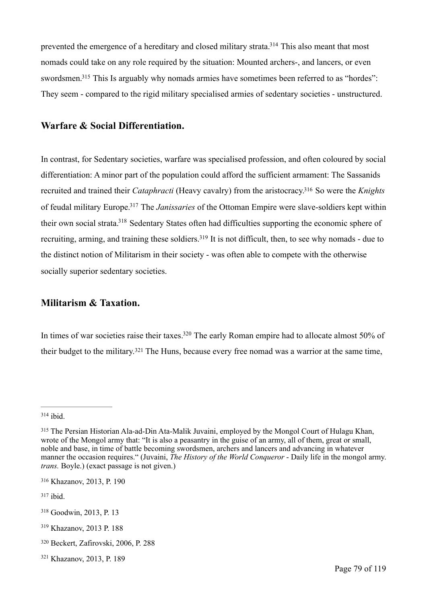<span id="page-78-9"></span><span id="page-78-8"></span>prevented the emergence of a hereditary and closed military strata[.](#page-78-0)<sup>[314](#page-78-0)</sup> This also meant that most nomads could take on any role required by the situation: Mounted archers-, and lancers, or even swordsmen[.](#page-78-1)<sup>[315](#page-78-1)</sup> This Is arguably why nomads armies have sometimes been referred to as "hordes": They seem - compared to the rigid military specialised armies of sedentary societies - unstructured.

#### **Warfare & Social Differentiation.**

<span id="page-78-12"></span><span id="page-78-11"></span><span id="page-78-10"></span>In contrast, for Sedentary societies, warfare was specialised profession, and often coloured by social differentiation: A minor part of the population could afford the sufficient armament: The Sassanids recruited and trained their *Cataphracti* (Heavy cavalry) from the aristocracy[.](#page-78-2)<sup>316</sup> So were the *Knights* of feudal military Europe.<sup>[317](#page-78-3)</sup> The *Janissaries* of the Ottoman Empire were slave-soldiers kept within their own social strata[.](#page-78-4)<sup>[318](#page-78-4)</sup> Sedentary States often had difficulties supporting the economic sphere of recruiting, arming, and training these soldiers[.](#page-78-5)<sup>[319](#page-78-5)</sup> It is not difficult, then, to see why nomads - due to the distinct notion of Militarism in their society - was often able to compete with the otherwise socially superior sedentary societies.

#### <span id="page-78-13"></span>**Militarism & Taxation.**

<span id="page-78-15"></span><span id="page-78-14"></span>In times of war societies raise their taxes[.](#page-78-6)<sup>[320](#page-78-6)</sup> The early Roman empire had to allocate almost 50% of theirbudget to the military.<sup>[321](#page-78-7)</sup> The Huns, because every free nomad was a warrior at the same time,

<span id="page-78-2"></span>[316](#page-78-10) Khazanov, 2013, P. 190

<span id="page-78-3"></span> $317$  ibid.

<span id="page-78-0"></span>[<sup>314</sup>](#page-78-8) ibid.

<span id="page-78-1"></span><sup>&</sup>lt;sup>[315](#page-78-9)</sup> The Persian Historian Ala-ad-Din Ata-Malik Juvaini, employed by the Mongol Court of Hulagu Khan, wrote of the Mongol army that: "It is also a peasantry in the guise of an army, all of them, great or small, noble and base, in time of battle becoming swordsmen, archers and lancers and advancing in whatever manner the occasion requires." (Juvaini, *The History of the World Conqueror* - Daily life in the mongol army. *trans.* Boyle.) (exact passage is not given.)

<span id="page-78-4"></span>[<sup>318</sup>](#page-78-12) Goodwin, 2013, P. 13

<span id="page-78-5"></span><sup>&</sup>lt;sup>[319](#page-78-13)</sup> Khazanov, 2013 P. 188

<span id="page-78-6"></span><sup>&</sup>lt;sup>[320](#page-78-14)</sup> Beckert, Zafirovski, 2006, P. 288

<span id="page-78-7"></span>[<sup>321</sup>](#page-78-15) Khazanov, 2013, P. 189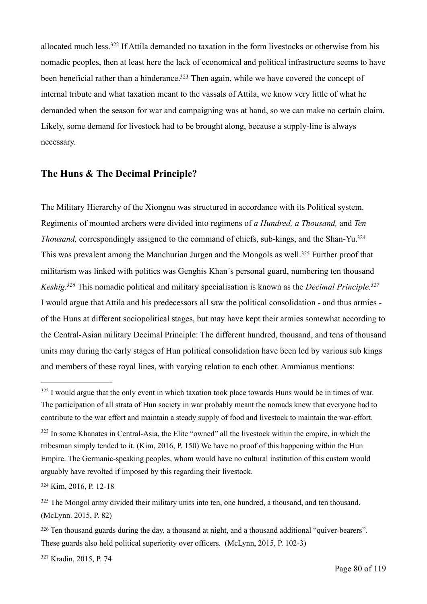<span id="page-79-7"></span><span id="page-79-6"></span>allocatedmuch less.<sup>[322](#page-79-0)</sup> If Attila demanded no taxation in the form livestocks or otherwise from his nomadic peoples, then at least here the lack of economical and political infrastructure seems to have been beneficial rather than a hinderance[.](#page-79-1)<sup>[323](#page-79-1)</sup> Then again, while we have covered the concept of internal tribute and what taxation meant to the vassals of Attila, we know very little of what he demanded when the season for war and campaigning was at hand, so we can make no certain claim. Likely, some demand for livestock had to be brought along, because a supply-line is always necessary.

### **The Huns & The Decimal Principle?**

<span id="page-79-11"></span><span id="page-79-10"></span><span id="page-79-9"></span><span id="page-79-8"></span>The Military Hierarchy of the Xiongnu was structured in accordance with its Political system. Regiments of mounted archers were divided into regimens of *a Hundred, a Thousand,* and *Ten Thousand,* correspondingly assigned to the command of chiefs, sub-kings, and the Shan-Yu[.324](#page-79-2) This was prevalent among the Manchurian Jurgen and the Mongols as well[.](#page-79-3)<sup>[325](#page-79-3)</sup> Further proof that militarism was linked with politics was Genghis Khan´s personal guard, numbering ten thousand *Keshig.* This nomadic political and military specialisation is known as the *Decimal Principle. [326](#page-79-4) [327](#page-79-5)* I would argue that Attila and his predecessors all saw the political consolidation - and thus armies of the Huns at different sociopolitical stages, but may have kept their armies somewhat according to the Central-Asian military Decimal Principle: The different hundred, thousand, and tens of thousand units may during the early stages of Hun political consolidation have been led by various sub kings and members of these royal lines, with varying relation to each other. Ammianus mentions:

<span id="page-79-2"></span>[324](#page-79-8) Kim, 2016, P. 12-18

<span id="page-79-5"></span>[327](#page-79-11) Kradin, 2015, P. 74

<span id="page-79-0"></span> $322$  I would argue that the only event in which taxation took place towards Huns would be in times of war. The participation of all strata of Hun society in war probably meant the nomads knew that everyone had to contribute to the war effort and maintain a steady supply of food and livestock to maintain the war-effort.

<span id="page-79-1"></span> $323$  In some Khanates in Central-Asia, the Elite "owned" all the livestock within the empire, in which the tribesman simply tended to it. (Kim, 2016, P. 150) We have no proof of this happening within the Hun Empire. The Germanic-speaking peoples, whom would have no cultural institution of this custom would arguably have revolted if imposed by this regarding their livestock.

<span id="page-79-3"></span><sup>&</sup>lt;sup>[325](#page-79-9)</sup> The Mongol army divided their military units into ten, one hundred, a thousand, and ten thousand. (McLynn. 2015, P. 82)

<span id="page-79-4"></span><sup>&</sup>lt;sup>[326](#page-79-10)</sup> Ten thousand guards during the day, a thousand at night, and a thousand additional "quiver-bearers". These guards also held political superiority over officers. (McLynn, 2015, P. 102-3)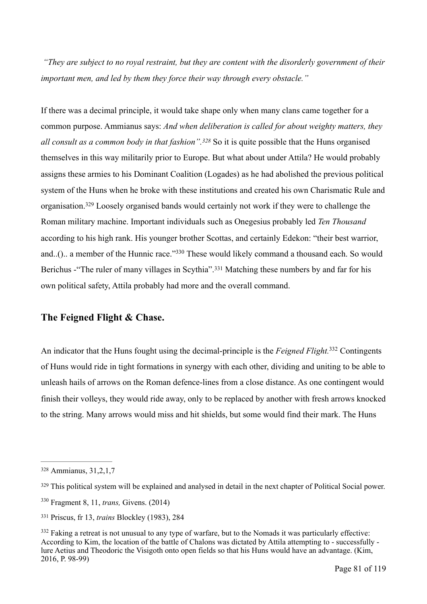*"They are subject to no royal restraint, but they are content with the disorderly government of their important men, and led by them they force their way through every obstacle."*

<span id="page-80-6"></span><span id="page-80-5"></span>If there was a decimal principle, it would take shape only when many clans came together for a common purpose. Ammianus says: *And when deliberation is called for about weighty matters, they all consult as a common body in that fashion*".<sup>[328](#page-80-0)</sup> So it is quite possible that the Huns organised themselves in this way militarily prior to Europe. But what about under Attila? He would probably assigns these armies to his Dominant Coalition (Logades) as he had abolished the previous political system of the Huns when he broke with these institutions and created his own Charismatic Rule and organisation[.](#page-80-1)<sup>[329](#page-80-1)</sup> Loosely organised bands would certainly not work if they were to challenge the Roman military machine. Important individuals such as Onegesius probably led *Ten Thousand*  according to his high rank. His younger brother Scottas, and certainly Edekon: "their best warrior, and..().. a member of the Hunnic race.["](#page-80-2) $330$  These would likely command a thousand each. So would Berichus- "The ruler of many villages in Scythia".<sup>[331](#page-80-3)</sup> Matching these numbers by and far for his own political safety, Attila probably had more and the overall command.

#### <span id="page-80-8"></span><span id="page-80-7"></span>**The Feigned Flight & Chase.**

<span id="page-80-9"></span>An indicator that the Huns fought using the decimal-principle is the *Feigned Flight*.<sup>[332](#page-80-4)</sup> Contingents of Huns would ride in tight formations in synergy with each other, dividing and uniting to be able to unleash hails of arrows on the Roman defence-lines from a close distance. As one contingent would finish their volleys, they would ride away, only to be replaced by another with fresh arrows knocked to the string. Many arrows would miss and hit shields, but some would find their mark. The Huns

<span id="page-80-0"></span>[<sup>328</sup>](#page-80-5) Ammianus, 31, 2, 1, 7

<span id="page-80-1"></span><sup>&</sup>lt;sup>[329](#page-80-6)</sup> This political system will be explained and analysed in detail in the next chapter of Political Social power.

<span id="page-80-2"></span><sup>&</sup>lt;sup>[330](#page-80-7)</sup> Fragment 8, 11, *trans*, Givens. (2014)

<span id="page-80-3"></span><sup>&</sup>lt;sup>[331](#page-80-8)</sup> Priscus, fr 13, *trains Blockley (1983)*, 284

<span id="page-80-4"></span><sup>&</sup>lt;sup>[332](#page-80-9)</sup> Faking a retreat is not unusual to any type of warfare, but to the Nomads it was particularly effective: According to Kim, the location of the battle of Chalons was dictated by Attila attempting to - successfully lure Aetius and Theodoric the Visigoth onto open fields so that his Huns would have an advantage. (Kim, 2016, P. 98-99)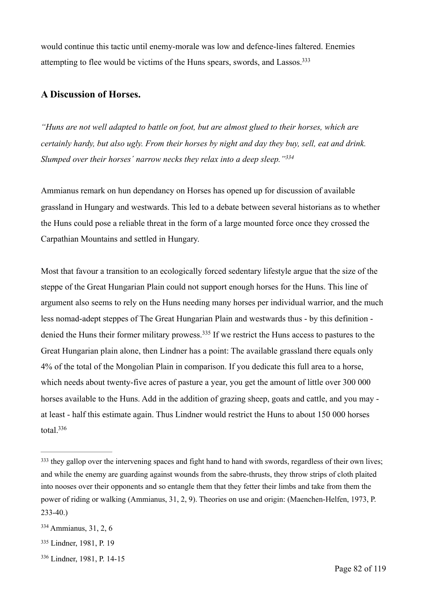<span id="page-81-4"></span>would continue this tactic until enemy-morale was low and defence-lines faltered. Enemies attempting to flee would be victims of the Huns spears, swords, and Lassos[.333](#page-81-0)

## **A Discussion of Horses.**

*"Huns are not well adapted to battle on foot, but are almost glued to their horses, which are certainly hardy, but also ugly. From their horses by night and day they buy, sell, eat and drink. Slumped over their horses´ narrow necks they relax into a deep sleep.["334](#page-81-1)*

<span id="page-81-5"></span>Ammianus remark on hun dependancy on Horses has opened up for discussion of available grassland in Hungary and westwards. This led to a debate between several historians as to whether the Huns could pose a reliable threat in the form of a large mounted force once they crossed the Carpathian Mountains and settled in Hungary.

<span id="page-81-6"></span>Most that favour a transition to an ecologically forced sedentary lifestyle argue that the size of the steppe of the Great Hungarian Plain could not support enough horses for the Huns. This line of argument also seems to rely on the Huns needing many horses per individual warrior, and the much less nomad-adept steppes of The Great Hungarian Plain and westwards thus - by this definition - deniedthe Huns their former military prowess.<sup>[335](#page-81-2)</sup> If we restrict the Huns access to pastures to the Great Hungarian plain alone, then Lindner has a point: The available grassland there equals only 4% of the total of the Mongolian Plain in comparison. If you dedicate this full area to a horse, which needs about twenty-five acres of pasture a year, you get the amount of little over 300 000 horses available to the Huns. Add in the addition of grazing sheep, goats and cattle, and you may at least - half this estimate again. Thus Lindner would restrict the Huns to about 150 000 horses total[.](#page-81-3) $336$ 

<span id="page-81-3"></span>[336](#page-81-7) Lindner, 1981, P. 14-15

<span id="page-81-7"></span><span id="page-81-0"></span><sup>&</sup>lt;sup>[333](#page-81-4)</sup> they gallop over the intervening spaces and fight hand to hand with swords, regardless of their own lives; and while the enemy are guarding against wounds from the sabre-thrusts, they throw strips of cloth plaited into nooses over their opponents and so entangle them that they fetter their limbs and take from them the power of riding or walking (Ammianus, 31, 2, 9). Theories on use and origin: (Maenchen-Helfen, 1973, P. 233-40.)

<span id="page-81-1"></span> $334$  Ammianus, 31, 2, 6

<span id="page-81-2"></span>[<sup>335</sup>](#page-81-6) Lindner, 1981, P. 19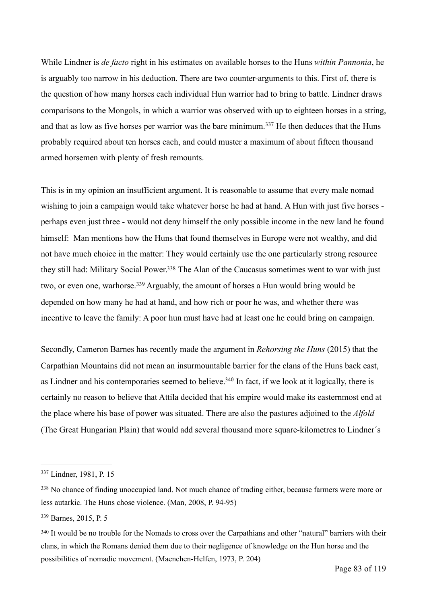While Lindner is *de facto* right in his estimates on available horses to the Huns *within Pannonia*, he is arguably too narrow in his deduction. There are two counter-arguments to this. First of, there is the question of how many horses each individual Hun warrior had to bring to battle. Lindner draws comparisons to the Mongols, in which a warrior was observed with up to eighteen horses in a string, andthat as low as five horses per warrior was the bare minimum.<sup>[337](#page-82-0)</sup> He then deduces that the Huns probably required about ten horses each, and could muster a maximum of about fifteen thousand armed horsemen with plenty of fresh remounts.

<span id="page-82-4"></span>This is in my opinion an insufficient argument. It is reasonable to assume that every male nomad wishing to join a campaign would take whatever horse he had at hand. A Hun with just five horses perhaps even just three - would not deny himself the only possible income in the new land he found himself: Man mentions how the Huns that found themselves in Europe were not wealthy, and did not have much choice in the matter: They would certainly use the one particularly strong resource they still had: Military Social Power[.](#page-82-1)<sup>[338](#page-82-1)</sup> The Alan of the Caucasus sometimes went to war with just two,or even one, warhorse.<sup>[339](#page-82-2)</sup> Arguably, the amount of horses a Hun would bring would be depended on how many he had at hand, and how rich or poor he was, and whether there was incentive to leave the family: A poor hun must have had at least one he could bring on campaign.

<span id="page-82-7"></span><span id="page-82-6"></span><span id="page-82-5"></span>Secondly, Cameron Barnes has recently made the argument in *Rehorsing the Huns* (2015) that the Carpathian Mountains did not mean an insurmountable barrier for the clans of the Huns back east, as Lindner and his contemporaries seemed to believe[.](#page-82-3)<sup> $340$ </sup> In fact, if we look at it logically, there is certainly no reason to believe that Attila decided that his empire would make its easternmost end at the place where his base of power was situated. There are also the pastures adjoined to the *Alfold*  (The Great Hungarian Plain) that would add several thousand more square-kilometres to Lindner´s

<span id="page-82-0"></span>[<sup>337</sup>](#page-82-4) Lindner, 1981, P. 15

<span id="page-82-1"></span>[<sup>338</sup>](#page-82-5) No chance of finding unoccupied land. Not much chance of trading either, because farmers were more or less autarkic. The Huns chose violence. (Man, 2008, P. 94-95)

<span id="page-82-2"></span>[<sup>339</sup>](#page-82-6) Barnes, 2015, P. 5

<span id="page-82-3"></span><sup>&</sup>lt;sup>[340](#page-82-7)</sup> It would be no trouble for the Nomads to cross over the Carpathians and other "natural" barriers with their clans, in which the Romans denied them due to their negligence of knowledge on the Hun horse and the possibilities of nomadic movement. (Maenchen-Helfen, 1973, P. 204)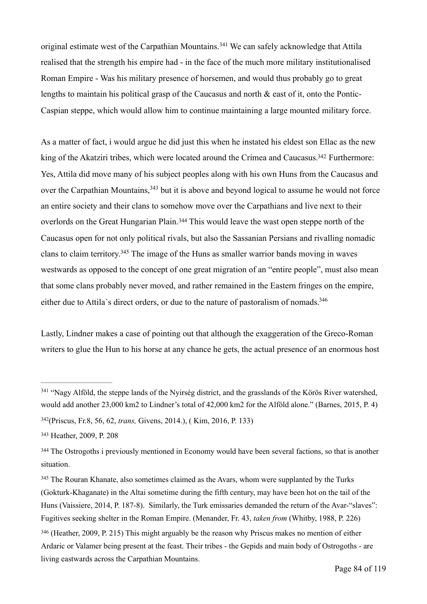<span id="page-83-6"></span>originalestimate west of the Carpathian Mountains.<sup>[341](#page-83-0)</sup> We can safely acknowledge that Attila realised that the strength his empire had - in the face of the much more military institutionalised Roman Empire - Was his military presence of horsemen, and would thus probably go to great lengths to maintain his political grasp of the Caucasus and north & east of it, onto the Pontic-Caspian steppe, which would allow him to continue maintaining a large mounted military force.

<span id="page-83-9"></span><span id="page-83-8"></span><span id="page-83-7"></span>As a matter of fact, i would argue he did just this when he instated his eldest son Ellac as the new king of the Akatziri tribes, which were located around the Crimea and Caucasus[.](#page-83-1)<sup>[342](#page-83-1)</sup> Furthermore: Yes, Attila did move many of his subject peoples along with his own Huns from the Caucasus and overthe Carpathian Mountains,  $343$  but it is above and beyond logical to assume he would not force an entire society and their clans to somehow move over the Carpathians and live next to their overlordson the Great Hungarian Plain.<sup>[344](#page-83-3)</sup> This would leave the wast open steppe north of the Caucasus open for not only political rivals, but also the Sassanian Persians and rivalling nomadic clans to claim territory[.](#page-83-4)<sup>[345](#page-83-4)</sup> The image of the Huns as smaller warrior bands moving in waves westwards as opposed to the concept of one great migration of an "entire people", must also mean that some clans probably never moved, and rather remained in the Eastern fringes on the empire, either due to Attila`s direct orders, or due to the nature of pastoralism of nomads[.](#page-83-5) [346](#page-83-5)

<span id="page-83-11"></span><span id="page-83-10"></span>Lastly, Lindner makes a case of pointing out that although the exaggeration of the Greco-Roman writers to glue the Hun to his horse at any chance he gets, the actual presence of an enormous host

<span id="page-83-0"></span><sup>&</sup>lt;sup>[341](#page-83-6)</sup> "Nagy Alföld, the steppe lands of the Nyirség district, and the grasslands of the Körös River watershed, would add another 23,000 km2 to Lindner's total of 42,000 km2 for the Alföld alone." (Barnes, 2015, P. 4)

<span id="page-83-1"></span>[<sup>342</sup>](#page-83-7)(Priscus, Fr.8, 56, 62, *trans*, Givens, 2014.), (Kim, 2016, P. 133)

<span id="page-83-2"></span>[<sup>343</sup>](#page-83-8) Heather, 2009, P. 208

<span id="page-83-3"></span><sup>&</sup>lt;sup>[344](#page-83-9)</sup> The Ostrogoths i previously mentioned in Economy would have been several factions, so that is another situation.

<span id="page-83-4"></span><sup>&</sup>lt;sup>[345](#page-83-10)</sup> The Rouran Khanate, also sometimes claimed as the Avars, whom were supplanted by the Turks (Gokturk-Khaganate) in the Altai sometime during the fifth century, may have been hot on the tail of the Huns (Vaissiere, 2014, P. 187-8). Similarly, the Turk emissaries demanded the return of the Avar-"slaves": Fugitives seeking shelter in the Roman Empire. (Menander, Fr. 43, *taken from* (Whitby, 1988, P. 226)

<span id="page-83-5"></span><sup>&</sup>lt;sup>[346](#page-83-11)</sup> (Heather, 2009, P. 215) This might arguably be the reason why Priscus makes no mention of either Ardaric or Valamer being present at the feast. Their tribes - the Gepids and main body of Ostrogoths - are living eastwards across the Carpathian Mountains.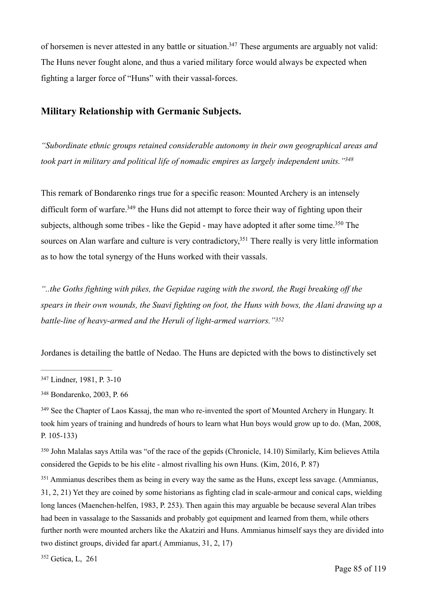<span id="page-84-6"></span>of horsemen is never attested in any battle or situation[.](#page-84-0)<sup>[347](#page-84-0)</sup> These arguments are arguably not valid: The Huns never fought alone, and thus a varied military force would always be expected when fighting a larger force of "Huns" with their vassal-forces.

## **Military Relationship with Germanic Subjects.**

<span id="page-84-7"></span>*"Subordinate ethnic groups retained considerable autonomy in their own geographical areas and took part in military and political life of nomadic empires as largely independent units.["348](#page-84-1)*

<span id="page-84-9"></span><span id="page-84-8"></span>This remark of Bondarenko rings true for a specific reason: Mounted Archery is an intensely difficult form of warfare[.](#page-84-2)<sup> $349$ </sup> the Huns did not attempt to force their way of fighting upon their subjects, although some tribes - like the Gepid - may have adopted it after some time[.](#page-84-3)<sup>[350](#page-84-3)</sup> The sources on Alan warfare and culture is very contradictory.<sup>[351](#page-84-4)</sup> There really is very little information as to how the total synergy of the Huns worked with their vassals.

<span id="page-84-10"></span>*"..the Goths fighting with pikes, the Gepidae raging with the sword, the Rugi breaking off the spears in their own wounds, the Suavi fighting on foot, the Huns with bows, the Alani drawing up a battle-line of heavy-armed and the Heruli of light-armed warriors."[352](#page-84-5)*

<span id="page-84-11"></span>Jordanes is detailing the battle of Nedao. The Huns are depicted with the bows to distinctively set

<span id="page-84-3"></span><sup>[350](#page-84-9)</sup> John Malalas says Attila was "of the race of the gepids (Chronicle, 14.10) Similarly, Kim believes Attila considered the Gepids to be his elite - almost rivalling his own Huns. (Kim, 2016, P. 87)

<span id="page-84-4"></span>Ammianus describes them as being in every way the same as the Huns, except less savage. (Ammianus, [351](#page-84-10) 31, 2, 21) Yet they are coined by some historians as fighting clad in scale-armour and conical caps, wielding long lances (Maenchen-helfen, 1983, P. 253). Then again this may arguable be because several Alan tribes had been in vassalage to the Sassanids and probably got equipment and learned from them, while others further north were mounted archers like the Akatziri and Huns. Ammianus himself says they are divided into two distinct groups, divided far apart.( Ammianus, 31, 2, 17)

<span id="page-84-5"></span><sup>[352](#page-84-11)</sup> Getica, L, 261

<span id="page-84-0"></span>[<sup>347</sup>](#page-84-6) Lindner, 1981, P. 3-10

<span id="page-84-1"></span>[<sup>348</sup>](#page-84-7) Bondarenko, 2003, P. 66

<span id="page-84-2"></span><sup>&</sup>lt;sup>[349](#page-84-8)</sup> See the Chapter of Laos Kassaj, the man who re-invented the sport of Mounted Archery in Hungary. It took him years of training and hundreds of hours to learn what Hun boys would grow up to do. (Man, 2008, P. 105-133)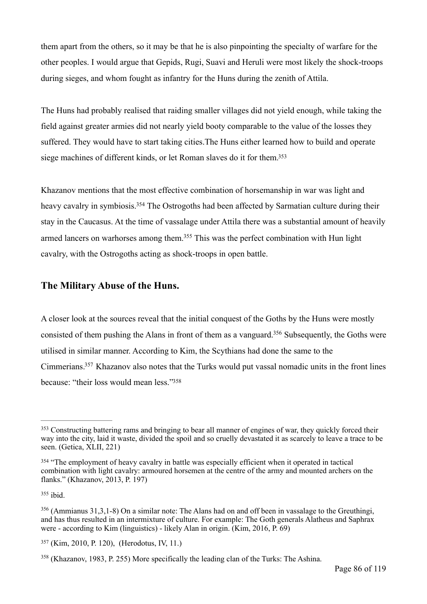them apart from the others, so it may be that he is also pinpointing the specialty of warfare for the other peoples. I would argue that Gepids, Rugi, Suavi and Heruli were most likely the shock-troops during sieges, and whom fought as infantry for the Huns during the zenith of Attila.

The Huns had probably realised that raiding smaller villages did not yield enough, while taking the field against greater armies did not nearly yield booty comparable to the value of the losses they suffered. They would have to start taking cities.The Huns either learned how to build and operate siege machines of different kinds, or let Roman slaves do it for them[.353](#page-85-0)

<span id="page-85-7"></span><span id="page-85-6"></span>Khazanov mentions that the most effective combination of horsemanship in war was light and heavy cavalry in symbiosis[.](#page-85-1)<sup>[354](#page-85-1)</sup> The Ostrogoths had been affected by Sarmatian culture during their stay in the Caucasus. At the time of vassalage under Attila there was a substantial amount of heavily armed lancers on warhorses among them[.](#page-85-2)<sup>[355](#page-85-2)</sup> This was the perfect combination with Hun light cavalry, with the Ostrogoths acting as shock-troops in open battle.

#### <span id="page-85-8"></span>**The Military Abuse of the Huns.**

<span id="page-85-10"></span><span id="page-85-9"></span>A closer look at the sources reveal that the initial conquest of the Goths by the Huns were mostly consisted of them pushing the Alans in front of them as a vanguard[.](#page-85-3)<sup>[356](#page-85-3)</sup> Subsequently, the Goths were utilised in similar manner. According to Kim, the Scythians had done the same to the Cimmerians[.](#page-85-4)<sup>[357](#page-85-4)</sup> Khazanov also notes that the Turks would put vassal nomadic units in the front lines because: ["](#page-85-5)their loss would mean less."<sup>[358](#page-85-5)</sup>

<span id="page-85-11"></span><span id="page-85-0"></span><sup>&</sup>lt;sup>[353](#page-85-6)</sup> Constructing battering rams and bringing to bear all manner of engines of war, they quickly forced their way into the city, laid it waste, divided the spoil and so cruelly devastated it as scarcely to leave a trace to be seen. (Getica, XLII, 221)

<span id="page-85-1"></span><sup>&</sup>lt;sup>[354](#page-85-7)</sup> "The employment of heavy cavalry in battle was especially efficient when it operated in tactical combination with light cavalry: armoured horsemen at the centre of the army and mounted archers on the flanks." (Khazanov, 2013, P. 197)

<span id="page-85-2"></span> $355$  ibid.

<span id="page-85-3"></span> <sup>(</sup>Ammianus 31,3,1-8) On a similar note: The Alans had on and off been in vassalage to the Greuthingi, [356](#page-85-9) and has thus resulted in an intermixture of culture. For example: The Goth generals Alatheus and Saphrax were - according to Kim (linguistics) - likely Alan in origin. (Kim, 2016, P. 69)

<span id="page-85-4"></span>[<sup>357</sup>](#page-85-10) (Kim, 2010, P. 120), (Herodotus, IV, 11.)

<span id="page-85-5"></span><sup>(</sup>Khazanov, 1983, P. 255) More specifically the leading clan of the Turks: The Ashina. [358](#page-85-11)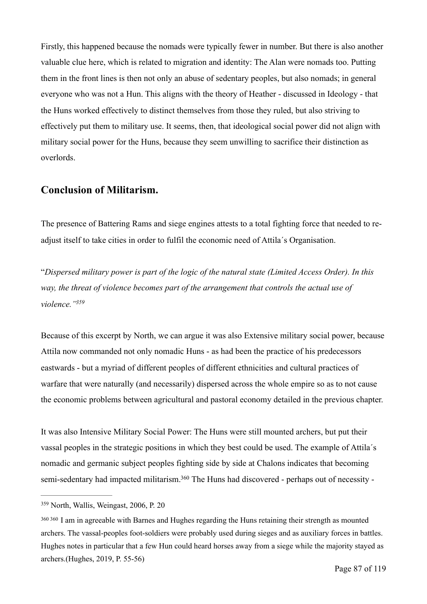Firstly, this happened because the nomads were typically fewer in number. But there is also another valuable clue here, which is related to migration and identity: The Alan were nomads too. Putting them in the front lines is then not only an abuse of sedentary peoples, but also nomads; in general everyone who was not a Hun. This aligns with the theory of Heather - discussed in Ideology - that the Huns worked effectively to distinct themselves from those they ruled, but also striving to effectively put them to military use. It seems, then, that ideological social power did not align with military social power for the Huns, because they seem unwilling to sacrifice their distinction as overlords.

## **Conclusion of Militarism.**

The presence of Battering Rams and siege engines attests to a total fighting force that needed to readjust itself to take cities in order to fulfil the economic need of Attila´s Organisation.

"*Dispersed military power is part of the logic of the natural state (Limited Access Order). In this way, the threat of violence becomes part of the arrangement that controls the actual use of violence.["359](#page-86-0)*

<span id="page-86-2"></span>Because of this excerpt by North, we can argue it was also Extensive military social power, because Attila now commanded not only nomadic Huns - as had been the practice of his predecessors eastwards - but a myriad of different peoples of different ethnicities and cultural practices of warfare that were naturally (and necessarily) dispersed across the whole empire so as to not cause the economic problems between agricultural and pastoral economy detailed in the previous chapter.

It was also Intensive Military Social Power: The Huns were still mounted archers, but put their vassal peoples in the strategic positions in which they best could be used. The example of Attila´s nomadic and germanic subject peoples fighting side by side at Chalons indicates that becoming semi-sedentary had impacted militarism[.](#page-86-1)<sup>[360](#page-86-1)</sup> The Huns had discovered - perhaps out of necessity -

<span id="page-86-3"></span><span id="page-86-0"></span><sup>&</sup>lt;sup>[359](#page-86-2)</sup> North, Wallis, Weingast, 2006, P. 20

<span id="page-86-1"></span>[<sup>360</sup>](#page-86-3) 360 I am in agreeable with Barnes and Hughes regarding the Huns retaining their strength as mounted archers. The vassal-peoples foot-soldiers were probably used during sieges and as auxiliary forces in battles. Hughes notes in particular that a few Hun could heard horses away from a siege while the majority stayed as archers.(Hughes, 2019, P. 55-56)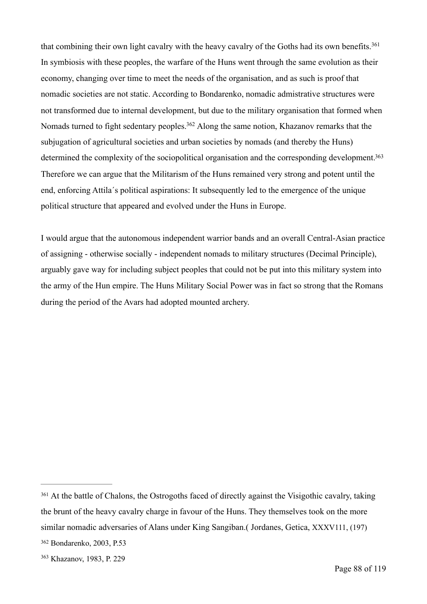<span id="page-87-4"></span><span id="page-87-3"></span>that combining their own light cavalry with the heavy cavalry of the Goths had its own benefits.<sup>[361](#page-87-0)</sup> In symbiosis with these peoples, the warfare of the Huns went through the same evolution as their economy, changing over time to meet the needs of the organisation, and as such is proof that nomadic societies are not static. According to Bondarenko, nomadic admistrative structures were not transformed due to internal development, but due to the military organisation that formed when Nomads turned to fight sedentary peoples[.](#page-87-1)<sup>[362](#page-87-1)</sup> Along the same notion, Khazanov remarks that the subjugation of agricultural societies and urban societies by nomads (and thereby the Huns) determined the complexity of the sociopolitical organisation and the corresponding development.<sup>363</sup> Therefore we can argue that the Militarism of the Huns remained very strong and potent until the end, enforcing Attila´s political aspirations: It subsequently led to the emergence of the unique political structure that appeared and evolved under the Huns in Europe.

<span id="page-87-5"></span>I would argue that the autonomous independent warrior bands and an overall Central-Asian practice of assigning - otherwise socially - independent nomads to military structures (Decimal Principle), arguably gave way for including subject peoples that could not be put into this military system into the army of the Hun empire. The Huns Military Social Power was in fact so strong that the Romans during the period of the Avars had adopted mounted archery.

<span id="page-87-0"></span><sup>&</sup>lt;sup>[361](#page-87-3)</sup> At the battle of Chalons, the Ostrogoths faced of directly against the Visigothic cavalry, taking the brunt of the heavy cavalry charge in favour of the Huns. They themselves took on the more similar nomadic adversaries of Alans under King Sangiban.( Jordanes, Getica, XXXV111, (197)

<span id="page-87-1"></span>[<sup>362</sup>](#page-87-4) Bondarenko, 2003, P.53

<span id="page-87-2"></span>[<sup>363</sup>](#page-87-5) Khazanov, 1983, P. 229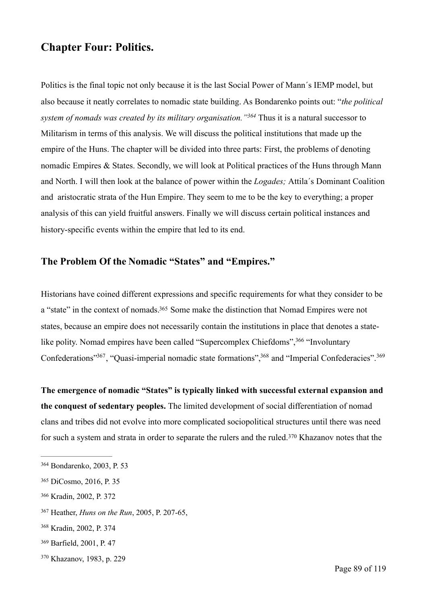# **Chapter Four: Politics.**

<span id="page-88-7"></span>Politics is the final topic not only because it is the last Social Power of Mann´s IEMP model, but also because it neatly correlates to nomadic state building. As Bondarenko points out: "*the political system of nomads was created by its military organisation.* "<sup>[364](#page-88-0)</sup> Thus it is a natural successor to Militarism in terms of this analysis. We will discuss the political institutions that made up the empire of the Huns. The chapter will be divided into three parts: First, the problems of denoting nomadic Empires & States. Secondly, we will look at Political practices of the Huns through Mann and North. I will then look at the balance of power within the *Logades;* Attila´s Dominant Coalition and aristocratic strata of the Hun Empire. They seem to me to be the key to everything; a proper analysis of this can yield fruitful answers. Finally we will discuss certain political instances and history-specific events within the empire that led to its end.

## **The Problem Of the Nomadic "States" and "Empires."**

<span id="page-88-8"></span>Historians have coined different expressions and specific requirements for what they consider to be a "state" in the context of nomads[.](#page-88-1)<sup>[365](#page-88-1)</sup> Some make the distinction that Nomad Empires were not states, because an empire does not necessarily contain the institutions in place that denotes a state-like polity. Nomad empires have been called "Supercomplex Chiefdoms"[,](#page-88-2) <sup>[366](#page-88-2)</sup> "Involuntary Confederations"<sup>367</sup>[,](#page-88-4) "Quasi-imperial nomadic state formations", <sup>368</sup> and "Imperial Confederacies".<sup>[369](#page-88-5)</sup>

<span id="page-88-12"></span><span id="page-88-11"></span><span id="page-88-10"></span><span id="page-88-9"></span>**The emergence of nomadic "States" is typically linked with successful external expansion and the conquest of sedentary peoples.** The limited development of social differentiation of nomad clans and tribes did not evolve into more complicated sociopolitical structures until there was need forsuch a system and strata in order to separate the rulers and the ruled.<sup>[370](#page-88-6)</sup> Khazanov notes that the

<span id="page-88-2"></span>[366](#page-88-9) Kradin, 2002, P. 372

- <span id="page-88-5"></span>[369](#page-88-12) Barfield, 2001, P. 47
- <span id="page-88-6"></span>[370](#page-88-13) Khazanov, 1983, p. 229

<span id="page-88-13"></span><span id="page-88-0"></span>[<sup>364</sup>](#page-88-7) Bondarenko, 2003, P. 53

<span id="page-88-1"></span>[<sup>365</sup>](#page-88-8) DiCosmo, 2016, P. 35

<span id="page-88-3"></span><sup>&</sup>lt;sup>[367](#page-88-10)</sup> Heather, *Huns on the Run*, 2005, P. 207-65,

<span id="page-88-4"></span>[<sup>368</sup>](#page-88-11) Kradin, 2002, P. 374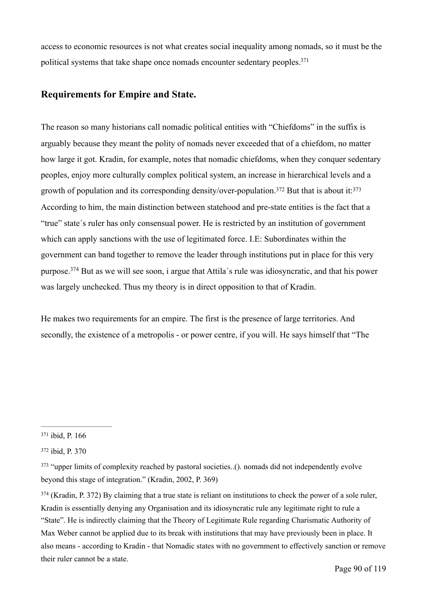access to economic resources is not what creates social inequality among nomads, so it must be the political systems that take shape once nomads encounter sedentary peoples.<sup>371</sup>

## <span id="page-89-4"></span>**Requirements for Empire and State.**

<span id="page-89-6"></span><span id="page-89-5"></span>The reason so many historians call nomadic political entities with "Chiefdoms" in the suffix is arguably because they meant the polity of nomads never exceeded that of a chiefdom, no matter how large it got. Kradin, for example, notes that nomadic chiefdoms, when they conquer sedentary peoples, enjoy more culturally complex political system, an increase in hierarchical levels and a growth of population and its corresponding density/over-population[.](#page-89-1)<sup>372</sup> But that is about it:  $373$ According to him, the main distinction between statehood and pre-state entities is the fact that a "true" state´s ruler has only consensual power. He is restricted by an institution of government which can apply sanctions with the use of legitimated force. I.E: Subordinates within the government can band together to remove the leader through institutions put in place for this very purpose.<sup>374</sup>But as we will see soon, i argue that Attila's rule was idiosyncratic, and that his power was largely unchecked. Thus my theory is in direct opposition to that of Kradin.

<span id="page-89-7"></span>He makes two requirements for an empire. The first is the presence of large territories. And secondly, the existence of a metropolis - or power centre, if you will. He says himself that "The

<span id="page-89-0"></span>[<sup>371</sup>](#page-89-4) ibid, P. 166

<span id="page-89-1"></span>[<sup>372</sup>](#page-89-5) ibid, P. 370

<span id="page-89-2"></span><sup>&</sup>lt;sup>[373](#page-89-6)</sup> "upper limits of complexity reached by pastoral societies..(). nomads did not independently evolve beyond this stage of integration." (Kradin, 2002, P. 369)

<span id="page-89-3"></span> $374$  (Kradin, P. 372) By claiming that a true state is reliant on institutions to check the power of a sole ruler, Kradin is essentially denying any Organisation and its idiosyncratic rule any legitimate right to rule a "State". He is indirectly claiming that the Theory of Legitimate Rule regarding Charismatic Authority of Max Weber cannot be applied due to its break with institutions that may have previously been in place. It also means - according to Kradin - that Nomadic states with no government to effectively sanction or remove their ruler cannot be a state.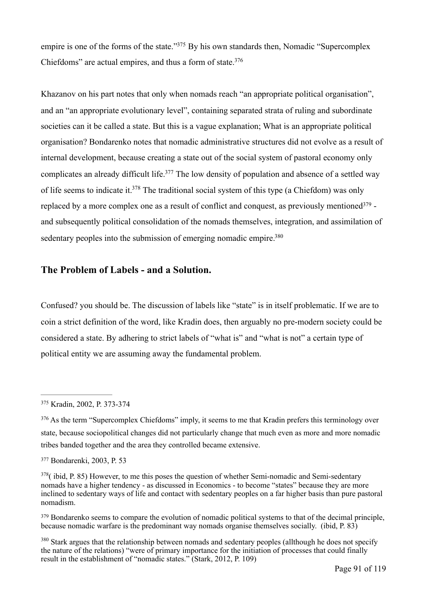<span id="page-90-7"></span><span id="page-90-6"></span>empire is one of the forms of the state.["](#page-90-0) $375$  By his own standards then, Nomadic "Supercomplex" Chiefdoms" are actual empires, and thus a form of state[.376](#page-90-1)

<span id="page-90-8"></span>Khazanov on his part notes that only when nomads reach "an appropriate political organisation", and an "an appropriate evolutionary level", containing separated strata of ruling and subordinate societies can it be called a state. But this is a vague explanation; What is an appropriate political organisation? Bondarenko notes that nomadic administrative structures did not evolve as a result of internal development, because creating a state out of the social system of pastoral economy only complicates an already difficult life[.](#page-90-2)<sup> $377$ </sup> The low density of population and absence of a settled way of life seems to indicate it[.](#page-90-3)<sup>[378](#page-90-3)</sup> The traditional social system of this type (a Chiefdom) was only replace[d](#page-90-4) by a more complex one as a result of conflict and conquest, as previously mentioned  $379$  and subsequently political consolidation of the nomads themselves, integration, and assimilation of sedentary peoples into the submission of emerging nomadic empire.<sup>380</sup>

#### <span id="page-90-11"></span><span id="page-90-10"></span><span id="page-90-9"></span>**The Problem of Labels - and a Solution.**

Confused? you should be. The discussion of labels like "state" is in itself problematic. If we are to coin a strict definition of the word, like Kradin does, then arguably no pre-modern society could be considered a state. By adhering to strict labels of "what is" and "what is not" a certain type of political entity we are assuming away the fundamental problem.

<span id="page-90-0"></span>[<sup>375</sup>](#page-90-6) Kradin, 2002, P. 373-374

<span id="page-90-1"></span><sup>&</sup>lt;sup>[376](#page-90-7)</sup> As the term "Supercomplex Chiefdoms" imply, it seems to me that Kradin prefers this terminology over state, because sociopolitical changes did not particularly change that much even as more and more nomadic tribes banded together and the area they controlled became extensive.

<span id="page-90-2"></span>[<sup>377</sup>](#page-90-8) Bondarenki, 2003, P. 53

<span id="page-90-3"></span> $378$ ( ibid, P. 85) However, to me this poses the question of whether Semi-nomadic and Semi-sedentary nomads have a higher tendency - as discussed in Economics - to become "states" because they are more inclined to sedentary ways of life and contact with sedentary peoples on a far higher basis than pure pastoral nomadism.

<span id="page-90-4"></span><sup>&</sup>lt;sup>[379](#page-90-10)</sup> Bondarenko seems to compare the evolution of nomadic political systems to that of the decimal principle. because nomadic warfare is the predominant way nomads organise themselves socially. (ibid, P. 83)

<span id="page-90-5"></span><sup>&</sup>lt;sup>[380](#page-90-11)</sup> Stark argues that the relationship between nomads and sedentary peoples (allthough he does not specify the nature of the relations) "were of primary importance for the initiation of processes that could finally result in the establishment of "nomadic states." (Stark, 2012, P. 109)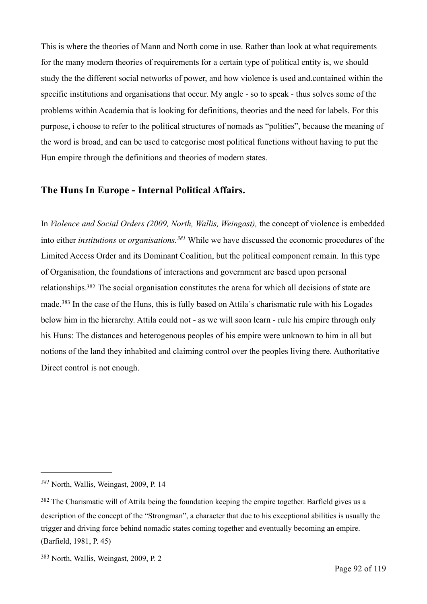This is where the theories of Mann and North come in use. Rather than look at what requirements for the many modern theories of requirements for a certain type of political entity is, we should study the the different social networks of power, and how violence is used and.contained within the specific institutions and organisations that occur. My angle - so to speak - thus solves some of the problems within Academia that is looking for definitions, theories and the need for labels. For this purpose, i choose to refer to the political structures of nomads as "polities", because the meaning of the word is broad, and can be used to categorise most political functions without having to put the Hun empire through the definitions and theories of modern states.

#### **The Huns In Europe - Internal Political Affairs.**

<span id="page-91-5"></span><span id="page-91-4"></span><span id="page-91-3"></span>In *Violence and Social Orders (2009, North, Wallis, Weingast),* the concept of violence is embedded into either *institutions* or *organisations*.<sup>[381](#page-91-0)</sup> While we have discussed the economic procedures of the Limited Access Order and its Dominant Coalition, but the political component remain. In this type of Organisation, the foundations of interactions and government are based upon personal relationships[.](#page-91-1)<sup>[382](#page-91-1)</sup> The social organisation constitutes the arena for which all decisions of state are made.<sup>383</sup>In the case of the Huns, this is fully based on Attila's charismatic rule with his Logades below him in the hierarchy. Attila could not - as we will soon learn - rule his empire through only his Huns: The distances and heterogenous peoples of his empire were unknown to him in all but notions of the land they inhabited and claiming control over the peoples living there. Authoritative Direct control is not enough.

<span id="page-91-0"></span>North, Wallis, Weingast, 2009, P. 14 *[381](#page-91-3)*

<span id="page-91-1"></span><sup>&</sup>lt;sup>[382](#page-91-4)</sup> The Charismatic will of Attila being the foundation keeping the empire together. Barfield gives us a description of the concept of the "Strongman", a character that due to his exceptional abilities is usually the trigger and driving force behind nomadic states coming together and eventually becoming an empire. (Barfield, 1981, P. 45)

<span id="page-91-2"></span>[<sup>383</sup>](#page-91-5) North, Wallis, Weingast, 2009, P. 2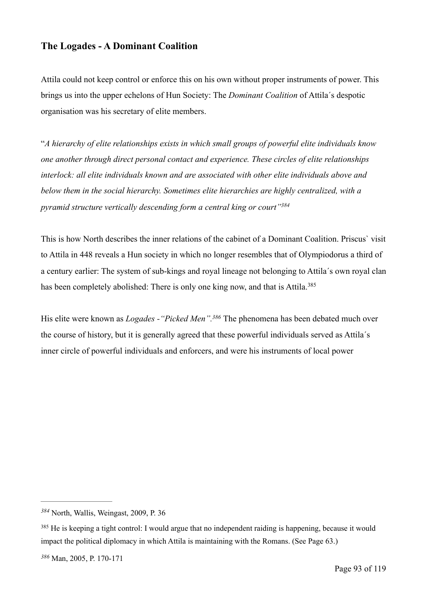## **The Logades - A Dominant Coalition**

Attila could not keep control or enforce this on his own without proper instruments of power. This brings us into the upper echelons of Hun Society: The *Dominant Coalition* of Attila´s despotic organisation was his secretary of elite members.

"*A hierarchy of elite relationships exists in which small groups of powerful elite individuals know one another through direct personal contact and experience. These circles of elite relationships interlock: all elite individuals known and are associated with other elite individuals above and below them in the social hierarchy. Sometimes elite hierarchies are highly centralized, with a pyramid structure vertically descending form a central king or court["384](#page-92-0)*

<span id="page-92-3"></span>This is how North describes the inner relations of the cabinet of a Dominant Coalition. Priscus` visit to Attila in 448 reveals a Hun society in which no longer resembles that of Olympiodorus a third of a century earlier: The system of sub-kings and royal lineage not belonging to Attila´s own royal clan has been completely abolished: There is only one king now, and that is Attila.<sup>[385](#page-92-1)</sup>

<span id="page-92-5"></span><span id="page-92-4"></span>His elite were known as *Logades - "Picked Men"*.<sup>[386](#page-92-2)</sup> The phenomena has been debated much over the course of history, but it is generally agreed that these powerful individuals served as Attila´s inner circle of powerful individuals and enforcers, and were his instruments of local power

<span id="page-92-0"></span>North, Wallis, Weingast, 2009, P. 36 *[384](#page-92-3)*

<span id="page-92-2"></span><span id="page-92-1"></span><sup>&</sup>lt;sup>[385](#page-92-4)</sup> He is keeping a tight control: I would argue that no independent raiding is happening, because it would impact the political diplomacy in which Attila is maintaining with the Romans. (See Page 63.)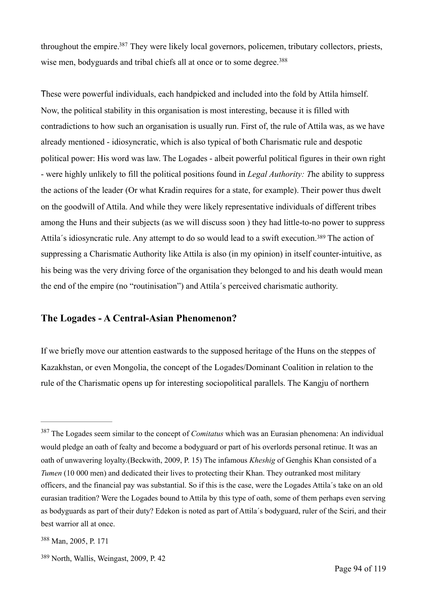<span id="page-93-4"></span><span id="page-93-3"></span>throughout the empire[.](#page-93-0)<sup>[387](#page-93-0)</sup> They were likely local governors, policemen, tributary collectors, priests, wise men, bodyguards and tribal chiefs all at once or to some degree.<sup>[388](#page-93-1)</sup>

These were powerful individuals, each handpicked and included into the fold by Attila himself. Now, the political stability in this organisation is most interesting, because it is filled with contradictions to how such an organisation is usually run. First of, the rule of Attila was, as we have already mentioned - idiosyncratic, which is also typical of both Charismatic rule and despotic political power: His word was law. The Logades - albeit powerful political figures in their own right - were highly unlikely to fill the political positions found in *Legal Authority: T*he ability to suppress the actions of the leader (Or what Kradin requires for a state, for example). Their power thus dwelt on the goodwill of Attila. And while they were likely representative individuals of different tribes among the Huns and their subjects (as we will discuss soon ) they had little-to-no power to suppress Attila'sidiosyncratic rule. Any attempt to do so would lead to a swift execution.<sup>[389](#page-93-2)</sup> The action of suppressing a Charismatic Authority like Attila is also (in my opinion) in itself counter-intuitive, as his being was the very driving force of the organisation they belonged to and his death would mean the end of the empire (no "routinisation") and Attila´s perceived charismatic authority.

#### <span id="page-93-5"></span>**The Logades - A Central-Asian Phenomenon?**

If we briefly move our attention eastwards to the supposed heritage of the Huns on the steppes of Kazakhstan, or even Mongolia, the concept of the Logades/Dominant Coalition in relation to the rule of the Charismatic opens up for interesting sociopolitical parallels. The Kangju of northern

<span id="page-93-0"></span><sup>&</sup>lt;sup>[387](#page-93-3)</sup> The Logades seem similar to the concept of *Comitatus* which was an Eurasian phenomena: An individual would pledge an oath of fealty and become a bodyguard or part of his overlords personal retinue. It was an oath of unwavering loyalty.(Beckwith, 2009, P. 15) The infamous *Kheshig* of Genghis Khan consisted of a *Tumen* (10 000 men) and dedicated their lives to protecting their Khan. They outranked most military officers, and the financial pay was substantial. So if this is the case, were the Logades Attila´s take on an old eurasian tradition? Were the Logades bound to Attila by this type of oath, some of them perhaps even serving as bodyguards as part of their duty? Edekon is noted as part of Attila´s bodyguard, ruler of the Sciri, and their best warrior all at once.

<span id="page-93-1"></span>[<sup>388</sup>](#page-93-4) Man, 2005, P. 171

<span id="page-93-2"></span>[<sup>389</sup>](#page-93-5) North, Wallis, Weingast, 2009, P. 42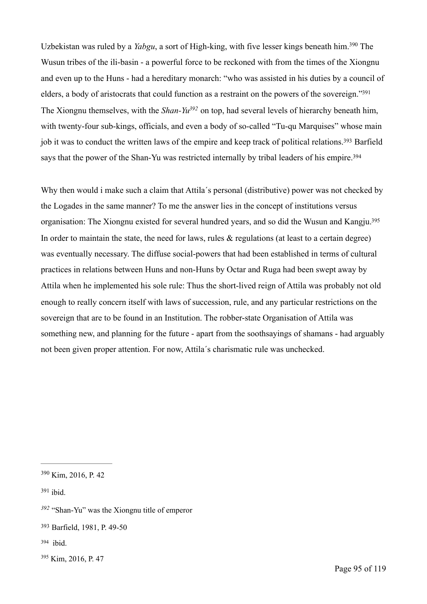<span id="page-94-8"></span><span id="page-94-7"></span><span id="page-94-6"></span>Uzbekistan was ruled by a *Yabgu*, a sort of High-king, with five lesser kings beneath him[.](#page-94-0)<sup>[390](#page-94-0)</sup> The Wusun tribes of the ili-basin - a powerful force to be reckoned with from the times of the Xiongnu and even up to the Huns - had a hereditary monarch: "who was assisted in his duties by a council of elders, a body of aristocrats that could function as a restraint on the powers of the sovereign.["391](#page-94-1) The Xiongnu themselves, with the *Shan-Yu*<sup>[392](#page-94-2)</sup> on top, had several levels of hierarchy beneath him. with twenty-four sub-kings, officials, and even a body of so-called "Tu-qu Marquises" whose main job it was to conduct the written laws of the empire and keep track of political relations[.](#page-94-3)<sup>[393](#page-94-3)</sup> Barfield says that the power of the Shan-Yu was restricted internally by tribal leaders of his empire.<sup>394</sup>

<span id="page-94-11"></span><span id="page-94-10"></span><span id="page-94-9"></span>Why then would i make such a claim that Attila´s personal (distributive) power was not checked by the Logades in the same manner? To me the answer lies in the concept of institutions versus organisation: The Xiongnu existed for several hundred years, and so did the Wusun and Kangju[.395](#page-94-5) In order to maintain the state, the need for laws, rules  $\&$  regulations (at least to a certain degree) was eventually necessary. The diffuse social-powers that had been established in terms of cultural practices in relations between Huns and non-Huns by Octar and Ruga had been swept away by Attila when he implemented his sole rule: Thus the short-lived reign of Attila was probably not old enough to really concern itself with laws of succession, rule, and any particular restrictions on the sovereign that are to be found in an Institution. The robber-state Organisation of Attila was something new, and planning for the future - apart from the soothsayings of shamans - had arguably not been given proper attention. For now, Attila´s charismatic rule was unchecked.

<span id="page-94-2"></span><sup>[392](#page-94-8)</sup> "Shan-Yu" was the Xiongnu title of emperor

<span id="page-94-4"></span> $394$  ibid.

<span id="page-94-0"></span> $390$  Kim, 2016, P. 42

<span id="page-94-1"></span> $391$  ibid.

<span id="page-94-3"></span>[<sup>393</sup>](#page-94-9) Barfield, 1981, P. 49-50

<span id="page-94-5"></span>[<sup>395</sup>](#page-94-11) Kim, 2016, P. 47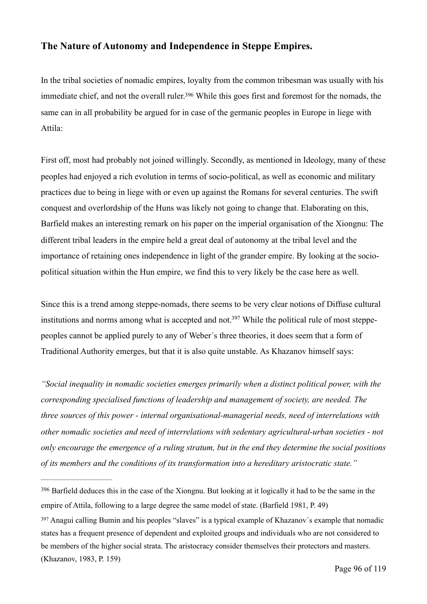## **The Nature of Autonomy and Independence in Steppe Empires.**

<span id="page-95-2"></span>In the tribal societies of nomadic empires, loyalty from the common tribesman was usually with his immediate chief, and not the overall ruler[.](#page-95-0)<sup>[396](#page-95-0)</sup> While this goes first and foremost for the nomads, the same can in all probability be argued for in case of the germanic peoples in Europe in liege with Attila:

First off, most had probably not joined willingly. Secondly, as mentioned in Ideology, many of these peoples had enjoyed a rich evolution in terms of socio-political, as well as economic and military practices due to being in liege with or even up against the Romans for several centuries. The swift conquest and overlordship of the Huns was likely not going to change that. Elaborating on this, Barfield makes an interesting remark on his paper on the imperial organisation of the Xiongnu: The different tribal leaders in the empire held a great deal of autonomy at the tribal level and the importance of retaining ones independence in light of the grander empire. By looking at the sociopolitical situation within the Hun empire, we find this to very likely be the case here as well.

<span id="page-95-3"></span>Since this is a trend among steppe-nomads, there seems to be very clear notions of Diffuse cultural institutions and norms among what is accepted and not[.](#page-95-1)<sup>397</sup> While the political rule of most steppepeoples cannot be applied purely to any of Weber´s three theories, it does seem that a form of Traditional Authority emerges, but that it is also quite unstable. As Khazanov himself says:

*"Social inequality in nomadic societies emerges primarily when a distinct political power, with the corresponding specialised functions of leadership and management of society, are needed. The three sources of this power - internal organisational-managerial needs, need of interrelations with other nomadic societies and need of interrelations with sedentary agricultural-urban societies - not only encourage the emergence of a ruling stratum, but in the end they determine the social positions of its members and the conditions of its transformation into a hereditary aristocratic state."*

<span id="page-95-0"></span><sup>&</sup>lt;sup>[396](#page-95-2)</sup> Barfield deduces this in the case of the Xiongnu. But looking at it logically it had to be the same in the empire of Attila, following to a large degree the same model of state. (Barfield 1981, P. 49)

<span id="page-95-1"></span><sup>&</sup>lt;sup>[397](#page-95-3)</sup> Anagui calling Bumin and his peoples "slaves" is a typical example of Khazanov's example that nomadic states has a frequent presence of dependent and exploited groups and individuals who are not considered to be members of the higher social strata. The aristocracy consider themselves their protectors and masters. (Khazanov, 1983, P. 159)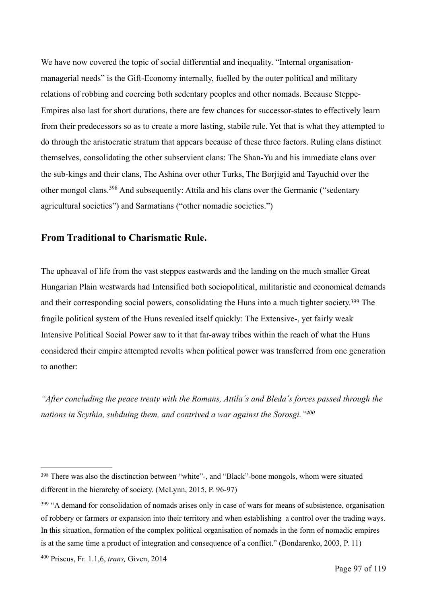We have now covered the topic of social differential and inequality. "Internal organisationmanagerial needs" is the Gift-Economy internally, fuelled by the outer political and military relations of robbing and coercing both sedentary peoples and other nomads. Because Steppe-Empires also last for short durations, there are few chances for successor-states to effectively learn from their predecessors so as to create a more lasting, stabile rule. Yet that is what they attempted to do through the aristocratic stratum that appears because of these three factors. Ruling clans distinct themselves, consolidating the other subservient clans: The Shan-Yu and his immediate clans over the sub-kings and their clans, The Ashina over other Turks, The Borjigid and Tayuchid over the othermongol clans.<sup>[398](#page-96-0)</sup> And subsequently: Attila and his clans over the Germanic ("sedentary agricultural societies") and Sarmatians ("other nomadic societies.")

### <span id="page-96-3"></span>**From Traditional to Charismatic Rule.**

<span id="page-96-4"></span>The upheaval of life from the vast steppes eastwards and the landing on the much smaller Great Hungarian Plain westwards had Intensified both sociopolitical, militaristic and economical demands and their corresponding social powers, consolidating the Huns into a much tighter society[.](#page-96-1)<sup>[399](#page-96-1)</sup> The fragile political system of the Huns revealed itself quickly: The Extensive-, yet fairly weak Intensive Political Social Power saw to it that far-away tribes within the reach of what the Huns considered their empire attempted revolts when political power was transferred from one generation to another:

<span id="page-96-5"></span>*"After concluding the peace treaty with the Romans, Attila´s and Bleda´s forces passed through the nations in Scythia, subduing them, and contrived a war against the Sorosgi.["400](#page-96-2)*

<span id="page-96-0"></span>There was also the disctinction between "white"-, and "Black"-bone mongols, whom were situated [398](#page-96-3) different in the hierarchy of society. (McLynn, 2015, P. 96-97)

<span id="page-96-1"></span><sup>&</sup>lt;sup>[399](#page-96-4)</sup> "A demand for consolidation of nomads arises only in case of wars for means of subsistence, organisation of robbery or farmers or expansion into their territory and when establishing a control over the trading ways. In this situation, formation of the complex political organisation of nomads in the form of nomadic empires is at the same time a product of integration and consequence of a conflict." (Bondarenko, 2003, P. 11)

<span id="page-96-2"></span><sup>&</sup>lt;sup>[400](#page-96-5)</sup> Priscus, Fr. 1.1.6, *trans*, Given, 2014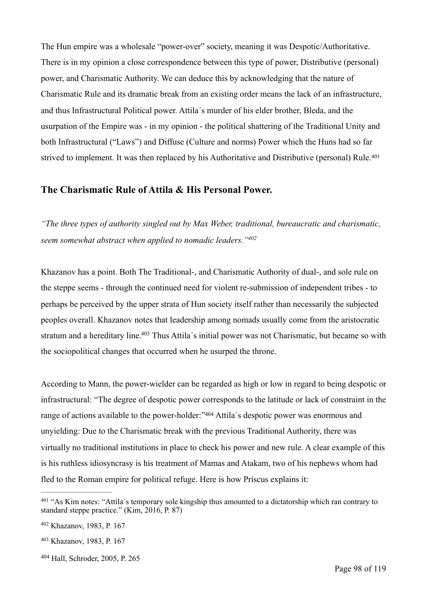The Hun empire was a wholesale "power-over" society, meaning it was Despotic/Authoritative. There is in my opinion a close correspondence between this type of power, Distributive (personal) power, and Charismatic Authority. We can deduce this by acknowledging that the nature of Charismatic Rule and its dramatic break from an existing order means the lack of an infrastructure, and thus Infrastructural Political power. Attila´s murder of his elder brother, Bleda, and the usurpation of the Empire was - in my opinion - the political shattering of the Traditional Unity and both Infrastructural ("Laws") and Diffuse (Culture and norms) Power which the Huns had so far strived to implement. It was then replaced by his Authoritative and Distributive (personal) Rule.<sup>[401](#page-97-0)</sup>

### <span id="page-97-4"></span>**The Charismatic Rule of Attila & His Personal Power.**

<span id="page-97-5"></span>*"The three types of authority singled out by Max Weber, traditional, bureaucratic and charismatic, seem somewhat abstract when applied to nomadic leaders.["402](#page-97-1)*

Khazanov has a point. Both The Traditional-, and Charismatic Authority of dual-, and sole rule on the steppe seems - through the continued need for violent re-submission of independent tribes - to perhaps be perceived by the upper strata of Hun society itself rather than necessarily the subjected peoples overall. Khazanov notes that leadership among nomads usually come from the aristocratic stratum and a hereditary line[.](#page-97-2)<sup>[403](#page-97-2)</sup> Thus Attila's initial power was not Charismatic, but became so with the sociopolitical changes that occurred when he usurped the throne.

<span id="page-97-7"></span><span id="page-97-6"></span>According to Mann, the power-wielder can be regarded as high or low in regard to being despotic or infrastructural: "The degree of despotic power corresponds to the latitude or lack of constraint in the rangeof actions available to the power-holder:"[404](#page-97-3) Attila's despotic power was enormous and unyielding: Due to the Charismatic break with the previous Traditional Authority, there was virtually no traditional institutions in place to check his power and new rule. A clear example of this is his ruthless idiosyncrasy is his treatment of Mamas and Atakam, two of his nephews whom had fled to the Roman empire for political refuge. Here is how Priscus explains it:

<span id="page-97-3"></span>[404](#page-97-7) Hall, Schroder, 2005, P. 265

<span id="page-97-0"></span><sup>&</sup>lt;sup>[401](#page-97-4)</sup> "As Kim notes: "Attila's temporary sole kingship thus amounted to a dictatorship which ran contrary to standard steppe practice." (Kim, 2016, P. 87)

<span id="page-97-1"></span><sup>&</sup>lt;sup>[402](#page-97-5)</sup> Khazanov, 1983, P. 167

<span id="page-97-2"></span>[<sup>403</sup>](#page-97-6) Khazanov, 1983, P. 167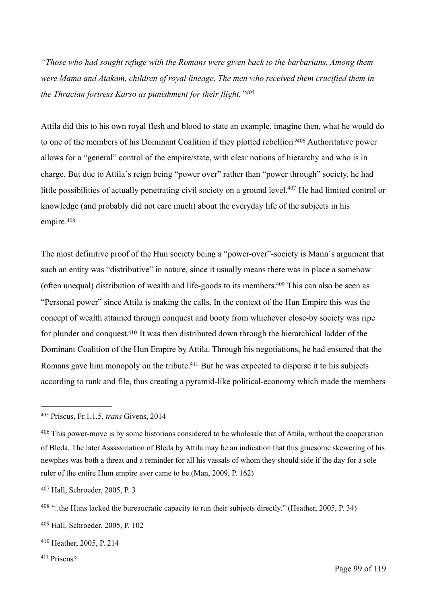*"Those who had sought refuge with the Romans were given back to the barbarians. Among them were Mama and Atakam, children of royal lineage. The men who received them crucified them in the Thracian fortress Karso as punishment for their flight."[405](#page-98-0)*

<span id="page-98-8"></span><span id="page-98-7"></span>Attila did this to his own royal flesh and blood to state an example. imagine then, what he would do to one of the members of his Dominant Coalition if they plotted rebellion[?](#page-98-1)<sup>[406](#page-98-1)</sup> Authoritative power allows for a "general" control of the empire/state, with clear notions of hierarchy and who is in charge. But due to Attila´s reign being "power over" rather than "power through" society, he had little possibilities of actually penetrating civil society on a ground level[.](#page-98-2)<sup>[407](#page-98-2)</sup> He had limited control or knowledge (and probably did not care much) about the everyday life of the subjects in his empire[.](#page-98-3) [408](#page-98-3)

<span id="page-98-11"></span><span id="page-98-10"></span><span id="page-98-9"></span>The most definitive proof of the Hun society being a "power-over"-society is Mann´s argument that such an entity was "distributive" in nature, since it usually means there was in place a somehow (often unequal) distribution of wealth and life-goods to its members[.](#page-98-4) $409$  This can also be seen as "Personal power" since Attila is making the calls. In the context of the Hun Empire this was the concept of wealth attained through conquest and booty from whichever close-by society was ripe for plunder and conquest[.](#page-98-5)<sup>[410](#page-98-5)</sup> It was then distributed down through the hierarchical ladder of the Dominant Coalition of the Hun Empire by Attila. Through his negotiations, he had ensured that the Romans gave him monopoly on the tribute[.](#page-98-6)<sup> $411$ </sup> But he was expected to disperse it to his subjects according to rank and file, thus creating a pyramid-like political-economy which made the members

<span id="page-98-13"></span><span id="page-98-12"></span><span id="page-98-0"></span><sup>&</sup>lt;sup>[405](#page-98-7)</sup> Priscus, Fr.1, 1, 5, *trans* Givens, 2014

<span id="page-98-1"></span><sup>&</sup>lt;sup>[406](#page-98-8)</sup> This power-move is by some historians considered to be wholesale that of Attila, without the cooperation of Bleda. The later Assassination of Bleda by Attila may be an indication that this gruesome skewering of his newphes was both a threat and a reminder for all his vassals of whom they should side if the day for a sole ruler of the entire Hum empire ever came to be.(Man, 2009, P. 162)

<span id="page-98-2"></span>[<sup>407</sup>](#page-98-9) Hall, Schroeder, 2005, P. 3

<span id="page-98-3"></span> $^{408}$  $^{408}$  $^{408}$  "..the Huns lacked the bureaucratic capacity to run their subjects directly." (Heather, 2005, P. 34)

<span id="page-98-4"></span>[<sup>409</sup>](#page-98-11) Hall, Schroeder, 2005, P. 102

<span id="page-98-5"></span><sup>&</sup>lt;sup>[410](#page-98-12)</sup> Heather, 2005, P. 214

<span id="page-98-6"></span><sup>&</sup>lt;sup>[411](#page-98-13)</sup> Priscus?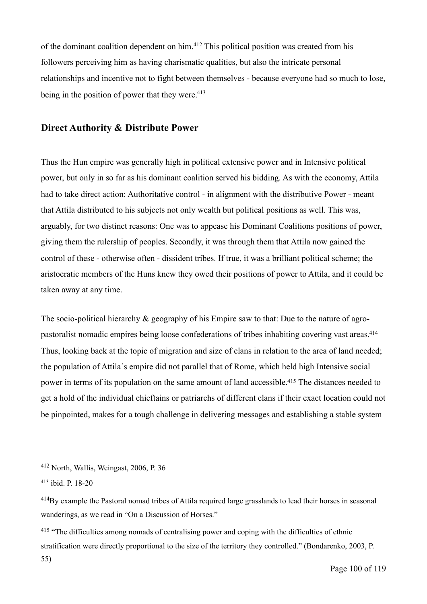<span id="page-99-4"></span>ofthe dominant coalition dependent on him. $412$  This political position was created from his followers perceiving him as having charismatic qualities, but also the intricate personal relationships and incentive not to fight between themselves - because everyone had so much to lose, being in the position of power that they were.  $413$ 

### <span id="page-99-5"></span>**Direct Authority & Distribute Power**

Thus the Hun empire was generally high in political extensive power and in Intensive political power, but only in so far as his dominant coalition served his bidding. As with the economy, Attila had to take direct action: Authoritative control - in alignment with the distributive Power - meant that Attila distributed to his subjects not only wealth but political positions as well. This was, arguably, for two distinct reasons: One was to appease his Dominant Coalitions positions of power, giving them the rulership of peoples. Secondly, it was through them that Attila now gained the control of these - otherwise often - dissident tribes. If true, it was a brilliant political scheme; the aristocratic members of the Huns knew they owed their positions of power to Attila, and it could be taken away at any time.

<span id="page-99-7"></span><span id="page-99-6"></span>The socio-political hierarchy & geography of his Empire saw to that: Due to the nature of agropastoralist nomadic empires being loose confederations of tribes inhabiting covering vast areas[.414](#page-99-2) Thus, looking back at the topic of migration and size of clans in relation to the area of land needed; the population of Attila´s empire did not parallel that of Rome, which held high Intensive social power in terms of its population on the same amount of land accessible[.](#page-99-3)<sup>[415](#page-99-3)</sup> The distances needed to get a hold of the individual chieftains or patriarchs of different clans if their exact location could not be pinpointed, makes for a tough challenge in delivering messages and establishing a stable system

<span id="page-99-0"></span> $412$  North, Wallis, Weingast, 2006, P. 36

<span id="page-99-1"></span>[<sup>413</sup>](#page-99-5) ibid. P. 18-20

<span id="page-99-2"></span> $^{414}$  $^{414}$  $^{414}$ By example the Pastoral nomad tribes of Attila required large grasslands to lead their horses in seasonal wanderings, as we read in "On a Discussion of Horses."

<span id="page-99-3"></span><sup>&</sup>lt;sup>[415](#page-99-7)</sup> "The difficulties among nomads of centralising power and coping with the difficulties of ethnic stratification were directly proportional to the size of the territory they controlled." (Bondarenko, 2003, P.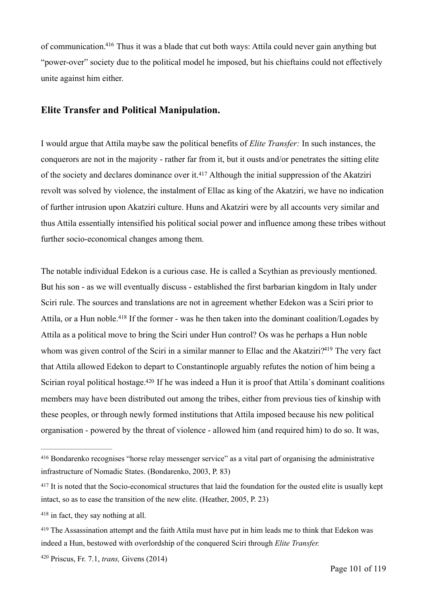<span id="page-100-5"></span>of communication.<sup>[416](#page-100-0)</sup> Thus it was a blade that cut both ways: Attila could never gain anything but "power-over" society due to the political model he imposed, but his chieftains could not effectively unite against him either.

### **Elite Transfer and Political Manipulation.**

<span id="page-100-6"></span>I would argue that Attila maybe saw the political benefits of *Elite Transfer:* In such instances, the conquerors are not in the majority - rather far from it, but it ousts and/or penetrates the sitting elite of the society and declares dominance over it.<sup>[417](#page-100-1)</sup> Although the initial suppression of the Akatziri revolt was solved by violence, the instalment of Ellac as king of the Akatziri, we have no indication of further intrusion upon Akatziri culture. Huns and Akatziri were by all accounts very similar and thus Attila essentially intensified his political social power and influence among these tribes without further socio-economical changes among them.

<span id="page-100-8"></span><span id="page-100-7"></span>The notable individual Edekon is a curious case. He is called a Scythian as previously mentioned. But his son - as we will eventually discuss - established the first barbarian kingdom in Italy under Sciri rule. The sources and translations are not in agreement whether Edekon was a Sciri prior to Attila,or a Hun noble.<sup>[418](#page-100-2)</sup> If the former - was he then taken into the dominant coalition/Logades by Attila as a political move to bring the Sciri under Hun control? Os was he perhaps a Hun noble whom was given control of the Sciri in a similar manner to Ellac and the Akatziri[?](#page-100-3)<sup>[419](#page-100-3)</sup> The very fact that Attila allowed Edekon to depart to Constantinople arguably refutes the notion of him being a Scirian royal political hostage[.](#page-100-4)<sup>[420](#page-100-4)</sup> If he was indeed a Hun it is proof that Attila's dominant coalitions members may have been distributed out among the tribes, either from previous ties of kinship with these peoples, or through newly formed institutions that Attila imposed because his new political organisation - powered by the threat of violence - allowed him (and required him) to do so. It was,

<span id="page-100-9"></span><span id="page-100-0"></span><sup>&</sup>lt;sup>[416](#page-100-5)</sup> Bondarenko recognises "horse relay messenger service" as a vital part of organising the administrative infrastructure of Nomadic States. (Bondarenko, 2003, P. 83)

<span id="page-100-1"></span><sup>&</sup>lt;sup>[417](#page-100-6)</sup> It is noted that the Socio-economical structures that laid the foundation for the ousted elite is usually kept intact, so as to ease the transition of the new elite. (Heather, 2005, P. 23)

<span id="page-100-2"></span> $418$  in fact, they say nothing at all.

<span id="page-100-3"></span><sup>&</sup>lt;sup>[419](#page-100-8)</sup> The Assassination attempt and the faith Attila must have put in him leads me to think that Edekon was indeed a Hun, bestowed with overlordship of the conquered Sciri through *Elite Transfer.*

<span id="page-100-4"></span><sup>&</sup>lt;sup>[420](#page-100-9)</sup> Priscus, Fr. 7.1, *trans*, Givens (2014)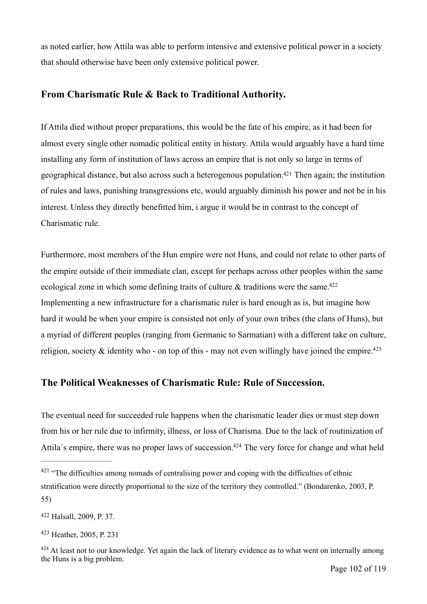as noted earlier, how Attila was able to perform intensive and extensive political power in a society that should otherwise have been only extensive political power.

## **From Charismatic Rule & Back to Traditional Authority.**

<span id="page-101-4"></span>If Attila died without proper preparations, this would be the fate of his empire, as it had been for almost every single other nomadic political entity in history. Attila would arguably have a hard time installing any form of institution of laws across an empire that is not only so large in terms of geographical distance, but also across such a heterogenous population[.](#page-101-0)  $421$  Then again; the institution of rules and laws, punishing transgressions etc, would arguably diminish his power and not be in his interest. Unless they directly benefitted him, i argue it would be in contrast to the concept of Charismatic rule.

<span id="page-101-5"></span>Furthermore, most members of the Hun empire were not Huns, and could not relate to other parts of the empire outside of their immediate clan, except for perhaps across other peoples within the same ecological zone in which some defining traits of culture  $\&$  traditions were the same.<sup>422</sup> Implementing a new infrastructure for a charismatic ruler is hard enough as is, but imagine how hard it would be when your empire is consisted not only of your own tribes (the clans of Huns), but a myriad of different peoples (ranging from Germanic to Sarmatian) with a different take on culture, religion, society  $\&$  identity who - on top of this - may not even willingly have joined the empire.<sup>423</sup>

## <span id="page-101-6"></span>**The Political Weaknesses of Charismatic Rule: Rule of Succession.**

The eventual need for succeeded rule happens when the charismatic leader dies or must step down from his or her rule due to infirmity, illness, or loss of Charisma. Due to the lack of routinization of Attila's empire, there was no proper laws of succession[.](#page-101-3)<sup>[424](#page-101-3)</sup> The very force for change and what held

<span id="page-101-7"></span><span id="page-101-0"></span> $421$  "The difficulties among nomads of centralising power and coping with the difficulties of ethnic stratification were directly proportional to the size of the territory they controlled." (Bondarenko, 2003, P. 55)

<span id="page-101-1"></span>Halsall, 2009, P. 37. [422](#page-101-5)

<span id="page-101-2"></span>[<sup>423</sup>](#page-101-6) Heather, 2005, P. 231

<span id="page-101-3"></span><sup>&</sup>lt;sup>[424](#page-101-7)</sup> At least not to our knowledge. Yet again the lack of literary evidence as to what went on internally among the Huns is a big problem.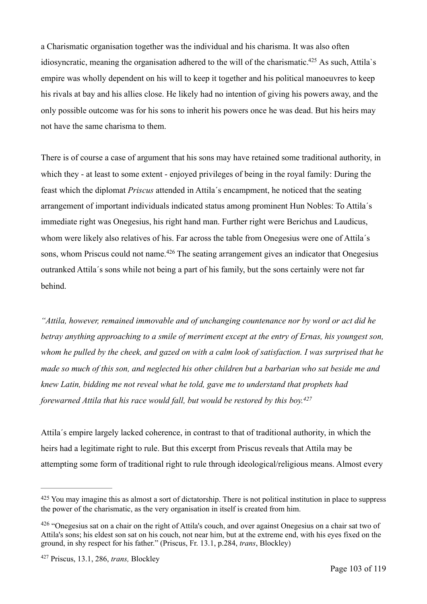<span id="page-102-3"></span>a Charismatic organisation together was the individual and his charisma. It was also often idiosyncratic, meaning the organisation adhered to the will of the charismatic[.](#page-102-0)<sup>[425](#page-102-0)</sup> As such, Attila's empire was wholly dependent on his will to keep it together and his political manoeuvres to keep his rivals at bay and his allies close. He likely had no intention of giving his powers away, and the only possible outcome was for his sons to inherit his powers once he was dead. But his heirs may not have the same charisma to them.

There is of course a case of argument that his sons may have retained some traditional authority, in which they - at least to some extent - enjoyed privileges of being in the royal family: During the feast which the diplomat *Priscus* attended in Attila´s encampment, he noticed that the seating arrangement of important individuals indicated status among prominent Hun Nobles: To Attila´s immediate right was Onegesius, his right hand man. Further right were Berichus and Laudicus, whom were likely also relatives of his. Far across the table from Onegesius were one of Attila's sons,whom Priscus could not name.  $426$  The seating arrangement gives an indicator that Onegesius outranked Attila´s sons while not being a part of his family, but the sons certainly were not far behind.

<span id="page-102-4"></span>*"Attila, however, remained immovable and of unchanging countenance nor by word or act did he betray anything approaching to a smile of merriment except at the entry of Ernas, his youngest son, whom he pulled by the cheek, and gazed on with a calm look of satisfaction. I was surprised that he made so much of this son, and neglected his other children but a barbarian who sat beside me and knew Latin, bidding me not reveal what he told, gave me to understand that prophets had forewarned Attila that his race would fall, but would be restored by this boy[.427](#page-102-2)*

<span id="page-102-5"></span>Attila´s empire largely lacked coherence, in contrast to that of traditional authority, in which the heirs had a legitimate right to rule. But this excerpt from Priscus reveals that Attila may be attempting some form of traditional right to rule through ideological/religious means. Almost every

<span id="page-102-0"></span><sup>&</sup>lt;sup>[425](#page-102-3)</sup> You may imagine this as almost a sort of dictatorship. There is not political institution in place to suppress the power of the charismatic, as the very organisation in itself is created from him.

<span id="page-102-1"></span> $426$  "Onegesius sat on a chair on the right of Attila's couch, and over against Onegesius on a chair sat two of Attila's sons; his eldest son sat on his couch, not near him, but at the extreme end, with his eyes fixed on the ground, in shy respect for his father." (Priscus, Fr. 13.1, p.284, *trans*, Blockley)

<span id="page-102-2"></span>Priscus, 13.1, 286, *trans,* Blockley [427](#page-102-5)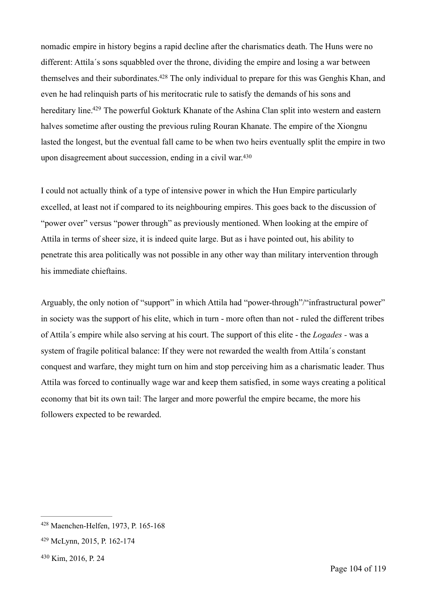<span id="page-103-4"></span><span id="page-103-3"></span>nomadic empire in history begins a rapid decline after the charismatics death. The Huns were no different: Attila´s sons squabbled over the throne, dividing the empire and losing a war between themselves and their subordinates[.](#page-103-0)<sup>[428](#page-103-0)</sup> The only individual to prepare for this was Genghis Khan, and even he had relinquish parts of his meritocratic rule to satisfy the demands of his sons and hereditary line[.](#page-103-1)<sup>[429](#page-103-1)</sup> The powerful Gokturk Khanate of the Ashina Clan split into western and eastern halves sometime after ousting the previous ruling Rouran Khanate. The empire of the Xiongnu lasted the longest, but the eventual fall came to be when two heirs eventually split the empire in two upon disagreement about succession, ending in a civil war.[430](#page-103-2)

<span id="page-103-5"></span>I could not actually think of a type of intensive power in which the Hun Empire particularly excelled, at least not if compared to its neighbouring empires. This goes back to the discussion of "power over" versus "power through" as previously mentioned. When looking at the empire of Attila in terms of sheer size, it is indeed quite large. But as i have pointed out, his ability to penetrate this area politically was not possible in any other way than military intervention through his immediate chieftains.

Arguably, the only notion of "support" in which Attila had "power-through"/"infrastructural power" in society was the support of his elite, which in turn - more often than not - ruled the different tribes of Attila´s empire while also serving at his court. The support of this elite - the *Logades -* was a system of fragile political balance: If they were not rewarded the wealth from Attila´s constant conquest and warfare, they might turn on him and stop perceiving him as a charismatic leader. Thus Attila was forced to continually wage war and keep them satisfied, in some ways creating a political economy that bit its own tail: The larger and more powerful the empire became, the more his followers expected to be rewarded.

<span id="page-103-0"></span><sup>&</sup>lt;sup>[428](#page-103-3)</sup> Maenchen-Helfen, 1973, P. 165-168

<span id="page-103-1"></span>McLynn, 2015, P. 162-174 [429](#page-103-4)

<span id="page-103-2"></span>[<sup>430</sup>](#page-103-5) Kim, 2016, P. 24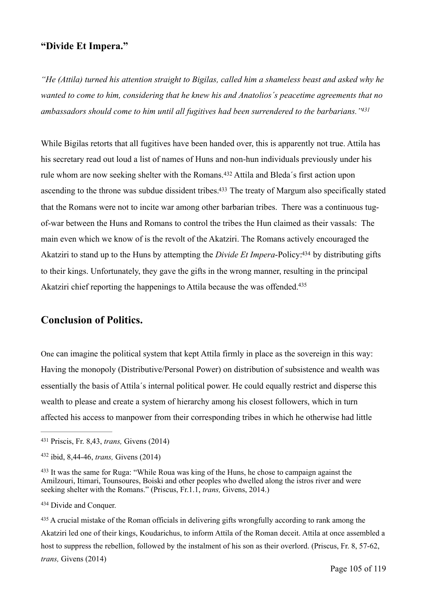## **"Divide Et Impera."**

*"He (Attila) turned his attention straight to Bigilas, called him a shameless beast and asked why he wanted to come to him, considering that he knew his and Anatolios´s peacetime agreements that no ambassadors should come to him until all fugitives had been surrendered to the barbarians.["431](#page-104-0)*

<span id="page-104-7"></span><span id="page-104-6"></span><span id="page-104-5"></span>While Bigilas retorts that all fugitives have been handed over, this is apparently not true. Attila has his secretary read out loud a list of names of Huns and non-hun individuals previously under his rulewhom are now seeking shelter with the Romans.<sup>[432](#page-104-1)</sup> Attila and Bleda's first action upon ascending to the throne was subdue dissident tribes[.](#page-104-2)<sup>[433](#page-104-2)</sup> The treaty of Margum also specifically stated that the Romans were not to incite war among other barbarian tribes. There was a continuous tugof-war between the Huns and Romans to control the tribes the Hun claimed as their vassals: The main even which we know of is the revolt of the Akatziri. The Romans actively encouraged the Akatziri to stand up to the Huns by attempting the *Divide Et Impera*-Policy[:](#page-104-3)<sup>[434](#page-104-3)</sup> by distributing gifts to their kings. Unfortunately, they gave the gifts in the wrong manner, resulting in the principal Akatziri chief reporting the happenings to Attila because the was offended.<sup>435</sup>

## <span id="page-104-9"></span><span id="page-104-8"></span>**Conclusion of Politics.**

One can imagine the political system that kept Attila firmly in place as the sovereign in this way: Having the monopoly (Distributive/Personal Power) on distribution of subsistence and wealth was essentially the basis of Attila´s internal political power. He could equally restrict and disperse this wealth to please and create a system of hierarchy among his closest followers, which in turn affected his access to manpower from their corresponding tribes in which he otherwise had little

<span id="page-104-3"></span>[434](#page-104-8) Divide and Conquer.

<span id="page-104-0"></span><sup>&</sup>lt;sup>[431](#page-104-5)</sup> Priscis, Fr. 8,43, *trans*, Givens (2014)

<span id="page-104-1"></span><sup>&</sup>lt;sup>[432](#page-104-6)</sup> ibid, 8,44-46, *trans*, Givens (2014)

<span id="page-104-2"></span><sup>&</sup>lt;sup>[433](#page-104-7)</sup> It was the same for Ruga: "While Roua was king of the Huns, he chose to campaign against the Amilzouri, Itimari, Tounsoures, Boiski and other peoples who dwelled along the istros river and were seeking shelter with the Romans." (Priscus, Fr.1.1, *trans,* Givens, 2014.)

<span id="page-104-4"></span><sup>&</sup>lt;sup>[435](#page-104-9)</sup> A crucial mistake of the Roman officials in delivering gifts wrongfully according to rank among the Akatziri led one of their kings, Koudarichus, to inform Attila of the Roman deceit. Attila at once assembled a host to suppress the rebellion, followed by the instalment of his son as their overlord. (Priscus, Fr. 8, 57-62, *trans,* Givens (2014)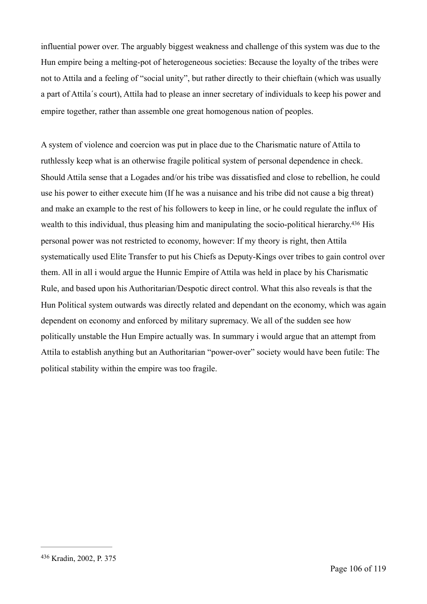influential power over. The arguably biggest weakness and challenge of this system was due to the Hun empire being a melting-pot of heterogeneous societies: Because the loyalty of the tribes were not to Attila and a feeling of "social unity", but rather directly to their chieftain (which was usually a part of Attila´s court), Attila had to please an inner secretary of individuals to keep his power and empire together, rather than assemble one great homogenous nation of peoples.

<span id="page-105-1"></span>A system of violence and coercion was put in place due to the Charismatic nature of Attila to ruthlessly keep what is an otherwise fragile political system of personal dependence in check. Should Attila sense that a Logades and/or his tribe was dissatisfied and close to rebellion, he could use his power to either execute him (If he was a nuisance and his tribe did not cause a big threat) and make an example to the rest of his followers to keep in line, or he could regulate the influx of wealth to this individual, thus pleasing him and manipulating the socio-political hierarchy[.](#page-105-0)<sup>[436](#page-105-0)</sup> His personal power was not restricted to economy, however: If my theory is right, then Attila systematically used Elite Transfer to put his Chiefs as Deputy-Kings over tribes to gain control over them. All in all i would argue the Hunnic Empire of Attila was held in place by his Charismatic Rule, and based upon his Authoritarian/Despotic direct control. What this also reveals is that the Hun Political system outwards was directly related and dependant on the economy, which was again dependent on economy and enforced by military supremacy. We all of the sudden see how politically unstable the Hun Empire actually was. In summary i would argue that an attempt from Attila to establish anything but an Authoritarian "power-over" society would have been futile: The political stability within the empire was too fragile.

<span id="page-105-0"></span>[<sup>436</sup>](#page-105-1) Kradin, 2002, P. 375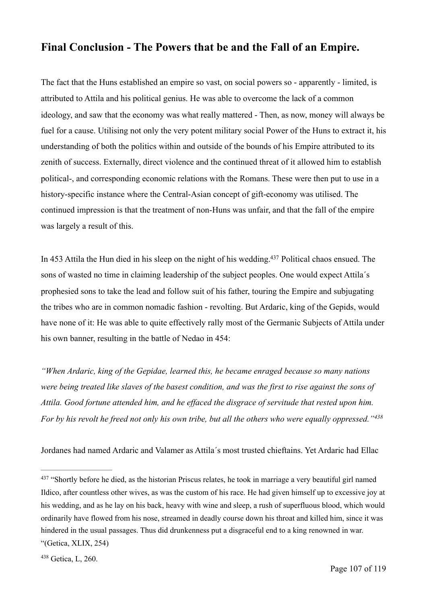# **Final Conclusion - The Powers that be and the Fall of an Empire.**

The fact that the Huns established an empire so vast, on social powers so - apparently - limited, is attributed to Attila and his political genius. He was able to overcome the lack of a common ideology, and saw that the economy was what really mattered - Then, as now, money will always be fuel for a cause. Utilising not only the very potent military social Power of the Huns to extract it, his understanding of both the politics within and outside of the bounds of his Empire attributed to its zenith of success. Externally, direct violence and the continued threat of it allowed him to establish political-, and corresponding economic relations with the Romans. These were then put to use in a history-specific instance where the Central-Asian concept of gift-economy was utilised. The continued impression is that the treatment of non-Huns was unfair, and that the fall of the empire was largely a result of this.

<span id="page-106-2"></span>In 453 Attila the Hun died in his sleep on the night of his wedding[.](#page-106-0)<sup>[437](#page-106-0)</sup> Political chaos ensued. The sons of wasted no time in claiming leadership of the subject peoples. One would expect Attila´s prophesied sons to take the lead and follow suit of his father, touring the Empire and subjugating the tribes who are in common nomadic fashion - revolting. But Ardaric, king of the Gepids, would have none of it: He was able to quite effectively rally most of the Germanic Subjects of Attila under his own banner, resulting in the battle of Nedao in 454:

*"When Ardaric, king of the Gepidae, learned this, he became enraged because so many nations were being treated like slaves of the basest condition, and was the first to rise against the sons of Attila. Good fortune attended him, and he effaced the disgrace of servitude that rested upon him. For by his revolt he freed not only his own tribe, but all the others who were equally oppressed."[438](#page-106-1)*

<span id="page-106-3"></span>Jordanes had named Ardaric and Valamer as Attila´s most trusted chieftains. Yet Ardaric had Ellac

<span id="page-106-0"></span>[<sup>437</sup>](#page-106-2) "Shortly before he died, as the historian Priscus relates, he took in marriage a very beautiful girl named Ildico, after countless other wives, as was the custom of his race. He had given himself up to excessive joy at his wedding, and as he lay on his back, heavy with wine and sleep, a rush of superfluous blood, which would ordinarily have flowed from his nose, streamed in deadly course down his throat and killed him, since it was hindered in the usual passages. Thus did drunkenness put a disgraceful end to a king renowned in war. "(Getica, XLIX, 254)

<span id="page-106-1"></span><sup>&</sup>lt;sup>[438](#page-106-3)</sup> Getica, L, 260.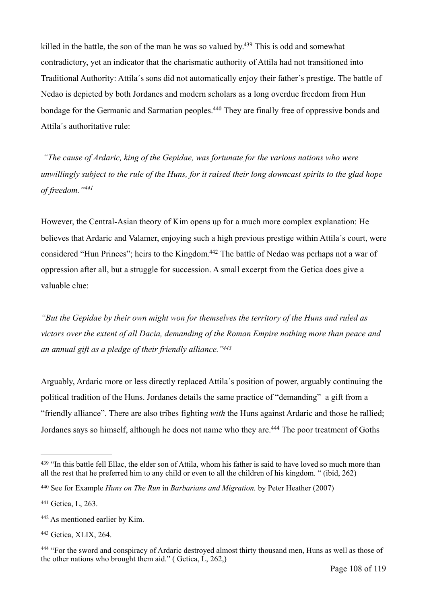<span id="page-107-6"></span>killed in the battle, the son of the man he was so valued by[.](#page-107-0)<sup> $439$ </sup> This is odd and somewhat contradictory, yet an indicator that the charismatic authority of Attila had not transitioned into Traditional Authority: Attila´s sons did not automatically enjoy their father´s prestige. The battle of Nedao is depicted by both Jordanes and modern scholars as a long overdue freedom from Hun bondage for the Germanic and Sarmatian peoples[.](#page-107-1)<sup>[440](#page-107-1)</sup> They are finally free of oppressive bonds and Attila´s authoritative rule:

<span id="page-107-7"></span> *"The cause of Ardaric, king of the Gepidae, was fortunate for the various nations who were unwillingly subject to the rule of the Huns, for it raised their long downcast spirits to the glad hope of freedom."[441](#page-107-2)*

<span id="page-107-9"></span><span id="page-107-8"></span>However, the Central-Asian theory of Kim opens up for a much more complex explanation: He believes that Ardaric and Valamer, enjoying such a high previous prestige within Attila´s court, were considered "Hun Princes"; heirs to the Kingdom[.](#page-107-3)<sup>[442](#page-107-3)</sup> The battle of Nedao was perhaps not a war of oppression after all, but a struggle for succession. A small excerpt from the Getica does give a valuable clue:

*"But the Gepidae by their own might won for themselves the territory of the Huns and ruled as victors over the extent of all Dacia, demanding of the Roman Empire nothing more than peace and an annual gift as a pledge of their friendly alliance.["443](#page-107-4)*

<span id="page-107-10"></span>Arguably, Ardaric more or less directly replaced Attila´s position of power, arguably continuing the political tradition of the Huns. Jordanes details the same practice of "demanding" a gift from a "friendly alliance". There are also tribes fighting *with* the Huns against Ardaric and those he rallied; Jordanessays so himself, although he does not name who they are.<sup>[444](#page-107-5)</sup> The poor treatment of Goths

<span id="page-107-11"></span><span id="page-107-0"></span><sup>&</sup>lt;sup>[439](#page-107-6)</sup> "In this battle fell Ellac, the elder son of Attila, whom his father is said to have loved so much more than all the rest that he preferred him to any child or even to all the children of his kingdom. " (ibid, 262)

<span id="page-107-1"></span>See for Example *Huns on The Run* in *Barbarians and Migration.* by Peter Heather (2007) [440](#page-107-7)

<span id="page-107-2"></span>[<sup>441</sup>](#page-107-8) Getica, L, 263.

<span id="page-107-3"></span>As mentioned earlier by Kim. [442](#page-107-9)

<span id="page-107-4"></span>[<sup>443</sup>](#page-107-10) Getica, XLIX, 264.

<span id="page-107-5"></span><sup>&</sup>lt;sup>[444](#page-107-11)</sup> "For the sword and conspiracy of Ardaric destroyed almost thirty thousand men. Huns as well as those of the other nations who brought them aid." ( Getica, L, 262,)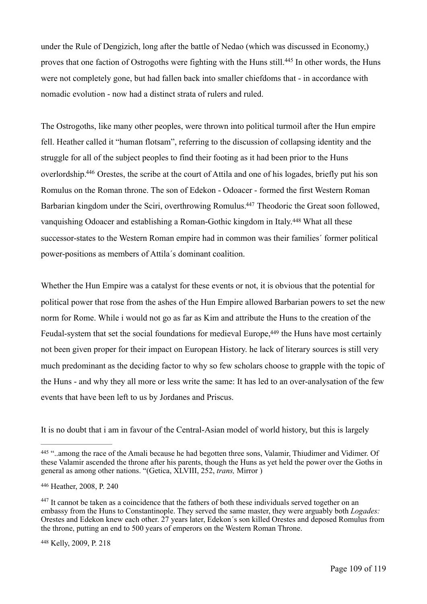<span id="page-108-4"></span>under the Rule of Dengizich, long after the battle of Nedao (which was discussed in Economy,) provesthat one faction of Ostrogoths were fighting with the Huns still.<sup>[445](#page-108-0)</sup> In other words, the Huns were not completely gone, but had fallen back into smaller chiefdoms that - in accordance with nomadic evolution - now had a distinct strata of rulers and ruled.

<span id="page-108-5"></span>The Ostrogoths, like many other peoples, were thrown into political turmoil after the Hun empire fell. Heather called it "human flotsam", referring to the discussion of collapsing identity and the struggle for all of the subject peoples to find their footing as it had been prior to the Huns overlordship[.](#page-108-1)<sup>[446](#page-108-1)</sup> Orestes, the scribe at the court of Attila and one of his logades, briefly put his son Romulus on the Roman throne. The son of Edekon - Odoacer - formed the first Western Roman Barbarian kingdom under the Sciri, overthrowing Romulus[.](#page-108-2)<sup>[447](#page-108-2)</sup> Theodoric the Great soon followed, vanquishingOdoacer and establishing a Roman-Gothic kingdom in Italy.<sup>[448](#page-108-3)</sup> What all these successor-states to the Western Roman empire had in common was their families´ former political power-positions as members of Attila´s dominant coalition.

<span id="page-108-7"></span><span id="page-108-6"></span>Whether the Hun Empire was a catalyst for these events or not, it is obvious that the potential for political power that rose from the ashes of the Hun Empire allowed Barbarian powers to set the new norm for Rome. While i would not go as far as Kim and attribute the Huns to the creation of the Feudal-system that set the social foundations for medieval Europe, <sup>449</sup> the Huns have most certainly not been given proper for their impact on European History. he lack of literary sources is still very much predominant as the deciding factor to why so few scholars choose to grapple with the topic of the Huns - and why they all more or less write the same: It has led to an over-analysation of the few events that have been left to us by Jordanes and Priscus.

It is no doubt that i am in favour of the Central-Asian model of world history, but this is largely

<span id="page-108-0"></span><sup>&</sup>lt;sup>[445](#page-108-4)</sup> "..among the race of the Amali because he had begotten three sons, Valamir, Thiudimer and Vidimer. Of these Valamir ascended the throne after his parents, though the Huns as yet held the power over the Goths in general as among other nations. "(Getica, XLVIII, 252, *trans,* Mirror )

<span id="page-108-1"></span>[<sup>446</sup>](#page-108-5) Heather, 2008, P. 240

<span id="page-108-2"></span> $447$  It cannot be taken as a coincidence that the fathers of both these individuals served together on an embassy from the Huns to Constantinople. They served the same master, they were arguably both *Logades:*  Orestes and Edekon knew each other. 27 years later, Edekon´s son killed Orestes and deposed Romulus from the throne, putting an end to 500 years of emperors on the Western Roman Throne.

<span id="page-108-3"></span>[<sup>448</sup>](#page-108-7) Kelly, 2009, P. 218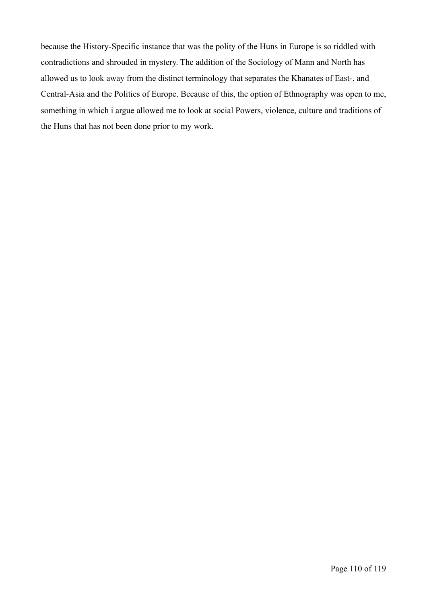because the History-Specific instance that was the polity of the Huns in Europe is so riddled with contradictions and shrouded in mystery. The addition of the Sociology of Mann and North has allowed us to look away from the distinct terminology that separates the Khanates of East-, and Central-Asia and the Polities of Europe. Because of this, the option of Ethnography was open to me, something in which i argue allowed me to look at social Powers, violence, culture and traditions of the Huns that has not been done prior to my work.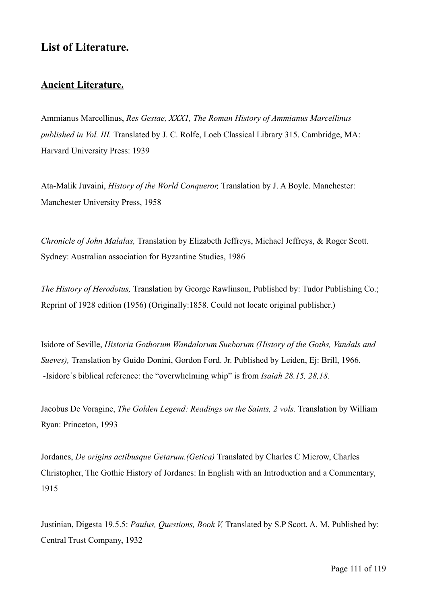## **List of Literature.**

## **Ancient Literature.**

Ammianus Marcellinus, *Res Gestae, XXX1, The Roman History of Ammianus Marcellinus published in Vol. III.* Translated by J. C. Rolfe, Loeb Classical Library 315. Cambridge, MA: Harvard University Press: 1939

Ata-Malik Juvaini, *History of the World Conqueror,* Translation by J. A Boyle. Manchester: Manchester University Press, 1958

*Chronicle of John Malalas,* Translation by Elizabeth Jeffreys, Michael Jeffreys, & Roger Scott. Sydney: Australian association for Byzantine Studies, 1986

*The History of Herodotus,* Translation by George Rawlinson, Published by: Tudor Publishing Co.; Reprint of 1928 edition (1956) (Originally:1858. Could not locate original publisher.)

Isidore of Seville, *Historia Gothorum Wandalorum Sueborum (History of the Goths, Vandals and Sueves),* Translation by Guido Donini, Gordon Ford. Jr. Published by Leiden, Ej: Brill, 1966. -Isidore´s biblical reference: the "overwhelming whip" is from *Isaiah 28.15, 28,18.* 

Jacobus De Voragine, *The Golden Legend: Readings on the Saints, 2 vols.* Translation by William Ryan: Princeton, 1993

Jordanes, *De origins actibusque Getarum.(Getica)* Translated by Charles C Mierow, Charles Christopher, The Gothic History of Jordanes: In English with an Introduction and a Commentary, 1915

Justinian, Digesta 19.5.5: *Paulus, Questions, Book V,* Translated by S.P Scott. A. M, Published by: Central Trust Company, 1932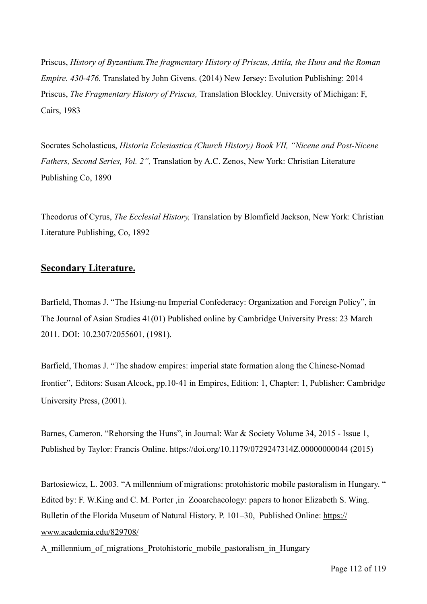Priscus, *History of Byzantium.The fragmentary History of Priscus, Attila, the Huns and the Roman Empire. 430-476.* Translated by John Givens. (2014) New Jersey: Evolution Publishing: 2014 Priscus, *The Fragmentary History of Priscus,* Translation Blockley. University of Michigan: F, Cairs, 1983

Socrates Scholasticus, *Historia Eclesiastica (Church History) Book VII, "Nicene and Post-Nicene Fathers, Second Series, Vol. 2",* Translation by A.C. Zenos, New York: Christian Literature Publishing Co, 1890

Theodorus of Cyrus, *The Ecclesial History,* Translation by Blomfield Jackson, New York: Christian Literature Publishing, Co, 1892

## **Secondary Literature.**

Barfield, Thomas J. "The Hsiung-nu Imperial Confederacy: Organization and Foreign Policy", in The Journal of Asian Studies 41(01) Published online by Cambridge University Press: 23 March 2011. DOI: 10.2307/2055601, (1981).

Barfield, Thomas J. "The shadow empires: imperial state formation along the Chinese-Nomad frontier", Editors: Susan Alcock, pp.10-41 in Empires, Edition: 1, Chapter: 1, Publisher: Cambridge University Press, (2001).

Barnes, Cameron. "Rehorsing the Huns", in Journal: War & Society Volume 34, 2015 - Issue 1, Published by Taylor: Francis Online. https://doi.org/10.1179/0729247314Z.00000000044 (2015)

Bartosiewicz, L. 2003. "A millennium of migrations: protohistoric mobile pastoralism in Hungary. " Edited by: F. W.King and C. M. Porter ,in Zooarchaeology: papers to honor Elizabeth S. Wing. Bulletin of the Florida Museum of Natural History. P. 101–30, Published Online: [https://](https://www.academia.edu/829708/) [www.academia.edu/829708/](https://www.academia.edu/829708/)

A millennium of migrations Protohistoric mobile pastoralism in Hungary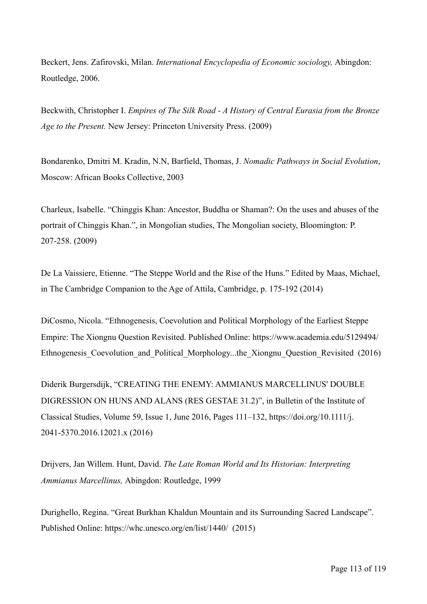Beckert, Jens. Zafirovski, Milan. *International Encyclopedia of Economic sociology,* Abingdon: Routledge, 2006.

Beckwith, Christopher I. *Empires of The Silk Road - A History of Central Eurasia from the Bronze Age to the Present.* New Jersey: Princeton University Press. (2009)

Bondarenko, Dmitri M. Kradin, N.N, Barfield, Thomas, J. *Nomadic Pathways in Social Evolution*, Moscow: African Books Collective, 2003

Charleux, Isabelle. "Chinggis Khan: Ancestor, Buddha or Shaman?: On the uses and abuses of the portrait of Chinggis Khan.", in Mongolian studies, The Mongolian society, Bloomington: P. 207-258. (2009)

De La Vaissiere, Etienne. "The Steppe World and the Rise of the Huns." Edited by Maas, Michael, in The Cambridge Companion to the Age of Attila, Cambridge, p. 175-192 (2014)

DiCosmo, Nicola. "Ethnogenesis, Coevolution and Political Morphology of the Earliest Steppe Empire: The Xiongnu Question Revisited. Published Online: https://www.academia.edu/5129494/ Ethnogenesis Coevolution and Political Morphology...the Xiongnu Question Revisited (2016)

Diderik Burgersdijk, "CREATING THE ENEMY: AMMIANUS MARCELLINUS' DOUBLE DIGRESSION ON HUNS AND ALANS (RES GESTAE 31.2)", in Bulletin of the Institute of Classical Studies, Volume 59, Issue 1, June 2016, Pages 111–132, https://doi.org/10.1111/j. 2041-5370.2016.12021.x (2016)

Drijvers, Jan Willem. Hunt, David. *The Late Roman World and Its Historian: Interpreting Ammianus Marcellinus,* Abingdon: Routledge, 1999

Durighello, Regina. "Great Burkhan Khaldun Mountain and its Surrounding Sacred Landscape". Published Online: https://whc.unesco.org/en/list/1440/ (2015)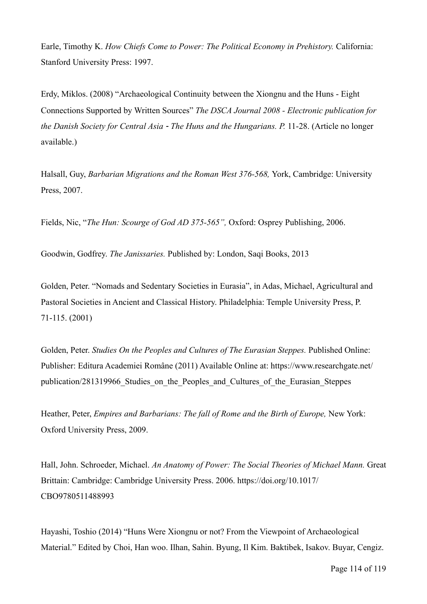Earle, Timothy K. *How Chiefs Come to Power: The Political Economy in Prehistory.* California: Stanford University Press: 1997.

Erdy, Miklos. (2008) "Archaeological Continuity between the Xiongnu and the Huns - Eight Connections Supported by Written Sources" *The DSCA Journal 2008 - Electronic publication for the Danish Society for Central Asia - The Huns and the Hungarians. P.* 11-28. (Article no longer available.)

Halsall, Guy, *Barbarian Migrations and the Roman West 376-568,* York, Cambridge: University Press, 2007.

Fields, Nic, "*The Hun: Scourge of God AD 375-565",* Oxford: Osprey Publishing, 2006.

Goodwin, Godfrey. *The Janissaries.* Published by: London, Saqi Books, 2013

Golden, Peter. "Nomads and Sedentary Societies in Eurasia", in Adas, Michael, Agricultural and Pastoral Societies in Ancient and Classical History. Philadelphia: Temple University Press, P. 71-115. (2001)

Golden, Peter. *Studies On the Peoples and Cultures of The Eurasian Steppes*. Published Online: Publisher: Editura Academiei Române (2011) Available Online at: https://www.researchgate.net/ publication/281319966 Studies on the Peoples and Cultures of the Eurasian Steppes

Heather, Peter, *Empires and Barbarians: The fall of Rome and the Birth of Europe,* New York: Oxford University Press, 2009.

Hall, John. Schroeder, Michael. *An Anatomy of Power: The Social Theories of Michael Mann.* Great Brittain: Cambridge: Cambridge University Press. 2006. https://doi.org/10.1017/ CBO9780511488993

Hayashi, Toshio (2014) "Huns Were Xiongnu or not? From the Viewpoint of Archaeological Material." Edited by Choi, Han woo. Ilhan, Sahin. Byung, Il Kim. Baktibek, Isakov. Buyar, Cengiz.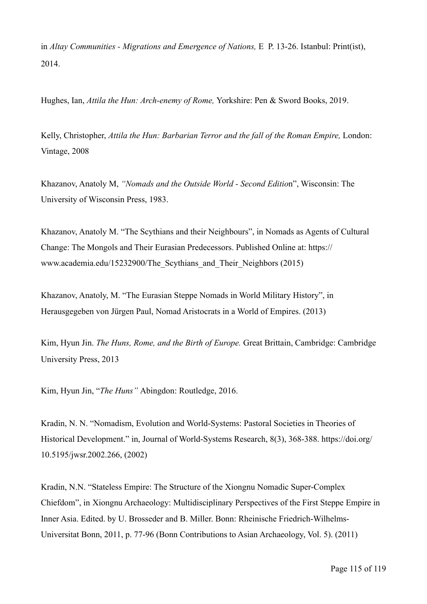in *Altay Communities - Migrations and Emergence of Nations,* E P. 13-26. Istanbul: Print(ist), 2014.

Hughes, Ian, *Attila the Hun: Arch-enemy of Rome,* Yorkshire: Pen & Sword Books, 2019.

Kelly, Christopher, *Attila the Hun: Barbarian Terror and the fall of the Roman Empire,* London: Vintage, 2008

Khazanov, Anatoly M, *"Nomads and the Outside World - Second Editio*n", Wisconsin: The University of Wisconsin Press, 1983.

Khazanov, Anatoly M. "The Scythians and their Neighbours", in Nomads as Agents of Cultural Change: The Mongols and Their Eurasian Predecessors. Published Online at: https:// www.academia.edu/15232900/The Scythians and Their Neighbors (2015)

Khazanov, Anatoly, M. "The Eurasian Steppe Nomads in World Military History", in Herausgegeben von Jürgen Paul, Nomad Aristocrats in a World of Empires. (2013)

Kim, Hyun Jin. *The Huns, Rome, and the Birth of Europe.* Great Brittain, Cambridge: Cambridge University Press, 2013

Kim, Hyun Jin, "*The Huns"* Abingdon: Routledge, 2016.

Kradin, N. N. "Nomadism, Evolution and World-Systems: Pastoral Societies in Theories of Historical Development." in, Journal of World-Systems Research, 8(3), 368-388. https://doi.org/ 10.5195/jwsr.2002.266, (2002)

Kradin, N.N. "Stateless Empire: The Structure of the Xiongnu Nomadic Super-Complex Chiefdom", in Xiongnu Archaeology: Multidisciplinary Perspectives of the First Steppe Empire in Inner Asia. Edited. by U. Brosseder and B. Miller. Bonn: Rheinische Friedrich-Wilhelms-Universitat Bonn, 2011, p. 77-96 (Bonn Contributions to Asian Archaeology, Vol. 5). (2011)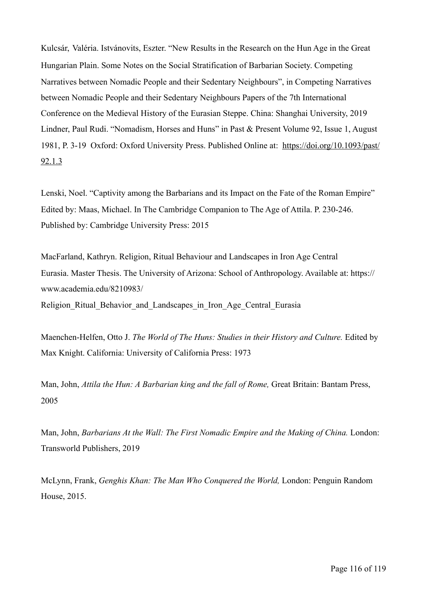Kulcsár, Valéria. Istvánovits, Eszter. "New Results in the Research on the Hun Age in the Great Hungarian Plain. Some Notes on the Social Stratification of Barbarian Society. Competing Narratives between Nomadic People and their Sedentary Neighbours", in Competing Narratives between Nomadic People and their Sedentary Neighbours Papers of the 7th International Conference on the Medieval History of the Eurasian Steppe. China: Shanghai University, 2019 Lindner, Paul Rudi. "Nomadism, Horses and Huns" in Past & Present Volume 92, Issue 1, August 1981, P. 3-19 Oxford: Oxford University Press. Published Online at: [https://doi.org/10.1093/past/](https://doi.org/10.1093/past/92.1.3) [92.1.3](https://doi.org/10.1093/past/92.1.3)

Lenski, Noel. "Captivity among the Barbarians and its Impact on the Fate of the Roman Empire" Edited by: Maas, Michael. In The Cambridge Companion to The Age of Attila. P. 230-246. Published by: Cambridge University Press: 2015

MacFarland, Kathryn. Religion, Ritual Behaviour and Landscapes in Iron Age Central Eurasia. Master Thesis. The University of Arizona: School of Anthropology. Available at: https:// www.academia.edu/8210983/

Religion Ritual Behavior and Landscapes in Iron Age Central Eurasia

Maenchen-Helfen, Otto J. The World of The Huns: Studies in their History and Culture. Edited by Max Knight. California: University of California Press: 1973

Man, John, *Attila the Hun: A Barbarian king and the fall of Rome*, Great Britain: Bantam Press, 2005

Man, John, *Barbarians At the Wall: The First Nomadic Empire and the Making of China.* London: Transworld Publishers, 2019

McLynn, Frank, *Genghis Khan: The Man Who Conquered the World,* London: Penguin Random House, 2015.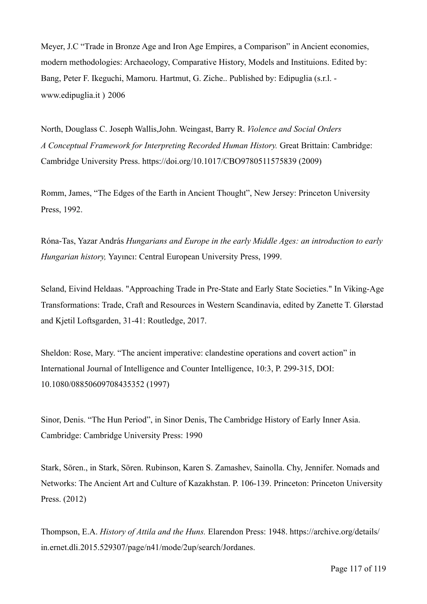Meyer, J.C "Trade in Bronze Age and Iron Age Empires, a Comparison" in Ancient economies, modern methodologies: Archaeology, Comparative History, Models and Instituions. Edited by: Bang, Peter F. Ikeguchi, Mamoru. Hartmut, G. Ziche.. Published by: Edipuglia (s.r.l. www.edipuglia.it ) 2006

North, Douglass C. Joseph Wallis,John. Weingast, Barry R. *Violence and Social Orders A Conceptual Framework for Interpreting Recorded Human History.* Great Brittain: Cambridge: Cambridge University Press. https://doi.org/10.1017/CBO9780511575839 (2009)

Romm, James, "The Edges of the Earth in Ancient Thought", New Jersey: Princeton University Press, 1992.

Róna-Tas, Yazar András *Hungarians and Europe in the early Middle Ages: an introduction to early Hungarian history,* Yayıncı: Central European University Press, 1999.

Seland, Eivind Heldaas. "Approaching Trade in Pre-State and Early State Societies." In Viking-Age Transformations: Trade, Craft and Resources in Western Scandinavia, edited by Zanette T. Glørstad and Kjetil Loftsgarden, 31-41: Routledge, 2017.

Sheldon: Rose, Mary. "The ancient imperative: clandestine operations and covert action" in International Journal of Intelligence and Counter Intelligence, 10:3, P. 299-315, DOI: 10.1080/08850609708435352 (1997)

Sinor, Denis. "The Hun Period", in Sinor Denis, The Cambridge History of Early Inner Asia. Cambridge: Cambridge University Press: 1990

Stark, Sören., in Stark, Sören. Rubinson, Karen S. Zamashev, Sainolla. Chy, Jennifer. Nomads and Networks: The Ancient Art and Culture of Kazakhstan. P. 106-139. Princeton: Princeton University Press. (2012)

Thompson, E.A. *History of Attila and the Huns.* Elarendon Press: 1948. https://archive.org/details/ in.ernet.dli.2015.529307/page/n41/mode/2up/search/Jordanes.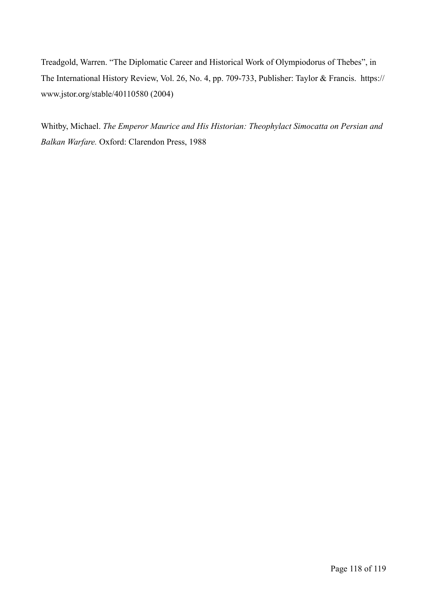Treadgold, Warren. "The Diplomatic Career and Historical Work of Olympiodorus of Thebes", in The International History Review, Vol. 26, No. 4, pp. 709-733, Publisher: Taylor & Francis. https:// www.jstor.org/stable/40110580 (2004)

Whitby, Michael. *The Emperor Maurice and His Historian: Theophylact Simocatta on Persian and Balkan Warfare.* Oxford: Clarendon Press, 1988